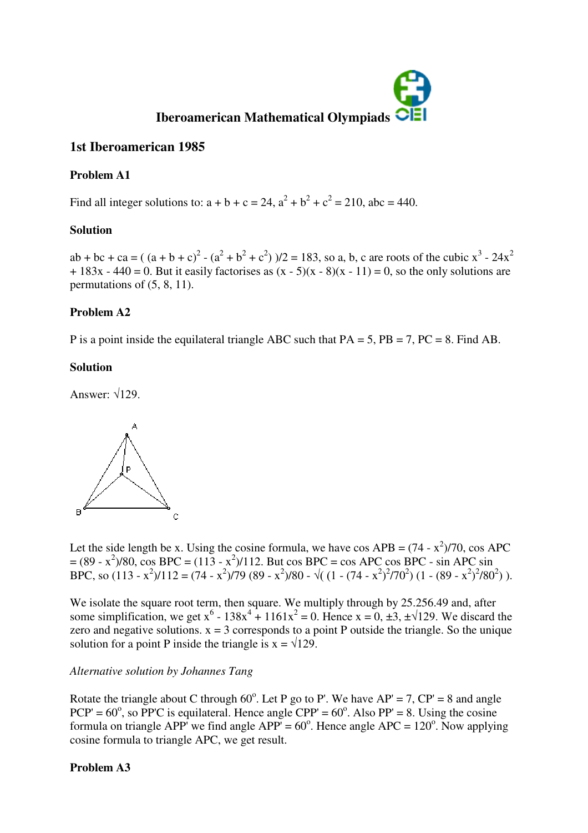

# **1st Iberoamerican 1985**

# **Problem A1**

Find all integer solutions to:  $a + b + c = 24$ ,  $a^2 + b^2 + c^2 = 210$ , abc = 440.

## **Solution**

ab + bc + ca =  $((a + b + c)^2 - (a^2 + b^2 + c^2))/2 = 183$ , so a, b, c are roots of the cubic  $x^3 - 24x^2$  $+ 183x - 440 = 0$ . But it easily factorises as  $(x - 5)(x - 8)(x - 11) = 0$ , so the only solutions are permutations of (5, 8, 11).

## **Problem A2**

P is a point inside the equilateral triangle ABC such that PA = 5, PB = 7, PC = 8. Find AB.

## **Solution**

Answer:  $\sqrt{129}$ .



Let the side length be x. Using the cosine formula, we have cos APB =  $(74 - x^2)/70$ , cos APC  $= (89 - x^2)/80$ , cos BPC =  $(113 - x^2)/112$ . But cos BPC = cos APC cos BPC - sin APC sin BPC, so  $(113 - x^2)/112 = (74 - x^2)/79 (89 - x^2)/80 - \sqrt{(1 - (74 - x^2)^2/70^2)(1 - (89 - x^2)^2/80^2)}).$ 

We isolate the square root term, then square. We multiply through by 25.256.49 and, after some simplification, we get  $x^6$  - 138 $x^4$  + 1161 $x^2$  = 0. Hence  $x = 0, \pm 3, \pm \sqrt{129}$ . We discard the zero and negative solutions.  $x = 3$  corresponds to a point P outside the triangle. So the unique solution for a point P inside the triangle is  $x = \sqrt{129}$ .

### *Alternative solution by Johannes Tang*

Rotate the triangle about C through  $60^{\circ}$ . Let P go to P'. We have AP' = 7, CP' = 8 and angle  $PCP' = 60^\circ$ , so PP'C is equilateral. Hence angle  $CPP' = 60^\circ$ . Also PP' = 8. Using the cosine formula on triangle APP' we find angle APP' =  $60^{\circ}$ . Hence angle APC =  $120^{\circ}$ . Now applying cosine formula to triangle APC, we get result.

### **Problem A3**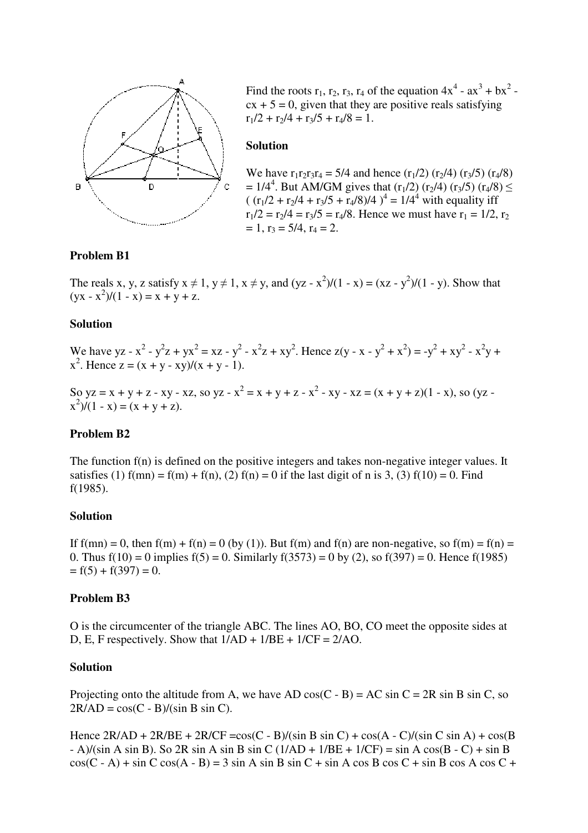

Find the roots  $r_1$ ,  $r_2$ ,  $r_3$ ,  $r_4$  of the equation  $4x^4$  -  $ax^3 + bx^2$   $cx + 5 = 0$ , given that they are positive reals satisfying  $r_1/2 + r_2/4 + r_3/5 + r_4/8 = 1$ .

#### **Solution**

We have  $r_1r_2r_3r_4 = 5/4$  and hence  $(r_1/2)$   $(r_2/4)$   $(r_3/5)$   $(r_4/8)$ =  $1/4^4$ . But AM/GM gives that  $(r_1/2)$   $(r_2/4)$   $(r_3/5)$   $(r_4/8) \le$  $((r_1/2 + r_2/4 + r_3/5 + r_4/8)/4)^4 = 1/4^4$  with equality iff  $r_1/2 = r_2/4 = r_3/5 = r_4/8$ . Hence we must have  $r_1 = 1/2$ ,  $r_2$  $= 1$ ,  $r_3 = 5/4$ ,  $r_4 = 2$ .

#### **Problem B1**

The reals x, y, z satisfy  $x \neq 1$ ,  $y \neq 1$ ,  $x \neq y$ , and  $(yz - x^2)/(1 - x) = (xz - y^2)/(1 - y)$ . Show that  $(yx - x^2)/(1 - x) = x + y + z.$ 

#### **Solution**

We have yz -  $x^2 - y^2z + yx^2 = xz - y^2 - x^2z + xy^2$ . Hence  $z(y - x - y^2 + x^2) = -y^2 + xy^2 - x^2y + z^2$  $x^2$ . Hence  $z = (x + y - xy)/(x + y - 1)$ .

So yz = x + y + z - xy - xz, so yz -  $x^2 = x + y + z - x^2 - xy - xz = (x + y + z)(1 - x)$ , so (yz - $(x^2)/(1 - x) = (x + y + z).$ 

#### **Problem B2**

The function  $f(n)$  is defined on the positive integers and takes non-negative integer values. It satisfies (1)  $f(mn) = f(m) + f(n)$ , (2)  $f(n) = 0$  if the last digit of n is 3, (3)  $f(10) = 0$ . Find f(1985).

#### **Solution**

If  $f(mn) = 0$ , then  $f(m) + f(n) = 0$  (by (1)). But  $f(m)$  and  $f(n)$  are non-negative, so  $f(m) = f(n) =$ 0. Thus  $f(10) = 0$  implies  $f(5) = 0$ . Similarly  $f(3573) = 0$  by (2), so  $f(397) = 0$ . Hence  $f(1985)$  $= f(5) + f(397) = 0.$ 

#### **Problem B3**

O is the circumcenter of the triangle ABC. The lines AO, BO, CO meet the opposite sides at D, E, F respectively. Show that  $1/AD + 1/BE + 1/CF = 2/AO$ .

#### **Solution**

Projecting onto the altitude from A, we have AD cos(C - B) = AC sin C = 2R sin B sin C, so  $2R/AD = cos(C - B)/(sin B sin C).$ 

Hence  $2R/AD + 2R/BE + 2R/CF = cos(C - B)/(sin B sin C) + cos(A - C)/(sin C sin A) + cos(B$  $-$  A)/(sin A sin B). So 2R sin A sin B sin C (1/AD + 1/BE + 1/CF) = sin A cos(B - C) + sin B  $cos(C - A) + sin C cos(A - B) = 3 sin A sin B sin C + sin A cos B cos C + sin B cos A cos C +$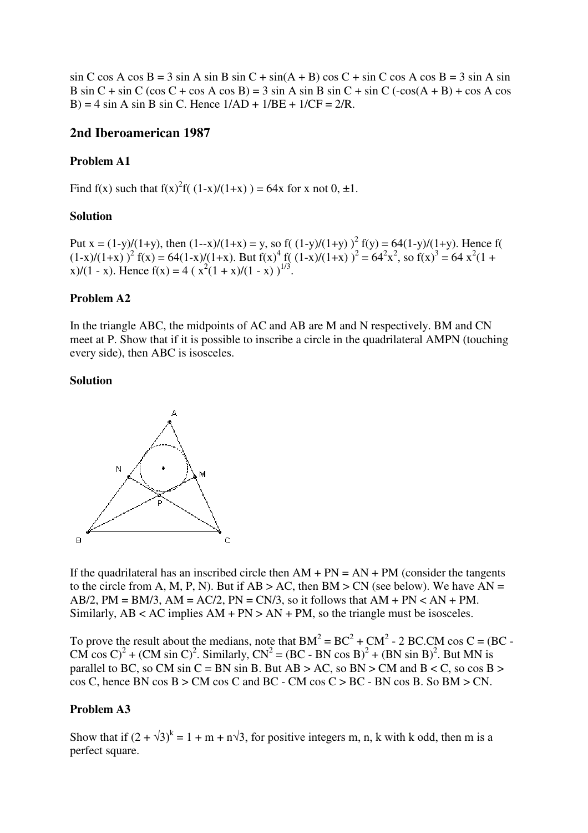$\sin C \cos A \cos B = 3 \sin A \sin B \sin C + \sin(A + B) \cos C + \sin C \cos A \cos B = 3 \sin A \sin B$ B sin C + sin C (cos C + cos A cos B) = 3 sin A sin B sin C + sin C (-cos(A + B) + cos A cos B) = 4 sin A sin B sin C. Hence  $1/AD + 1/BE + 1/CF = 2/R$ .

## **2nd Iberoamerican 1987**

#### **Problem A1**

Find f(x) such that  $f(x)^{2}f((1-x)/(1+x)) = 64x$  for x not 0, ±1.

#### **Solution**

Put  $x = (1-y)/(1+y)$ , then  $(1-x)/(1+x) = y$ , so f( $(1-y)/(1+y)$ )<sup>2</sup> f(y) = 64(1-y)/(1+y). Hence f(  $(1-x)/(1+x)$ )<sup>2</sup> f(x) = 64(1-x)/(1+x). But f(x)<sup>4</sup> f((1-x)/(1+x))<sup>2</sup> = 64<sup>2</sup>x<sup>2</sup>, so f(x)<sup>3</sup> = 64 x<sup>2</sup>(1+ x $y/(1 - x)$ . Hence f(x) = 4 ( $x^2(1 + x)/(1 - x)$ )<sup>1/3</sup>.

#### **Problem A2**

In the triangle ABC, the midpoints of AC and AB are M and N respectively. BM and CN meet at P. Show that if it is possible to inscribe a circle in the quadrilateral AMPN (touching every side), then ABC is isosceles.

#### **Solution**



If the quadrilateral has an inscribed circle then  $AM + PN = AN + PM$  (consider the tangents to the circle from A, M, P, N). But if  $AB > AC$ , then BM  $> CN$  (see below). We have  $AN =$ AB/2, PM = BM/3, AM = AC/2, PN = CN/3, so it follows that  $AM + PN < AN + PM$ . Similarly,  $AB < AC$  implies  $AM + PN > AN + PM$ , so the triangle must be isosceles.

To prove the result about the medians, note that  $BM^2 = BC^2 + CM^2 - 2 BC$ . CM cos C = (BC -CM cos C)<sup>2</sup> + (CM sin C)<sup>2</sup>. Similarly, CN<sup>2</sup> = (BC - BN cos B)<sup>2</sup> + (BN sin B)<sup>2</sup>. But MN is parallel to BC, so CM sin C = BN sin B. But AB > AC, so BN > CM and B < C, so  $\cos B$  >  $\cos C$ , hence BN  $\cos B > CM$   $\cos C$  and BC - CM  $\cos C > BC$  - BN  $\cos B$ . So BM  $> CN$ .

### **Problem A3**

Show that if  $(2 + \sqrt{3})^k = 1 + m + n\sqrt{3}$ , for positive integers m, n, k with k odd, then m is a perfect square.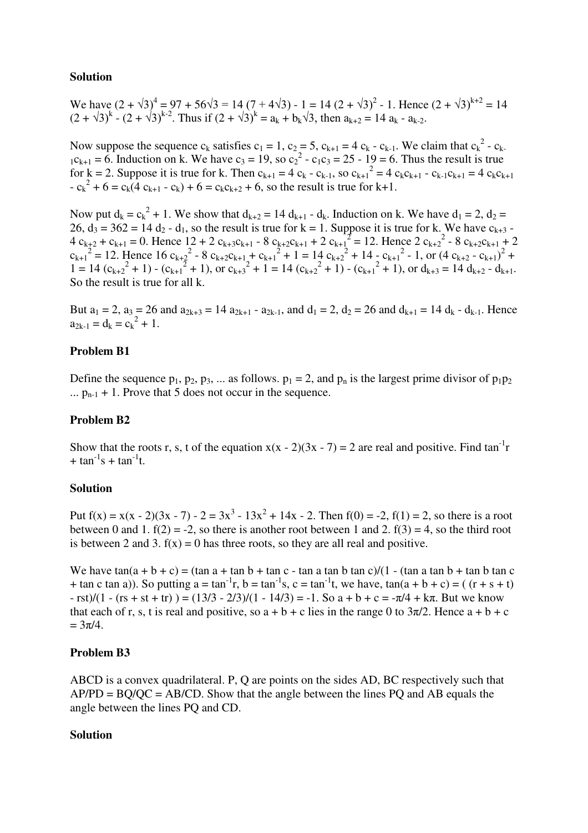### **Solution**

We have  $(2 + \sqrt{3})^4 = 97 + 56\sqrt{3} = 14(7 + 4\sqrt{3}) - 1 = 14(2 + \sqrt{3})^2 - 1$ . Hence  $(2 + \sqrt{3})^{k+2} = 14$  $(2 + \sqrt{3})^k - (2 + \sqrt{3})^{k-2}$ . Thus if  $(2 + \sqrt{3})^k = a_k + b_k\sqrt{3}$ , then  $a_{k+2} = 14 a_k - a_{k-2}$ .

Now suppose the sequence  $c_k$  satisfies  $c_1 = 1$ ,  $c_2 = 5$ ,  $c_{k+1} = 4$   $c_k$  -  $c_{k-1}$ . We claim that  $c_k^2$  -  $c_k$ .  $_{1}c_{k+1} = 6$ . Induction on k. We have  $c_3 = 19$ , so  $c_2^2 - c_1c_3 = 25 - 19 = 6$ . Thus the result is true for  $k = 2$ . Suppose it is true for k. Then  $c_{k+1} = 4 c_k - c_{k-1}$ , so  $c_{k+1}^2 = 4 c_k c_{k+1} - c_{k-1} c_{k+1} = 4 c_k c_{k+1}$  $-c_k^2 + 6 = c_k(4 \ c_{k+1} - c_k) + 6 = c_k c_{k+2} + 6$ , so the result is true for k+1.

Now put  $d_k = c_k^2 + 1$ . We show that  $d_{k+2} = 14 d_{k+1} - d_k$ . Induction on k. We have  $d_1 = 2$ ,  $d_2 =$  $26$ ,  $d_3 = 362 = 14$   $d_2$  -  $d_1$ , so the result is true for k = 1. Suppose it is true for k. We have  $c_{k+3}$  - $4 c_{k+2} + c_{k+1} = 0$ . Hence  $12 + 2 c_{k+3}c_{k+1} - 8 c_{k+2}c_{k+1} + 2 c_{k+1}^2 = 12$ . Hence  $2 c_{k+2}^2 - 8 c_{k+2}c_{k+1} + 2 c_{k+2}^2 = 12$  $c_{k+1}^2$  = 12. Hence 16  $c_{k+2}^2$  - 8  $c_{k+2}c_{k+1}$  +  $c_{k+1}^2$  + 1 = 14  $c_{k+2}^2$  + 14  $\frac{1}{2}c_{k+1}^2$  - 1, or  $(4 c_{k+2} - c_{k+1})^2$  +  $1 = 14 (c_{k+2}^2 + 1) - (c_{k+1}^2 + 1)$ , or  $c_{k+3}^2 + 1 = 14 (c_{k+2}^2 + 1) - (c_{k+1}^2 + 1)$ , or  $d_{k+3} = 14 d_{k+2} - d_{k+1}$ . So the result is true for all k.

But  $a_1 = 2$ ,  $a_3 = 26$  and  $a_{2k+3} = 14 a_{2k+1} - a_{2k-1}$ , and  $d_1 = 2$ ,  $d_2 = 26$  and  $d_{k+1} = 14 d_k - d_{k-1}$ . Hence  $a_{2k-1} = d_k = c_k^2 + 1.$ 

### **Problem B1**

Define the sequence  $p_1$ ,  $p_2$ ,  $p_3$ , ... as follows.  $p_1 = 2$ , and  $p_n$  is the largest prime divisor of  $p_1p_2$ ...  $p_{n-1} + 1$ . Prove that 5 does not occur in the sequence.

### **Problem B2**

Show that the roots r, s, t of the equation  $x(x - 2)(3x - 7) = 2$  are real and positive. Find tan<sup>-1</sup>r  $+ \tan^{-1} s + \tan^{-1} t.$ 

### **Solution**

Put  $f(x) = x(x - 2)(3x - 7) - 2 = 3x^3 - 13x^2 + 14x - 2$ . Then  $f(0) = -2$ ,  $f(1) = 2$ , so there is a root between 0 and 1.  $f(2) = -2$ , so there is another root between 1 and 2.  $f(3) = 4$ , so the third root is between 2 and 3.  $f(x) = 0$  has three roots, so they are all real and positive.

We have  $tan(a + b + c) = (tan a + tan b + tan c - tan a tan b tan c)/(1 - (tan a tan b + tan b tan c)$ + tan c tan a)). So putting  $a = \tan^{-1}r$ ,  $b = \tan^{-1}s$ ,  $c = \tan^{-1}t$ , we have,  $\tan(a + b + c) = (r + s + t)$  $-\text{rst}$ /(1 - (rs + st + tr)) = (13/3 - 2/3)/(1 - 14/3) = -1. So a + b + c = - $\pi$ /4 + k $\pi$ . But we know that each of r, s, t is real and positive, so  $a + b + c$  lies in the range 0 to  $3\pi/2$ . Hence  $a + b + c$  $= 3\pi/4.$ 

### **Problem B3**

ABCD is a convex quadrilateral. P, Q are points on the sides AD, BC respectively such that  $AP/PD = BO/OC = AB/CD$ . Show that the angle between the lines PQ and AB equals the angle between the lines PQ and CD.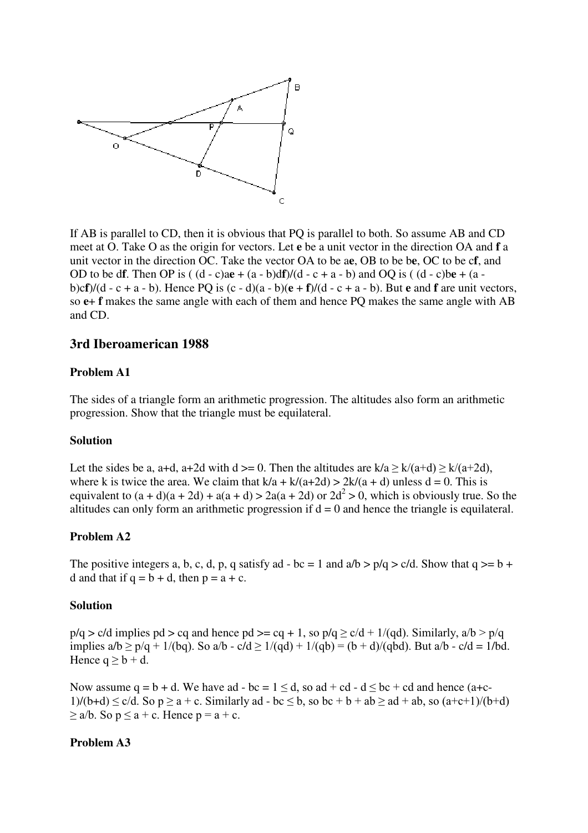

If AB is parallel to CD, then it is obvious that PQ is parallel to both. So assume AB and CD meet at O. Take O as the origin for vectors. Let **e** be a unit vector in the direction OA and **f** a unit vector in the direction OC. Take the vector OA to be a**e**, OB to be b**e**, OC to be c**f**, and OD to be d**f**. Then OP is ( $(d - c)ae + (a - b)df$ )/ $(d - c + a - b)$  and OQ is ( $(d - c)be + (a - c)af$ ) b)c**f**)/(d - c + a - b). Hence PQ is (c - d)(a - b)(**e** + **f**)/(d - c + a - b). But **e** and **f** are unit vectors, so **e**+ **f** makes the same angle with each of them and hence PQ makes the same angle with AB and CD.

## **3rd Iberoamerican 1988**

#### **Problem A1**

The sides of a triangle form an arithmetic progression. The altitudes also form an arithmetic progression. Show that the triangle must be equilateral.

#### **Solution**

Let the sides be a, a+d, a+2d with  $d \ge 0$ . Then the altitudes are  $k/a \ge k/(a+d) \ge k/(a+2d)$ , where k is twice the area. We claim that  $k/a + k/(a+2d) > 2k/(a+d)$  unless d = 0. This is equivalent to  $(a + d)(a + 2d) + a(a + d) > 2a(a + 2d)$  or  $2d^2 > 0$ , which is obviously true. So the altitudes can only form an arithmetic progression if  $d = 0$  and hence the triangle is equilateral.

### **Problem A2**

The positive integers a, b, c, d, p, q satisfy ad - bc = 1 and  $a/b > p/q > c/d$ . Show that  $q > = b +$ d and that if  $q = b + d$ , then  $p = a + c$ .

#### **Solution**

 $p/q > c/d$  implies  $pd > cq$  and hence  $pd > cq + 1$ , so  $p/q \ge c/d + 1/(qd)$ . Similarly,  $a/b > p/q$ implies  $a/b \ge p/q + 1/(bq)$ . So  $a/b - c/d \ge 1/(qd) + 1/(qb) = (b + d)/(qbd)$ . But  $a/b - c/d = 1/bd$ . Hence  $q \ge b + d$ .

Now assume  $q = b + d$ . We have ad - bc = 1 < d, so ad + cd - d < bc + cd and hence (a+c- $1/(b+d) \le c/d$ . So  $p \ge a + c$ . Similarly ad - bc  $\le b$ , so bc + b + ab  $\ge ad + ab$ , so  $(a+c+1)/(b+d)$  $\geq$  a/b. So  $p \leq a + c$ . Hence  $p = a + c$ .

#### **Problem A3**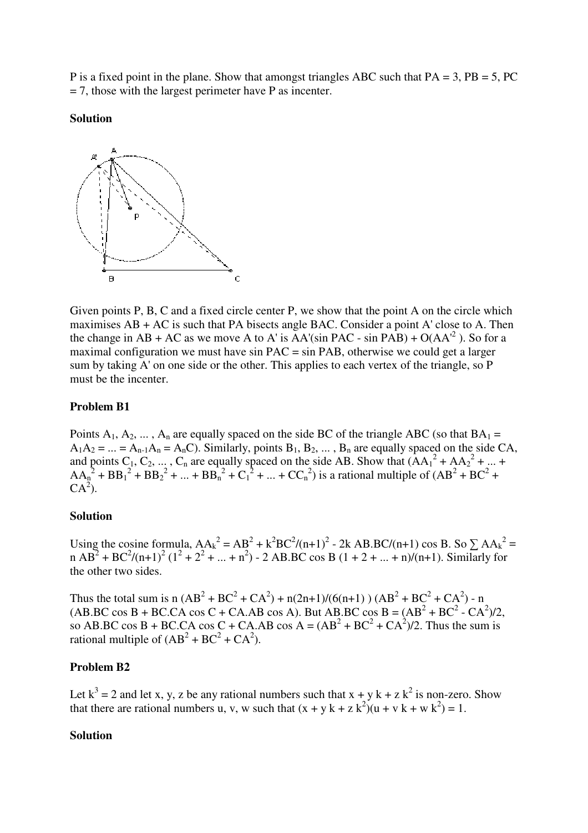P is a fixed point in the plane. Show that amongst triangles ABC such that  $PA = 3$ ,  $PB = 5$ ,  $PC$  $= 7$ , those with the largest perimeter have P as incenter.

#### **Solution**



Given points P, B, C and a fixed circle center P, we show that the point A on the circle which maximises AB + AC is such that PA bisects angle BAC. Consider a point A' close to A. Then the change in AB + AC as we move A to A' is  $AA'(sin$  PAC - sin PAB) + O( $AA'^2$ ). So for a maximal configuration we must have sin PAC = sin PAB, otherwise we could get a larger sum by taking A' on one side or the other. This applies to each vertex of the triangle, so P must be the incenter.

#### **Problem B1**

Points  $A_1, A_2, \ldots, A_n$  are equally spaced on the side BC of the triangle ABC (so that  $BA_1 =$  $A_1A_2 = ... = A_{n-1}A_n = A_nC$ . Similarly, points  $B_1, B_2, ..., B_n$  are equally spaced on the side CA, and points  $C_1, C_2, ..., C_n$  are equally spaced on the side AB. Show that  $(AA_1^2 + AA_2^2 + ... +$  $AA_n^2 + BB_1^2 + BB_2^2 + ... + BB_n^2 + C_1^2 + ... + CC_n^2$  is a rational multiple of  $(AB^2 + BC^2 +$  $CA<sup>2</sup>$ ).

#### **Solution**

Using the cosine formula,  $AA_k^2 = AB^2 + k^2 BC^2/(n+1)^2 - 2k AB.BC/(n+1) \cos B$ . So  $\sum AA_k^2 =$ n AB<sup>2</sup> + BC<sup>2</sup>/(n+1)<sup>2</sup> (1<sup>2</sup> + 2<sup>2</sup> + ... + n<sup>2</sup>) - 2 AB.BC cos B (1 + 2 + ... + n)/(n+1). Similarly for the other two sides.

Thus the total sum is n  $(AB^2 + BC^2 + CA^2) + n(2n+1)/(6(n+1)) (AB^2 + BC^2 + CA^2) - n$  $(AB, BC \cos B + BC, CA \cos C + CA, AB \cos A)$ . But AB.BC  $\cos B = (AB^2 + BC^2 - CA^2)/2$ , so AB.BC cos B + BC.CA cos C + CA.AB cos A =  $(AB<sup>2</sup> + BC<sup>2</sup> + CA<sup>2</sup>)/2$ . Thus the sum is rational multiple of  $(AB^2 + BC^2 + CA^2)$ .

### **Problem B2**

Let  $k^3 = 2$  and let x, y, z be any rational numbers such that  $x + y k + z k^2$  is non-zero. Show that there are rational numbers u, v, w such that  $(x + y k + z k^2)(u + v k + w k^2) = 1$ .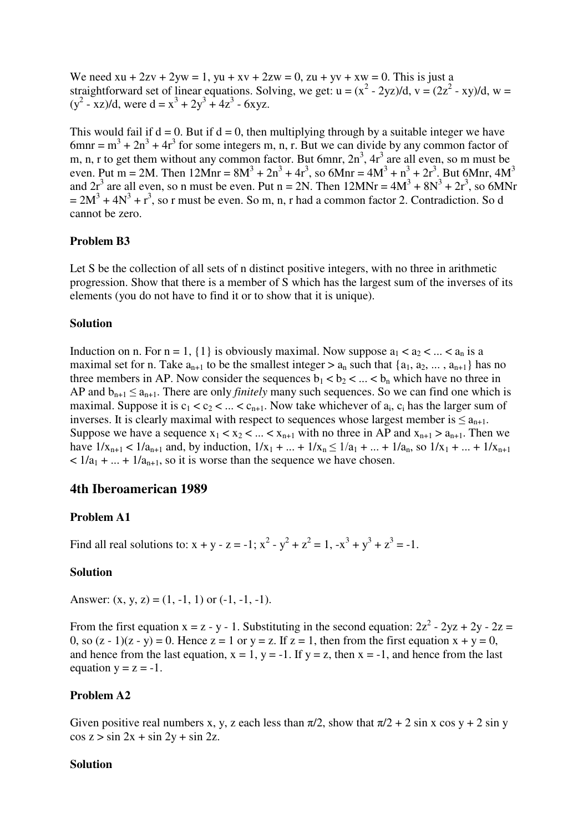We need  $xu + 2zy + 2yw = 1$ ,  $yu + xv + 2zw = 0$ ,  $zu + yv + xw = 0$ . This is just a straightforward set of linear equations. Solving, we get:  $u = (x^2 - 2yz)/d$ ,  $v = (2z^2 - xy)/d$ ,  $w =$  $(y^2 - xz)/d$ , were  $d = x^3 + 2y^3 + 4z^3 - 6xyz$ .

This would fail if  $d = 0$ . But if  $d = 0$ , then multiplying through by a suitable integer we have 6mnr =  $m^3 + 2n^3 + 4r^3$  for some integers m, n, r. But we can divide by any common factor of m, n, r to get them without any common factor. But 6mnr,  $2n<sup>3</sup>$ ,  $4r<sup>3</sup>$  are all even, so m must be even. Put m = 2M. Then  $12Mnr = 8M^3 + 2n^3 + 4r^3$ , so  $6Mnr = 4M^3 + n^3 + 2r^3$ . But  $6Mnr$ ,  $4M^3$ and  $2r^3$  are all even, so n must be even. Put n = 2N. Then  $12MNr = 4M^3 + 8N^3 + 2r^3$ , so 6MNr  $= 2M^3 + 4N^3 + r^3$ , so r must be even. So m, n, r had a common factor 2. Contradiction. So d cannot be zero.

#### **Problem B3**

Let S be the collection of all sets of n distinct positive integers, with no three in arithmetic progression. Show that there is a member of S which has the largest sum of the inverses of its elements (you do not have to find it or to show that it is unique).

#### **Solution**

Induction on n. For  $n = 1$ ,  $\{1\}$  is obviously maximal. Now suppose  $a_1 < a_2 < ... < a_n$  is a maximal set for n. Take  $a_{n+1}$  to be the smallest integer  $>a_n$  such that  $\{a_1, a_2, ..., a_{n+1}\}$  has no three members in AP. Now consider the sequences  $b_1 < b_2 < ... < b_n$  which have no three in AP and  $b_{n+1} \le a_{n+1}$ . There are only *finitely* many such sequences. So we can find one which is maximal. Suppose it is  $c_1 < c_2 < ... < c_{n+1}$ . Now take whichever of  $a_i$ ,  $c_i$  has the larger sum of inverses. It is clearly maximal with respect to sequences whose largest member is  $\leq a_{n+1}$ . Suppose we have a sequence  $x_1 < x_2 < ... < x_{n+1}$  with no three in AP and  $x_{n+1} > a_{n+1}$ . Then we have  $1/x_{n+1} < 1/a_{n+1}$  and, by induction,  $1/x_1 + ... + 1/x_n \le 1/a_1 + ... + 1/a_n$ , so  $1/x_1 + ... + 1/x_{n+1}$  $\langle 1/a_1 + ... + 1/a_{n+1} \rangle$ , so it is worse than the sequence we have chosen.

#### **4th Iberoamerican 1989**

#### **Problem A1**

Find all real solutions to:  $x + y - z = -1$ ;  $x^2 - y^2 + z^2 = 1$ ,  $-x^3 + y^3 + z^3 = -1$ .

#### **Solution**

Answer:  $(x, y, z) = (1, -1, 1)$  or  $(-1, -1, -1)$ .

From the first equation  $x = z - y - 1$ . Substituting in the second equation:  $2z^2 - 2yz + 2y - 2z = 1$ 0, so  $(z - 1)(z - y) = 0$ . Hence  $z = 1$  or  $y = z$ . If  $z = 1$ , then from the first equation  $x + y = 0$ , and hence from the last equation,  $x = 1$ ,  $y = -1$ . If  $y = z$ , then  $x = -1$ , and hence from the last equation  $y = z = -1$ .

#### **Problem A2**

Given positive real numbers x, y, z each less than  $\pi/2$ , show that  $\pi/2 + 2 \sin x \cos y + 2 \sin y$  $\cos z > \sin 2x + \sin 2y + \sin 2z$ .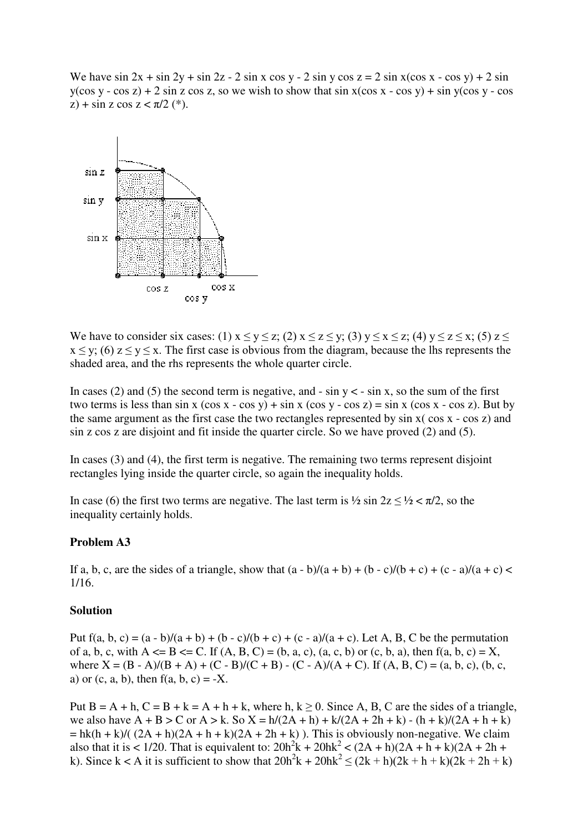We have  $\sin 2x + \sin 2y + \sin 2z - 2 \sin x \cos y - 2 \sin y \cos z = 2 \sin x(\cos x - \cos y) + 2 \sin x$  $y(\cos y - \cos z) + 2 \sin z \cos z$ , so we wish to show that  $\sin x(\cos x - \cos y) + \sin y(\cos y - \cos z)$  $(z)$  + sin z cos z <  $\pi/2$  (\*).



We have to consider six cases: (1)  $x \le y \le z$ ; (2)  $x \le z \le y$ ; (3)  $y \le x \le z$ ; (4)  $y \le z \le x$ ; (5)  $z \le$  $x \le y$ ; (6)  $z \le y \le x$ . The first case is obvious from the diagram, because the lhs represents the shaded area, and the rhs represents the whole quarter circle.

In cases (2) and (5) the second term is negative, and - sin  $y < -\sin x$ , so the sum of the first two terms is less than sin x  $(\cos x - \cos y) + \sin x (\cos y - \cos z) = \sin x (\cos x - \cos z)$ . But by the same argument as the first case the two rectangles represented by sin x( cos x - cos z) and sin z cos z are disjoint and fit inside the quarter circle. So we have proved (2) and (5).

In cases (3) and (4), the first term is negative. The remaining two terms represent disjoint rectangles lying inside the quarter circle, so again the inequality holds.

In case (6) the first two terms are negative. The last term is  $\frac{1}{2}$  sin  $2z \leq \frac{1}{2} < \pi/2$ , so the inequality certainly holds.

#### **Problem A3**

If a, b, c, are the sides of a triangle, show that  $(a - b)/(a + b) + (b - c)/(b + c) + (c - a)/(a + c) <$ 1/16.

#### **Solution**

Put  $f(a, b, c) = (a - b)/(a + b) + (b - c)/(b + c) + (c - a)/(a + c)$ . Let A, B, C be the permutation of a, b, c, with  $A \leq B \leq C$ . If  $(A, B, C) = (b, a, c), (a, c, b)$  or  $(c, b, a)$ , then  $f(a, b, c) = X$ , where  $X = (B - A)/(B + A) + (C - B)/(C + B) - (C - A)/(A + C)$ . If  $(A, B, C) = (a, b, c), (b, c, c)$ a) or  $(c, a, b)$ , then  $f(a, b, c) = -X$ .

Put  $B = A + h$ ,  $C = B + k = A + h + k$ , where h,  $k \ge 0$ . Since A, B, C are the sides of a triangle, we also have  $A + B > C$  or  $A > k$ . So  $X = h/(2A + h) + k/(2A + 2h + k) - (h + k)/(2A + h + k)$  $=$  hk(h + k)/(  $(2A + h)(2A + h + k)(2A + 2h + k)$ ). This is obviously non-negative. We claim also that it is < 1/20. That is equivalent to:  $20h^2k + 20hk^2 < (2A + h)(2A + h + k)(2A + 2h +$ k). Since k < A it is sufficient to show that  $20h^2k + 20hk^2 \le (2k + h)(2k + h + k)(2k + 2h + k)$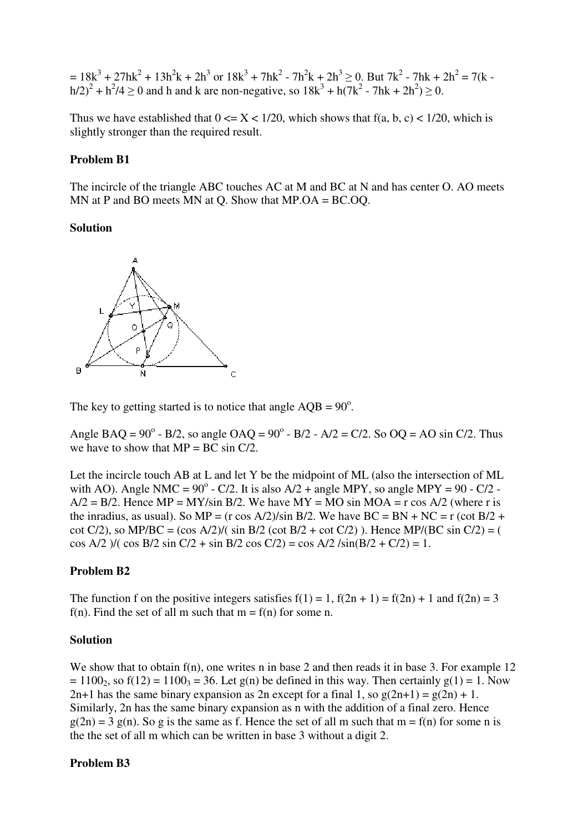$= 18k^3 + 27hk^2 + 13h^2k + 2h^3$  or  $18k^3 + 7hk^2 - 7h^2k + 2h^3 \ge 0$ . But  $7k^2 - 7hk + 2h^2 = 7(k - 1)$  $(h/2)^{2} + h^{2}/4 \ge 0$  and h and k are non-negative, so  $18k^{3} + h(7k^{2} - 7hk + 2h^{2}) \ge 0$ .

Thus we have established that  $0 \le X \le 1/20$ , which shows that  $f(a, b, c) < 1/20$ , which is slightly stronger than the required result.

#### **Problem B1**

The incircle of the triangle ABC touches AC at M and BC at N and has center O. AO meets MN at P and BO meets MN at Q. Show that MP.OA = BC.OQ.

#### **Solution**



The key to getting started is to notice that angle  $AQB = 90^\circ$ .

Angle BAQ =  $90^{\circ}$  - B/2, so angle OAQ =  $90^{\circ}$  - B/2 - A/2 = C/2. So OQ = AO sin C/2. Thus we have to show that  $MP = BC \sin C/2$ .

Let the incircle touch AB at L and let Y be the midpoint of ML (also the intersection of ML with AO). Angle NMC =  $90^{\circ}$  - C/2. It is also A/2 + angle MPY, so angle MPY =  $90$  - C/2 - $A/2 = B/2$ . Hence MP = MY/sin B/2. We have MY = MO sin MOA = r cos A/2 (where r is the inradius, as usual). So MP = (r cos A/2)/sin B/2. We have BC = BN + NC = r (cot B/2 + cot C/2), so MP/BC =  $(\cos A/2)/(\sin B/2 (\cot B/2 + \cot C/2))$ . Hence MP/(BC sin C/2) = ( cos A/2 )/( cos B/2 sin C/2 + sin B/2 cos C/2) = cos A/2 /sin(B/2 + C/2) = 1.

### **Problem B2**

The function f on the positive integers satisfies  $f(1) = 1$ ,  $f(2n + 1) = f(2n) + 1$  and  $f(2n) = 3$ f(n). Find the set of all m such that  $m = f(n)$  for some n.

#### **Solution**

We show that to obtain f(n), one writes n in base 2 and then reads it in base 3. For example 12  $= 1100<sub>2</sub>$ , so f(12) = 1100<sub>3</sub> = 36. Let g(n) be defined in this way. Then certainly g(1) = 1. Now  $2n+1$  has the same binary expansion as  $2n$  except for a final 1, so  $g(2n+1) = g(2n) + 1$ . Similarly, 2n has the same binary expansion as n with the addition of a final zero. Hence  $g(2n) = 3 g(n)$ . So g is the same as f. Hence the set of all m such that  $m = f(n)$  for some n is the the set of all m which can be written in base 3 without a digit 2.

#### **Problem B3**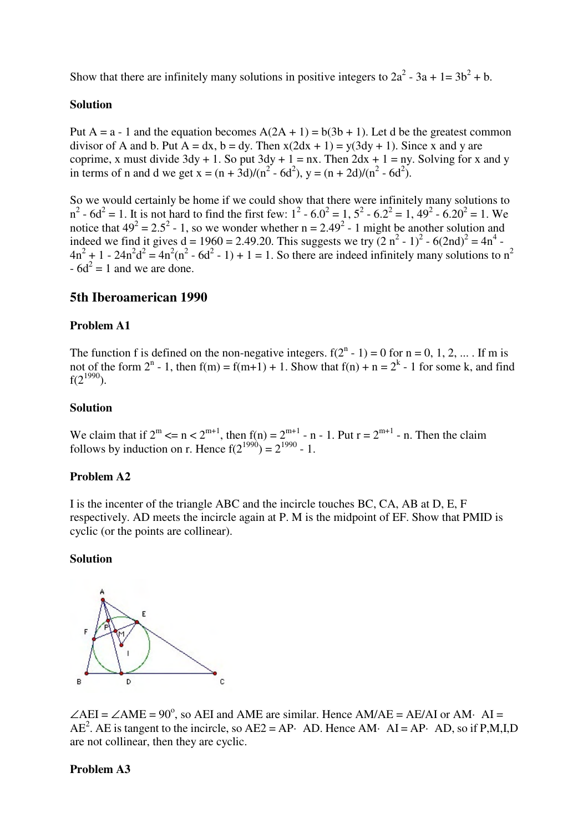Show that there are infinitely many solutions in positive integers to  $2a^2 - 3a + 1 = 3b^2 + b$ .

### **Solution**

Put A = a - 1 and the equation becomes  $A(2A + 1) = b(3b + 1)$ . Let d be the greatest common divisor of A and b. Put  $A = dx$ ,  $b = dy$ . Then  $x(2dx + 1) = y(3dy + 1)$ . Since x and y are coprime, x must divide  $3dy + 1$ . So put  $3dy + 1 = nx$ . Then  $2dx + 1 = ny$ . Solving for x and y in terms of n and d we get  $x = (n + 3d)/(n^2 - 6d^2)$ ,  $y = (n + 2d)/(n^2 - 6d^2)$ .

So we would certainly be home if we could show that there were infinitely many solutions to  $n^2 - 6d^2 = 1$ . It is not hard to find the first few:  $1^2 - 6.0^2 = 1$ ,  $5^2 - 6.2^2 = 1$ ,  $49^2 - 6.20^2 = 1$ . We notice that  $49^2 = 2.5^2 - 1$ , so we wonder whether n = 2.49<sup>2</sup> - 1 might be another solution and indeed we find it gives  $d = 1960 = 2.49.20$ . This suggests we try  $(2 n^2 - 1)^2 - 6(2nd)^2 = 4n^4$  $4n^2 + 1 - 24n^2d^2 = 4n^2(n^2 - 6d^2 - 1) + 1 = 1$ . So there are indeed infinitely many solutions to  $n^2$  $-6d^2 = 1$  and we are done.

# **5th Iberoamerican 1990**

### **Problem A1**

The function f is defined on the non-negative integers.  $f(2^n - 1) = 0$  for  $n = 0, 1, 2, ...$  If m is not of the form  $2^n - 1$ , then  $f(m) = f(m+1) + 1$ . Show that  $f(n) + n = 2^k - 1$  for some k, and find  $f(2^{1990})$ .

#### **Solution**

We claim that if  $2^m \le n \le 2^{m+1}$ , then  $f(n) = 2^{m+1}$  - n - 1. Put  $r = 2^{m+1}$  - n. Then the claim follows by induction on r. Hence  $f(2^{1990}) = 2^{1990} - 1$ .

### **Problem A2**

I is the incenter of the triangle ABC and the incircle touches BC, CA, AB at D, E, F respectively. AD meets the incircle again at P. M is the midpoint of EF. Show that PMID is cyclic (or the points are collinear).

#### **Solution**



 $\angle$ AEI =  $\angle$ AME = 90°, so AEI and AME are similar. Hence AM/AE = AE/AI or AM· AI =  $AE^2$ . AE is tangent to the incircle, so  $AE2 = AP$  AD. Hence AM· AI = AP· AD, so if P,M,I,D are not collinear, then they are cyclic.

#### **Problem A3**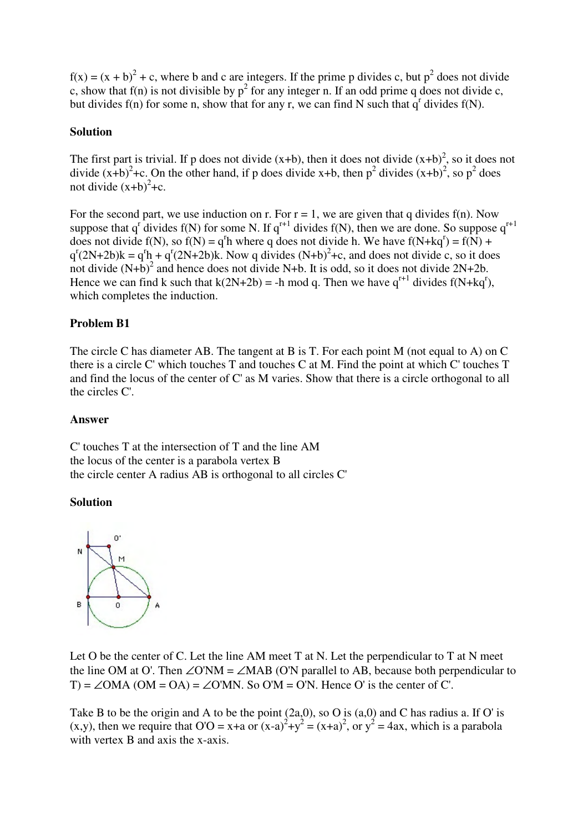$f(x) = (x + b)^2 + c$ , where b and c are integers. If the prime p divides c, but  $p^2$  does not divide c, show that  $f(n)$  is not divisible by  $p^2$  for any integer n. If an odd prime q does not divide c, but divides  $f(n)$  for some n, show that for any r, we can find N such that  $q<sup>r</sup>$  divides  $f(N)$ .

#### **Solution**

The first part is trivial. If p does not divide  $(x+b)$ , then it does not divide  $(x+b)^2$ , so it does not divide  $(x+b)^2$ +c. On the other hand, if p does divide x+b, then  $p^2$  divides  $(x+b)^2$ , so  $p^2$  does not divide  $(x+b)^2+c$ .

For the second part, we use induction on r. For  $r = 1$ , we are given that q divides  $f(n)$ . Now suppose that  $q^r$  divides  $f(N)$  for some N. If  $q^{r+1}$  divides  $f(N)$ , then we are done. So suppose  $q^{r+1}$ does not divide  $f(N)$ , so  $f(N) = q<sup>r</sup>h$  where q does not divide h. We have  $f(N+kq<sup>r</sup>) = f(N) +$  $q^{r}(2N+2b)k = q^{r}h + q^{r}(2N+2b)k$ . Now q divides  $(N+b)^{2}+c$ , and does not divide c, so it does not divide  $(N+b)^2$  and hence does not divide N+b. It is odd, so it does not divide  $2N+2b$ . Hence we can find k such that  $k(2N+2b) = -h \text{ mod } q$ . Then we have  $q^{r+1}$  divides  $f(N+kq^r)$ , which completes the induction.

### **Problem B1**

The circle C has diameter AB. The tangent at B is T. For each point M (not equal to A) on C there is a circle C' which touches T and touches C at M. Find the point at which C' touches T and find the locus of the center of C' as M varies. Show that there is a circle orthogonal to all the circles C'.

#### **Answer**

C' touches T at the intersection of T and the line AM the locus of the center is a parabola vertex B the circle center A radius AB is orthogonal to all circles C'

### **Solution**



Let O be the center of C. Let the line AM meet T at N. Let the perpendicular to T at N meet the line OM at O'. Then  $\angle$ O'NM =  $\angle$ MAB (O'N parallel to AB, because both perpendicular to T) =  $\angle$ OMA (OM = OA) =  $\angle$ O'MN. So O'M = O'N. Hence O' is the center of C'.

Take B to be the origin and A to be the point (2a,0), so O is (a,0) and C has radius a. If O' is (x,y), then we require that  $O'O = x+a$  or  $(x-a)^2+y^2 = (x+a)^2$ , or  $y^2 = 4ax$ , which is a parabola with vertex B and axis the x-axis.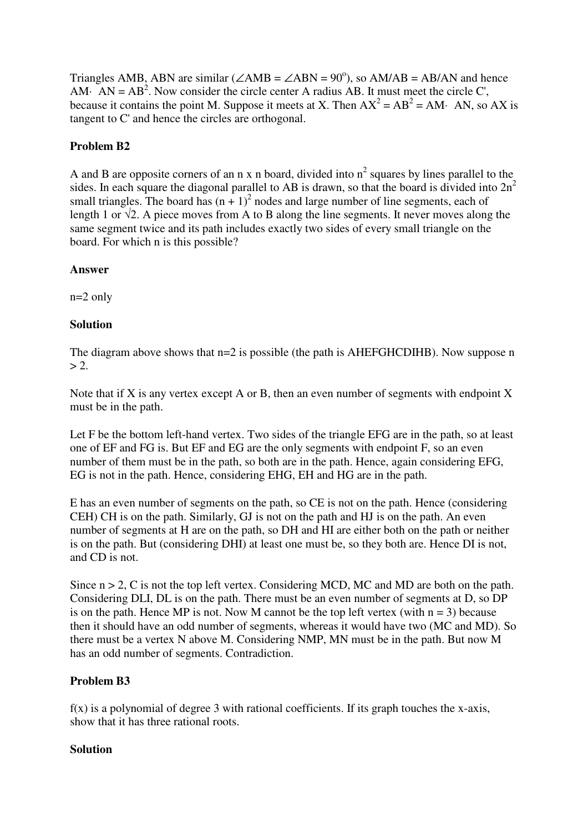Triangles AMB, ABN are similar ( $\angle$ AMB =  $\angle$ ABN = 90<sup>o</sup>), so AM/AB = AB/AN and hence AM· AN =  $AB^2$ . Now consider the circle center A radius AB. It must meet the circle C', because it contains the point M. Suppose it meets at X. Then  $AX^2 = AB^2 = AM$  AN, so AX is tangent to C' and hence the circles are orthogonal.

# **Problem B2**

A and B are opposite corners of an n x n board, divided into  $n^2$  squares by lines parallel to the sides. In each square the diagonal parallel to AB is drawn, so that the board is divided into  $2n^2$ small triangles. The board has  $(n + 1)^2$  nodes and large number of line segments, each of length 1 or  $\sqrt{2}$ . A piece moves from A to B along the line segments. It never moves along the same segment twice and its path includes exactly two sides of every small triangle on the board. For which n is this possible?

## **Answer**

n=2 only

# **Solution**

The diagram above shows that  $n=2$  is possible (the path is AHEFGHCDIHB). Now suppose n  $> 2$ .

Note that if X is any vertex except A or B, then an even number of segments with endpoint X must be in the path.

Let F be the bottom left-hand vertex. Two sides of the triangle EFG are in the path, so at least one of EF and FG is. But EF and EG are the only segments with endpoint F, so an even number of them must be in the path, so both are in the path. Hence, again considering EFG, EG is not in the path. Hence, considering EHG, EH and HG are in the path.

E has an even number of segments on the path, so CE is not on the path. Hence (considering CEH) CH is on the path. Similarly, GJ is not on the path and HJ is on the path. An even number of segments at H are on the path, so DH and HI are either both on the path or neither is on the path. But (considering DHI) at least one must be, so they both are. Hence DI is not, and CD is not.

Since  $n > 2$ , C is not the top left vertex. Considering MCD, MC and MD are both on the path. Considering DLI, DL is on the path. There must be an even number of segments at D, so DP is on the path. Hence MP is not. Now M cannot be the top left vertex (with  $n = 3$ ) because then it should have an odd number of segments, whereas it would have two (MC and MD). So there must be a vertex N above M. Considering NMP, MN must be in the path. But now M has an odd number of segments. Contradiction.

# **Problem B3**

 $f(x)$  is a polynomial of degree 3 with rational coefficients. If its graph touches the x-axis, show that it has three rational roots.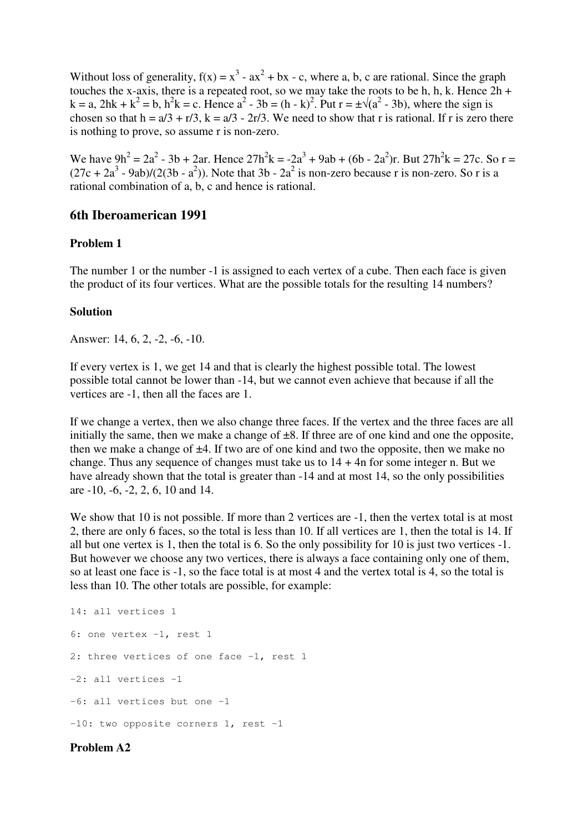Without loss of generality,  $f(x) = x^3 - ax^2 + bx - c$ , where a, b, c are rational. Since the graph touches the x-axis, there is a repeated root, so we may take the roots to be h, h, k. Hence  $2h +$  $k = a$ ,  $2hk + k^2 = b$ ,  $h^2k = c$ . Hence  $a^2 - 3b = (h - k)^2$ . Put  $r = \pm \sqrt{(a^2 - 3b)}$ , where the sign is chosen so that  $h = a/3 + r/3$ ,  $k = a/3 - 2r/3$ . We need to show that r is rational. If r is zero there is nothing to prove, so assume r is non-zero.

We have  $9h^2 = 2a^2 - 3b + 2ar$ . Hence  $27h^2k = -2a^3 + 9ab + (6b - 2a^2)r$ . But  $27h^2k = 27c$ . So r =  $(27c + 2a<sup>3</sup> - 9ab)/(2(3b - a<sup>2</sup>))$ . Note that 3b -  $2a<sup>2</sup>$  is non-zero because r is non-zero. So r is a rational combination of a, b, c and hence is rational.

### **6th Iberoamerican 1991**

### **Problem 1**

The number 1 or the number -1 is assigned to each vertex of a cube. Then each face is given the product of its four vertices. What are the possible totals for the resulting 14 numbers?

### **Solution**

Answer: 14, 6, 2, -2, -6, -10.

If every vertex is 1, we get 14 and that is clearly the highest possible total. The lowest possible total cannot be lower than -14, but we cannot even achieve that because if all the vertices are -1, then all the faces are 1.

If we change a vertex, then we also change three faces. If the vertex and the three faces are all initially the same, then we make a change of  $\pm 8$ . If three are of one kind and one the opposite, then we make a change of  $\pm 4$ . If two are of one kind and two the opposite, then we make no change. Thus any sequence of changes must take us to  $14 + 4n$  for some integer n. But we have already shown that the total is greater than  $-14$  and at most 14, so the only possibilities are -10, -6, -2, 2, 6, 10 and 14.

We show that 10 is not possible. If more than 2 vertices are  $-1$ , then the vertex total is at most 2, there are only 6 faces, so the total is less than 10. If all vertices are 1, then the total is 14. If all but one vertex is 1, then the total is 6. So the only possibility for 10 is just two vertices -1. But however we choose any two vertices, there is always a face containing only one of them, so at least one face is -1, so the face total is at most 4 and the vertex total is 4, so the total is less than 10. The other totals are possible, for example:

14: all vertices 1 6: one vertex -1, rest 1 2: three vertices of one face -1, rest 1 -2: all vertices -1 -6: all vertices but one -1 -10: two opposite corners 1, rest -1

### **Problem A2**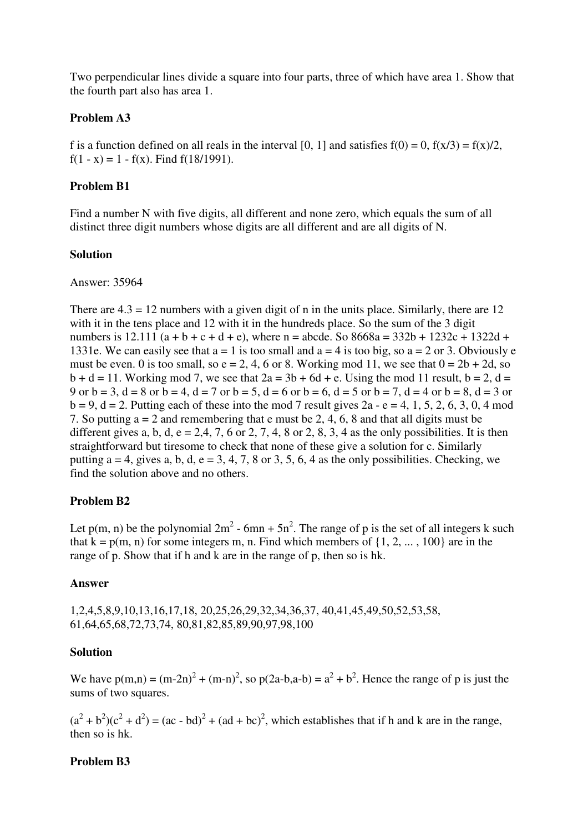Two perpendicular lines divide a square into four parts, three of which have area 1. Show that the fourth part also has area 1.

### **Problem A3**

f is a function defined on all reals in the interval [0, 1] and satisfies  $f(0) = 0$ ,  $f(x/3) = f(x)/2$ , f(1 - x) = 1 - f(x). Find  $f(18/1991)$ .

## **Problem B1**

Find a number N with five digits, all different and none zero, which equals the sum of all distinct three digit numbers whose digits are all different and are all digits of N.

## **Solution**

### Answer: 35964

There are  $4.3 = 12$  numbers with a given digit of n in the units place. Similarly, there are 12 with it in the tens place and 12 with it in the hundreds place. So the sum of the 3 digit numbers is 12.111 (a + b + c + d + e), where n = abcde. So  $8668a = 332b + 1232c + 1322d +$ 1331e. We can easily see that  $a = 1$  is too small and  $a = 4$  is too big, so  $a = 2$  or 3. Obviously e must be even. 0 is too small, so  $e = 2, 4, 6$  or 8. Working mod 11, we see that  $0 = 2b + 2d$ , so  $b + d = 11$ . Working mod 7, we see that  $2a = 3b + 6d + e$ . Using the mod 11 result,  $b = 2$ ,  $d =$ 9 or  $b = 3$ ,  $d = 8$  or  $b = 4$ ,  $d = 7$  or  $b = 5$ ,  $d = 6$  or  $b = 6$ ,  $d = 5$  or  $b = 7$ ,  $d = 4$  or  $b = 8$ ,  $d = 3$  or  $b = 9$ ,  $d = 2$ . Putting each of these into the mod 7 result gives  $2a - e = 4$ , 1, 5, 2, 6, 3, 0, 4 mod 7. So putting a = 2 and remembering that e must be 2, 4, 6, 8 and that all digits must be different gives a, b, d,  $e = 2,4, 7, 6$  or 2, 7, 4, 8 or 2, 8, 3, 4 as the only possibilities. It is then straightforward but tiresome to check that none of these give a solution for c. Similarly putting  $a = 4$ , gives a, b, d, e = 3, 4, 7, 8 or 3, 5, 6, 4 as the only possibilities. Checking, we find the solution above and no others.

# **Problem B2**

Let p(m, n) be the polynomial  $2m^2$  - 6mn + 5n<sup>2</sup>. The range of p is the set of all integers k such that  $k = p(m, n)$  for some integers m, n. Find which members of  $\{1, 2, ..., 100\}$  are in the range of p. Show that if h and k are in the range of p, then so is hk.

# **Answer**

1,2,4,5,8,9,10,13,16,17,18, 20,25,26,29,32,34,36,37, 40,41,45,49,50,52,53,58, 61,64,65,68,72,73,74, 80,81,82,85,89,90,97,98,100

# **Solution**

We have  $p(m,n) = (m-2n)^2 + (m-n)^2$ , so  $p(2a-b, a-b) = a^2 + b^2$ . Hence the range of p is just the sums of two squares.

 $(a<sup>2</sup> + b<sup>2</sup>)(c<sup>2</sup> + d<sup>2</sup>) = (ac - bd)<sup>2</sup> + (ad + bc)<sup>2</sup>$ , which establishes that if h and k are in the range, then so is hk.

# **Problem B3**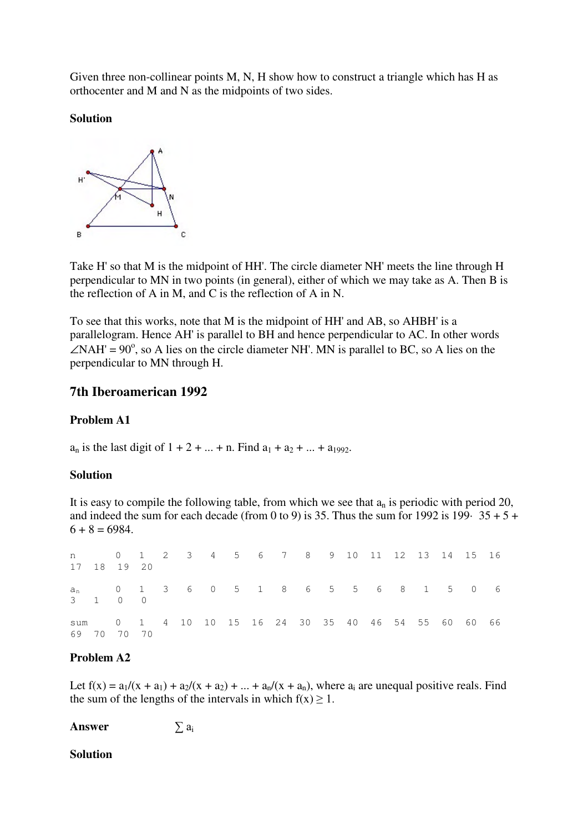Given three non-collinear points M, N, H show how to construct a triangle which has H as orthocenter and M and N as the midpoints of two sides.

## **Solution**



Take H' so that M is the midpoint of HH'. The circle diameter NH' meets the line through H perpendicular to MN in two points (in general), either of which we may take as A. Then B is the reflection of A in M, and C is the reflection of A in N.

To see that this works, note that M is the midpoint of HH' and AB, so AHBH' is a parallelogram. Hence AH' is parallel to BH and hence perpendicular to AC. In other words  $\angle$ NAH' = 90°, so A lies on the circle diameter NH'. MN is parallel to BC, so A lies on the perpendicular to MN through H.

# **7th Iberoamerican 1992**

### **Problem A1**

 $a_n$  is the last digit of  $1 + 2 + ... + n$ . Find  $a_1 + a_2 + ... + a_{1992}$ .

### **Solution**

It is easy to compile the following table, from which we see that  $a_n$  is periodic with period 20, and indeed the sum for each decade (from 0 to 9) is 35. Thus the sum for 1992 is 199 $\cdot$  35 + 5 +  $6 + 8 = 6984.$ 

n 0 1 2 3 4 5 6 7 8 9 10 11 12 13 14 15 16 17 18 19 20 a<sup>n</sup> 0 1 3 6 0 5 1 8 6 5 5 6 8 1 5 0 6 3 1 0 0 sum 0 1 4 10 10 15 16 24 30 35 40 46 54 55 60 60 66 69 70 70 70

# **Problem A2**

Let  $f(x) = a_1/(x + a_1) + a_2/(x + a_2) + ... + a_n/(x + a_n)$ , where  $a_i$  are unequal positive reals. Find the sum of the lengths of the intervals in which  $f(x) \ge 1$ .

**Answer**  $\sum a_i$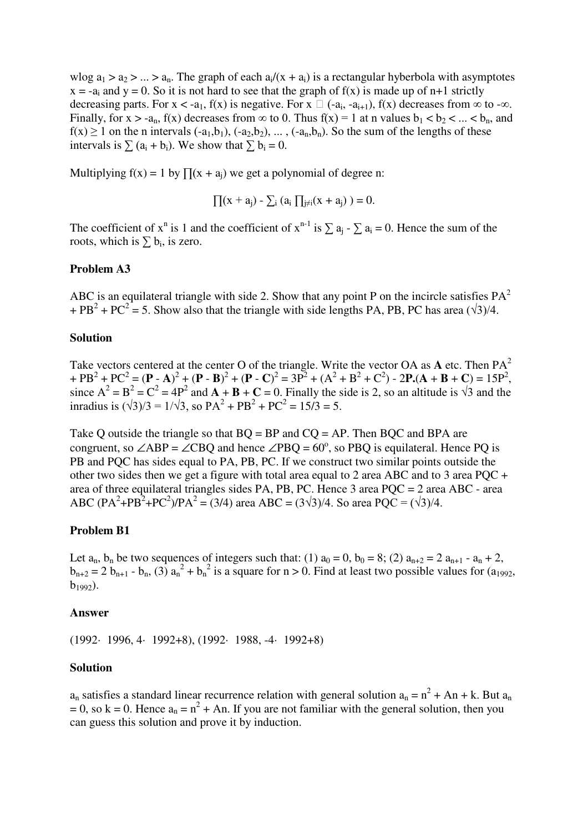wlog  $a_1 > a_2 > ... > a_n$ . The graph of each  $a_i/(x + a_i)$  is a rectangular hyberbola with asymptotes  $x = -a_i$  and  $y = 0$ . So it is not hard to see that the graph of  $f(x)$  is made up of n+1 strictly decreasing parts. For  $x < -a_1$ ,  $f(x)$  is negative. For  $x \square (-a_i, -a_{i+1}), f(x)$  decreases from  $\infty$  to  $-\infty$ . Finally, for  $x > -a_n$ ,  $f(x)$  decreases from  $\infty$  to 0. Thus  $f(x) = 1$  at n values  $b_1 < b_2 < ... < b_n$ , and  $f(x) \ge 1$  on the n intervals  $(-a_1,b_1)$ ,  $(-a_2,b_2)$ , ...,  $(-a_n,b_n)$ . So the sum of the lengths of these intervals is  $\sum (a_i + b_i)$ . We show that  $\sum b_i = 0$ .

Multiplying  $f(x) = 1$  by  $\prod(x + a_i)$  we get a polynomial of degree n:

$$
\prod(x+a_j)\text{ - }\sum_i\ (a_i\ \textstyle\prod_{j\neq i}(x+a_j)\ )=0.
$$

The coefficient of  $x^n$  is 1 and the coefficient of  $x^{n-1}$  is  $\sum a_j - \sum a_i = 0$ . Hence the sum of the roots, which is  $\sum b_i$ , is zero.

#### **Problem A3**

ABC is an equilateral triangle with side 2. Show that any point P on the incircle satisfies  $PA^2$ + PB<sup>2</sup> + PC<sup>2</sup> = 5. Show also that the triangle with side lengths PA, PB, PC has area  $(\sqrt{3})/4$ .

#### **Solution**

Take vectors centered at the center O of the triangle. Write the vector OA as **A** etc. Then PA 2  $+ PB^{2} + PC^{2} = (P - A)^{2} + (P - B)^{2} + (P - C)^{2} = 3P^{2} + (A^{2} + B^{2} + C^{2}) - 2P(A + B + C) = 15P^{2}$ since  $A^2 = B^2 = C^2 = 4P^2$  and  $A + B + C = 0$ . Finally the side is 2, so an altitude is  $\sqrt{3}$  and the inradius is  $(\sqrt{3})/3 = 1/\sqrt{3}$ , so  $PA^2 + PB^2 + PC^2 = 15/3 = 5$ .

Take Q outside the triangle so that  $BQ = BP$  and  $CQ = AP$ . Then  $BQC$  and  $BPA$  are congruent, so  $\angle$ ABP =  $\angle$ CBQ and hence  $\angle$ PBQ = 60°, so PBQ is equilateral. Hence PQ is PB and PQC has sides equal to PA, PB, PC. If we construct two similar points outside the other two sides then we get a figure with total area equal to 2 area ABC and to 3 area PQC + area of three equilateral triangles sides PA, PB, PC. Hence 3 area PQC = 2 area ABC - area ABC  $(PA^2 + PB^2 + PC^2)/PA^2 = (3/4)$  area ABC =  $(3\sqrt{3})/4$ . So area PQC =  $(\sqrt{3})/4$ .

#### **Problem B1**

Let  $a_n$ ,  $b_n$  be two sequences of integers such that: (1)  $a_0 = 0$ ,  $b_0 = 8$ ; (2)  $a_{n+2} = 2 a_{n+1} - a_n + 2$ ,  $b_{n+2} = 2 b_{n+1} - b_n$ , (3)  $a_n^2 + b_n^2$  is a square for  $n > 0$ . Find at least two possible values for (a<sub>1992</sub>,  $b_{1992}$ ).

#### **Answer**

(1992· 1996, 4· 1992+8), (1992· 1988, -4· 1992+8)

#### **Solution**

 $a_n$  satisfies a standard linear recurrence relation with general solution  $a_n = n^2 + An + k$ . But  $a_n$  $= 0$ , so k = 0. Hence  $a_n = n^2 + An$ . If you are not familiar with the general solution, then you can guess this solution and prove it by induction.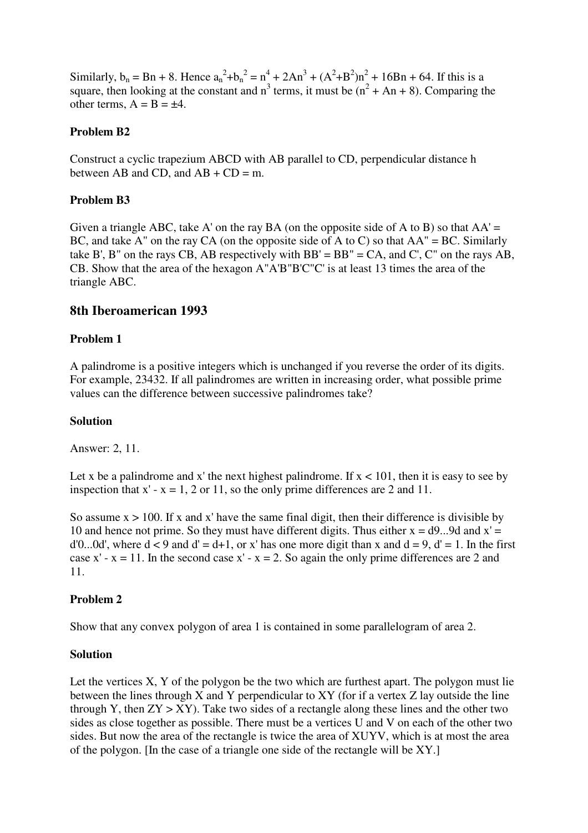Similarly,  $b_n = Bn + 8$ . Hence  $a_n^2 + b_n^2 = n^4 + 2An^3 + (A^2 + B^2)n^2 + 16Bn + 64$ . If this is a square, then looking at the constant and  $n^3$  terms, it must be  $(n^2 + An + 8)$ . Comparing the other terms,  $A = B = \pm 4$ .

## **Problem B2**

Construct a cyclic trapezium ABCD with AB parallel to CD, perpendicular distance h between AB and CD, and  $AB + CD = m$ .

## **Problem B3**

Given a triangle ABC, take A' on the ray BA (on the opposite side of A to B) so that  $AA' =$ BC, and take A" on the ray CA (on the opposite side of A to C) so that  $AA'' = BC$ . Similarly take B', B" on the rays CB, AB respectively with  $BB' = BB'' = CA$ , and C', C" on the rays AB, CB. Show that the area of the hexagon A"A'B"B'C"C' is at least 13 times the area of the triangle ABC.

# **8th Iberoamerican 1993**

## **Problem 1**

A palindrome is a positive integers which is unchanged if you reverse the order of its digits. For example, 23432. If all palindromes are written in increasing order, what possible prime values can the difference between successive palindromes take?

### **Solution**

Answer: 2, 11.

Let x be a palindrome and x' the next highest palindrome. If  $x < 101$ , then it is easy to see by inspection that  $x' - x = 1$ , 2 or 11, so the only prime differences are 2 and 11.

So assume  $x > 100$ . If x and x' have the same final digit, then their difference is divisible by 10 and hence not prime. So they must have different digits. Thus either  $x = d9...9d$  and  $x' =$ d'0...0d', where  $d < 9$  and  $d' = d+1$ , or x' has one more digit than x and  $d = 9$ ,  $d' = 1$ . In the first case x' - x = 11. In the second case x' - x = 2. So again the only prime differences are 2 and 11.

# **Problem 2**

Show that any convex polygon of area 1 is contained in some parallelogram of area 2.

### **Solution**

Let the vertices X, Y of the polygon be the two which are furthest apart. The polygon must lie between the lines through X and Y perpendicular to XY (for if a vertex Z lay outside the line through Y, then  $ZY > XY$ ). Take two sides of a rectangle along these lines and the other two sides as close together as possible. There must be a vertices U and V on each of the other two sides. But now the area of the rectangle is twice the area of XUYV, which is at most the area of the polygon. [In the case of a triangle one side of the rectangle will be XY.]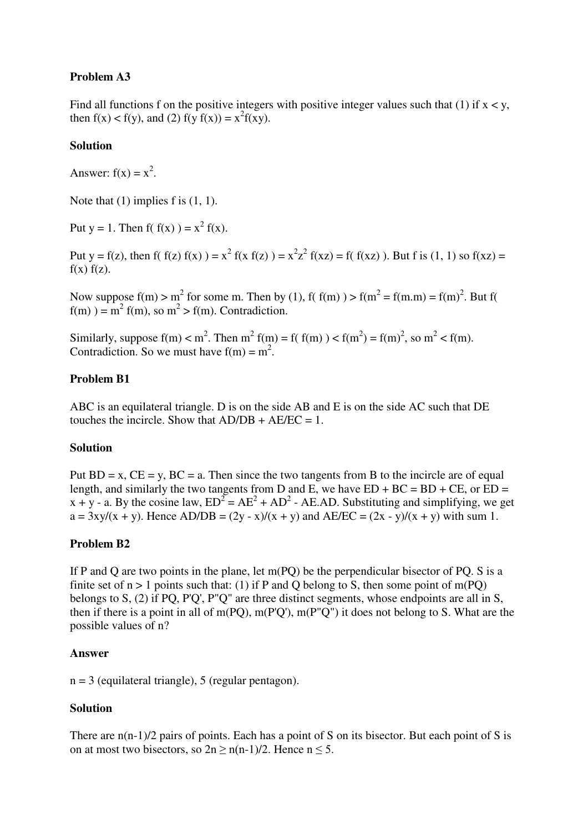# **Problem A3**

Find all functions f on the positive integers with positive integer values such that (1) if  $x < y$ , then  $f(x) < f(y)$ , and (2)  $f(y f(x)) = x^2 f(xy)$ .

## **Solution**

Answer:  $f(x) = x^2$ .

Note that  $(1)$  implies f is  $(1, 1)$ .

Put  $y = 1$ . Then  $f(f(x)) = x^2 f(x)$ .

Put y = f(z), then f( f(z) f(x) ) =  $x^2$  f(x f(z) ) =  $x^2z^2$  f(xz) = f( f(xz) ). But f is (1, 1) so f(xz) =  $f(x) f(z)$ .

Now suppose  $f(m) > m^2$  for some m. Then by (1),  $f(f(m)) > f(m^2 = f(m,m) = f(m)^2$ . But  $f(m)$  $f(m)$ ) =  $m^2 f(m)$ , so  $m^2 > f(m)$ . Contradiction.

Similarly, suppose  $f(m) < m^2$ . Then  $m^2 f(m) = f(f(m)) < f(m^2) = f(m)^2$ , so  $m^2 < f(m)$ . Contradiction. So we must have  $f(m) = m^2$ .

### **Problem B1**

ABC is an equilateral triangle. D is on the side AB and E is on the side AC such that DE touches the incircle. Show that  $AD/DB + AE/EC = 1$ .

### **Solution**

Put  $BD = x$ ,  $CE = y$ ,  $BC = a$ . Then since the two tangents from B to the incircle are of equal length, and similarly the two tangents from D and E, we have  $ED + BC = BD + CE$ , or  $ED =$ x + y - a. By the cosine law,  $ED^{2} = AE^{2} + AD^{2}$  - AE.AD. Substituting and simplifying, we get  $a = 3xy/(x + y)$ . Hence AD/DB =  $(2y - x)/(x + y)$  and AE/EC =  $(2x - y)/(x + y)$  with sum 1.

### **Problem B2**

If P and Q are two points in the plane, let m(PQ) be the perpendicular bisector of PQ. S is a finite set of  $n > 1$  points such that: (1) if P and O belong to S, then some point of m(PO) belongs to S, (2) if PQ, P'Q', P"Q" are three distinct segments, whose endpoints are all in S, then if there is a point in all of m(PQ), m(P'Q'), m(P"Q") it does not belong to S. What are the possible values of n?

### **Answer**

 $n = 3$  (equilateral triangle), 5 (regular pentagon).

# **Solution**

There are n(n-1)/2 pairs of points. Each has a point of S on its bisector. But each point of S is on at most two bisectors, so  $2n \ge n(n-1)/2$ . Hence  $n \le 5$ .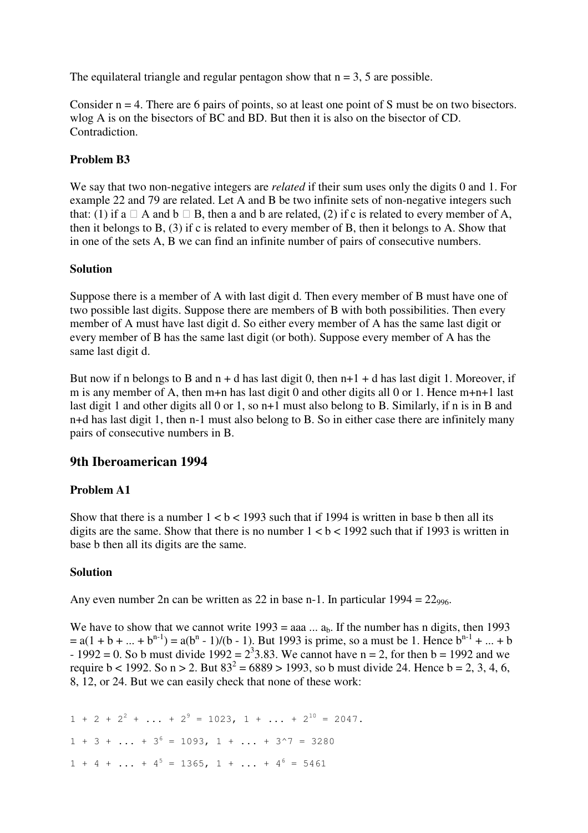The equilateral triangle and regular pentagon show that  $n = 3$ , 5 are possible.

Consider  $n = 4$ . There are 6 pairs of points, so at least one point of S must be on two bisectors. wlog A is on the bisectors of BC and BD. But then it is also on the bisector of CD. Contradiction.

# **Problem B3**

We say that two non-negative integers are *related* if their sum uses only the digits 0 and 1. For example 22 and 79 are related. Let A and B be two infinite sets of non-negative integers such that: (1) if a  $\Box$  A and b  $\Box$  B, then a and b are related, (2) if c is related to every member of A, then it belongs to B, (3) if c is related to every member of B, then it belongs to A. Show that in one of the sets A, B we can find an infinite number of pairs of consecutive numbers.

## **Solution**

Suppose there is a member of A with last digit d. Then every member of B must have one of two possible last digits. Suppose there are members of B with both possibilities. Then every member of A must have last digit d. So either every member of A has the same last digit or every member of B has the same last digit (or both). Suppose every member of A has the same last digit d.

But now if n belongs to B and  $n + d$  has last digit 0, then  $n+1 + d$  has last digit 1. Moreover, if m is any member of A, then m+n has last digit 0 and other digits all 0 or 1. Hence m+n+1 last last digit 1 and other digits all 0 or 1, so n+1 must also belong to B. Similarly, if n is in B and n+d has last digit 1, then n-1 must also belong to B. So in either case there are infinitely many pairs of consecutive numbers in B.

# **9th Iberoamerican 1994**

# **Problem A1**

Show that there is a number  $1 < b < 1993$  such that if 1994 is written in base b then all its digits are the same. Show that there is no number  $1 < b < 1992$  such that if 1993 is written in base b then all its digits are the same.

### **Solution**

Any even number 2n can be written as 22 in base n-1. In particular  $1994 = 22_{996}$ .

We have to show that we cannot write  $1993 = aaa$ ...  $a_b$ . If the number has n digits, then 1993  $= a(1 + b + ... + b^{n-1}) = a(b^{n} - 1)/(b - 1)$ . But 1993 is prime, so a must be 1. Hence  $b^{n-1} + ... + b$  $-1992 = 0$ . So b must divide  $1992 = 2^33.83$ . We cannot have n = 2, for then b = 1992 and we require  $b < 1992$ . So  $n > 2$ . But  $83^2 = 6889 > 1993$ , so b must divide 24. Hence  $b = 2, 3, 4, 6$ , 8, 12, or 24. But we can easily check that none of these work:

 $1 + 2 + 2^2 + ... + 2^9 = 1023$ ,  $1 + ... + 2^{10} = 2047$ .  $1 + 3 + ... + 3^{6} = 1093, 1 + ... + 3^{6} = 3280$  $1 + 4 + \ldots + 4^5 = 1365$ ,  $1 + \ldots + 4^6 = 5461$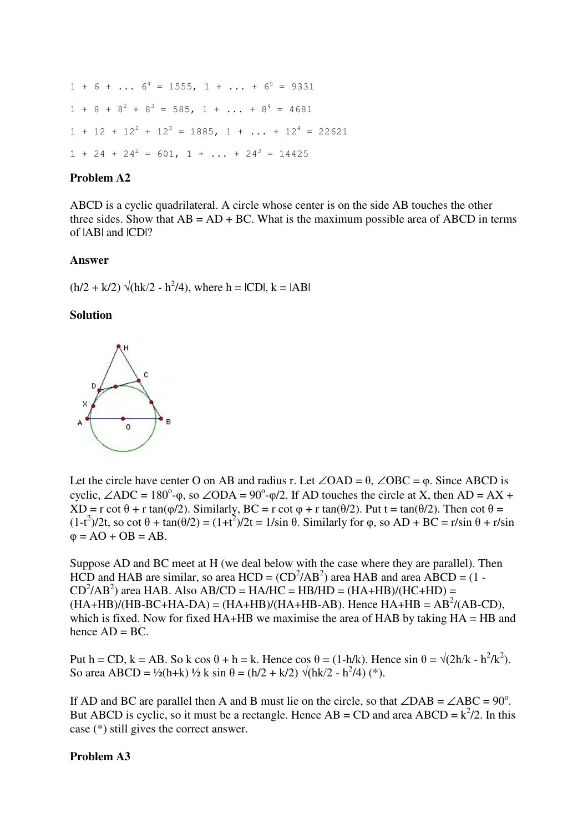$1 + 6 + ... 6^4 = 1555, 1 + ... + 6^5 = 9331$  $1 + 8 + 8^2 + 8^3 = 585$ ,  $1 + ... + 8^4 = 4681$  $1 + 12 + 12^{2} + 12^{3} = 1885$ ,  $1 + ... + 12^{4} = 22621$  $1 + 24 + 24^2 = 601$ ,  $1 + ... + 24^3 = 14425$ 

### **Problem A2**

ABCD is a cyclic quadrilateral. A circle whose center is on the side AB touches the other three sides. Show that  $AB = AD + BC$ . What is the maximum possible area of ABCD in terms of  $|AB|$  and  $|CD|$ ?

### **Answer**

 $(h/2 + k/2) \sqrt{(hk/2 - h^2/4)}$ , where h = ICDI, k = IABI

#### **Solution**



Let the circle have center O on AB and radius r. Let ∠OAD =  $\theta$ , ∠OBC =  $\varphi$ . Since ABCD is cyclic,  $\angle ADC = 180^\circ$ - $\varphi$ , so  $\angle ODA = 90^\circ$ - $\varphi/2$ . If AD touches the circle at X, then AD = AX +  $XD = r \cot \theta + r \tan(\phi/2)$ . Similarly,  $BC = r \cot \phi + r \tan(\theta/2)$ . Put t = tan( $\theta/2$ ). Then cot  $\theta =$  $(1-t^2)/2t$ , so cot  $\theta$  + tan( $\theta/2$ ) =  $(1+t^2)/2t$  = 1/sin  $\theta$ . Similarly for  $\phi$ , so AD + BC = r/sin  $\theta$  + r/sin  $\varphi = AO + OB = AB$ .

Suppose AD and BC meet at H (we deal below with the case where they are parallel). Then HCD and HAB are similar, so area  $HCD = (CD<sup>2</sup>/AB<sup>2</sup>)$  area HAB and area ABCD = (1 - $CD<sup>2</sup>/AB<sup>2</sup>$ ) area HAB. Also AB/CD = HA/HC = HB/HD = (HA+HB)/(HC+HD) =  $(HA+HB)/(HB-BC+HA-DA) = (HA+HB)/(HA+HB-AB)$ . Hence  $HA+HB = AB^2/(AB-CD)$ , which is fixed. Now for fixed  $HA+HB$  we maximise the area of  $HAB$  by taking  $HA = HB$  and hence  $AD = BC$ .

Put h = CD, k = AB. So k cos  $\theta$  + h = k. Hence cos  $\theta$  = (1-h/k). Hence sin  $\theta = \sqrt{(2h/k - h^2/k^2)}$ . So area ABCD = ½(h+k) ½ k sin  $\theta = (h/2 + k/2) \sqrt{(hk/2 - h^2/4)}$  (\*).

If AD and BC are parallel then A and B must lie on the circle, so that  $\angle$ DAB =  $\angle$ ABC = 90<sup>o</sup>. But ABCD is cyclic, so it must be a rectangle. Hence  $AB = CD$  and area  $ABCD = k^2/2$ . In this case (\*) still gives the correct answer.

### **Problem A3**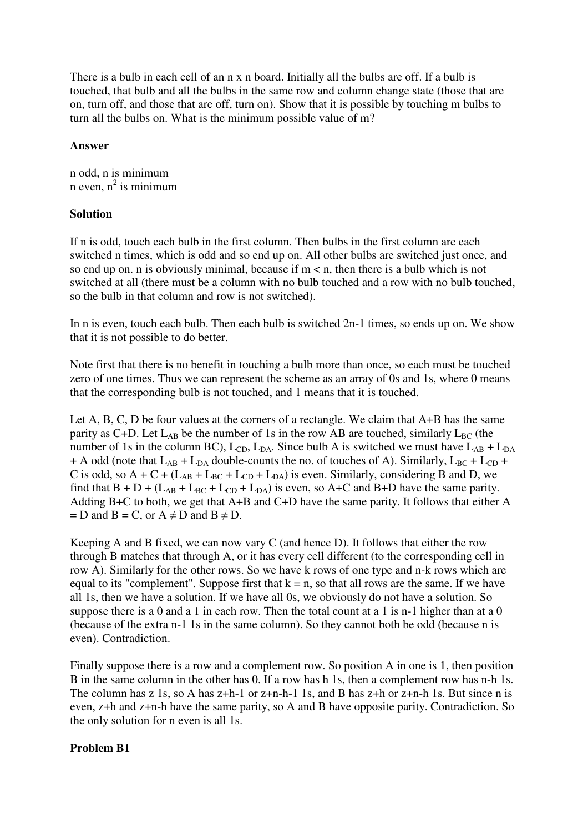There is a bulb in each cell of an n x n board. Initially all the bulbs are off. If a bulb is touched, that bulb and all the bulbs in the same row and column change state (those that are on, turn off, and those that are off, turn on). Show that it is possible by touching m bulbs to turn all the bulbs on. What is the minimum possible value of m?

## **Answer**

n odd, n is minimum n even,  $n^2$  is minimum

## **Solution**

If n is odd, touch each bulb in the first column. Then bulbs in the first column are each switched n times, which is odd and so end up on. All other bulbs are switched just once, and so end up on. n is obviously minimal, because if  $m < n$ , then there is a bulb which is not switched at all (there must be a column with no bulb touched and a row with no bulb touched, so the bulb in that column and row is not switched).

In n is even, touch each bulb. Then each bulb is switched 2n-1 times, so ends up on. We show that it is not possible to do better.

Note first that there is no benefit in touching a bulb more than once, so each must be touched zero of one times. Thus we can represent the scheme as an array of 0s and 1s, where 0 means that the corresponding bulb is not touched, and 1 means that it is touched.

Let A, B, C, D be four values at the corners of a rectangle. We claim that A+B has the same parity as C+D. Let  $L_{AB}$  be the number of 1s in the row AB are touched, similarly  $L_{BC}$  (the number of 1s in the column BC),  $L_{CD}$ ,  $L_{DA}$ . Since bulb A is switched we must have  $L_{AB} + L_{DA}$ + A odd (note that  $L_{AB}$  +  $L_{DA}$  double-counts the no. of touches of A). Similarly,  $L_{BC}$  +  $L_{CD}$  + C is odd, so  $A + C + (L_{AB} + L_{BC} + L_{CD} + L_{DA})$  is even. Similarly, considering B and D, we find that  $B + D + (L_{AB} + L_{BC} + L_{CD} + L_{DA})$  is even, so A+C and B+D have the same parity. Adding B+C to both, we get that A+B and C+D have the same parity. It follows that either A  $= D$  and  $B = C$ , or  $A \neq D$  and  $B \neq D$ .

Keeping A and B fixed, we can now vary C (and hence D). It follows that either the row through B matches that through A, or it has every cell different (to the corresponding cell in row A). Similarly for the other rows. So we have k rows of one type and n-k rows which are equal to its "complement". Suppose first that  $k = n$ , so that all rows are the same. If we have all 1s, then we have a solution. If we have all 0s, we obviously do not have a solution. So suppose there is a 0 and a 1 in each row. Then the total count at a 1 is n-1 higher than at a 0 (because of the extra n-1 1s in the same column). So they cannot both be odd (because n is even). Contradiction.

Finally suppose there is a row and a complement row. So position A in one is 1, then position B in the same column in the other has 0. If a row has h 1s, then a complement row has n-h 1s. The column has z 1s, so A has z+h-1 or z+n-h-1 1s, and B has z+h or z+n-h 1s. But since n is even, z+h and z+n-h have the same parity, so A and B have opposite parity. Contradiction. So the only solution for n even is all 1s.

# **Problem B1**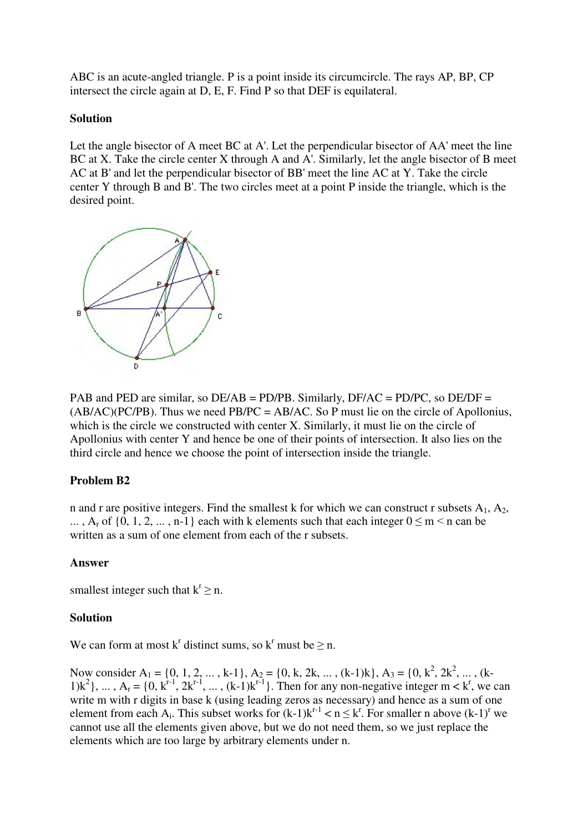ABC is an acute-angled triangle. P is a point inside its circumcircle. The rays AP, BP, CP intersect the circle again at D, E, F. Find P so that DEF is equilateral.

### **Solution**

Let the angle bisector of A meet BC at A'. Let the perpendicular bisector of AA' meet the line BC at X. Take the circle center X through A and A'. Similarly, let the angle bisector of B meet AC at B' and let the perpendicular bisector of BB' meet the line AC at Y. Take the circle center Y through B and B'. The two circles meet at a point P inside the triangle, which is the desired point.



PAB and PED are similar, so DE/AB = PD/PB. Similarly, DF/AC = PD/PC, so DE/DF =  $(AB/AC)(PC/PB)$ . Thus we need PB/PC = AB/AC. So P must lie on the circle of Apollonius, which is the circle we constructed with center X. Similarly, it must lie on the circle of Apollonius with center Y and hence be one of their points of intersection. It also lies on the third circle and hence we choose the point of intersection inside the triangle.

# **Problem B2**

n and r are positive integers. Find the smallest k for which we can construct r subsets  $A_1$ ,  $A_2$ , ..., A<sub>r</sub> of  $\{0, 1, 2, \ldots, n-1\}$  each with k elements such that each integer  $0 \le m < n$  can be written as a sum of one element from each of the r subsets.

### **Answer**

smallest integer such that  $k^r \ge n$ .

### **Solution**

We can form at most  $k^r$  distinct sums, so  $k^r$  must be  $\geq n$ .

Now consider A<sub>1</sub> = {0, 1, 2, ..., k-1}, A<sub>2</sub> = {0, k, 2k, ..., (k-1)k}, A<sub>3</sub> = {0, k<sup>2</sup>, 2k<sup>2</sup>, ..., (k-1) $k^2$ , ...,  $A_r = \{0, k^{r-1}, 2k^{r-1}, ..., (k-1)k^{r-1}\}\$ . Then for any non-negative integer m < k<sup>r</sup>, we can write m with r digits in base k (using leading zeros as necessary) and hence as a sum of one element from each  $A_i$ . This subset works for  $(k-1)k^{r-1} < n \leq k^r$ . For smaller n above  $(k-1)^r$  we cannot use all the elements given above, but we do not need them, so we just replace the elements which are too large by arbitrary elements under n.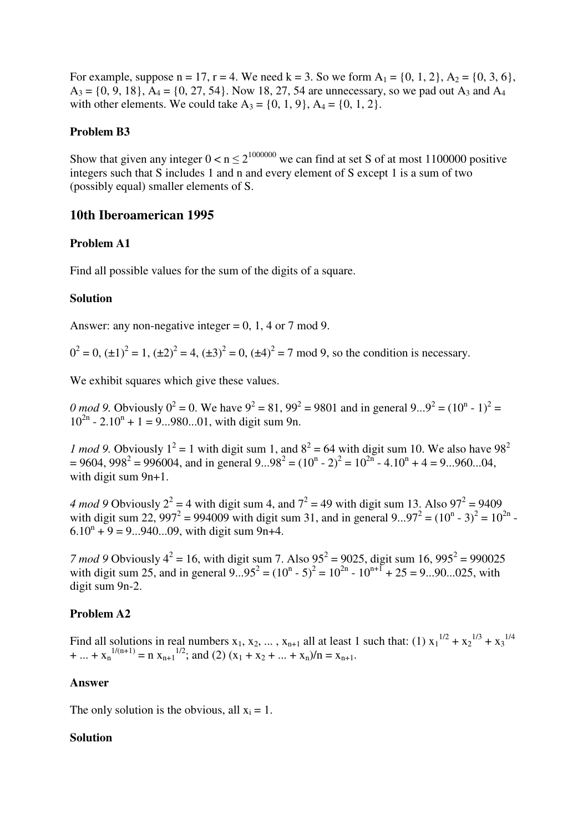For example, suppose  $n = 17$ ,  $r = 4$ . We need  $k = 3$ . So we form  $A_1 = \{0, 1, 2\}$ ,  $A_2 = \{0, 3, 6\}$ ,  $A_3 = \{0, 9, 18\}, A_4 = \{0, 27, 54\}.$  Now 18, 27, 54 are unnecessary, so we pad out  $A_3$  and  $A_4$ with other elements. We could take  $A_3 = \{0, 1, 9\}$ ,  $A_4 = \{0, 1, 2\}$ .

## **Problem B3**

Show that given any integer  $0 < n \le 2^{1000000}$  we can find at set S of at most 1100000 positive integers such that S includes 1 and n and every element of S except 1 is a sum of two (possibly equal) smaller elements of S.

# **10th Iberoamerican 1995**

# **Problem A1**

Find all possible values for the sum of the digits of a square.

## **Solution**

Answer: any non-negative integer  $= 0, 1, 4$  or 7 mod 9.

 $0^2 = 0$ ,  $(\pm 1)^2 = 1$ ,  $(\pm 2)^2 = 4$ ,  $(\pm 3)^2 = 0$ ,  $(\pm 4)^2 = 7$  mod 9, so the condition is necessary.

We exhibit squares which give these values.

0 mod 9. Obviously  $0^2 = 0$ . We have  $9^2 = 81$ ,  $99^2 = 9801$  and in general  $9...9^2 = (10^n - 1)^2 =$  $10^{2n}$  - 2.10<sup>n</sup> + 1 = 9...980...01, with digit sum 9n.

*1 mod 9*. Obviously  $1^2 = 1$  with digit sum 1, and  $8^2 = 64$  with digit sum 10. We also have 98<sup>2</sup>  $= 9604, 998^2 = 996004$ , and in general  $9...98^2 = (10^n - 2)^2 = 10^{2n} - 4.10^n + 4 = 9...960...04$ , with digit sum 9n+1.

*4 mod 9* Obviously  $2^2 = 4$  with digit sum 4, and  $7^2 = 49$  with digit sum 13. Also  $97^2 = 9409$ with digit sum 22, 997<sup>2</sup> = 994009 with digit sum 31, and in general 9...97<sup>2</sup> =  $(10^{n} - 3)^{2} = 10^{2n}$  $6.10^{n} + 9 = 9...940...09$ , with digit sum 9n+4.

*7 mod 9* Obviously  $4^2 = 16$ , with digit sum 7. Also  $95^2 = 9025$ , digit sum  $16$ ,  $995^2 = 990025$ with digit sum 25, and in general  $9...95^2 = (10^n - 5)^2 = 10^{2n} - 10^{n+1} + 25 = 9...90...025$ , with digit sum 9n-2.

# **Problem A2**

Find all solutions in real numbers  $x_1, x_2, \ldots, x_{n+1}$  all at least 1 such that: (1)  $x_1^{1/2} + x_2^{1/3} + x_3^{1/4}$ + ... +  $x_n^{1/(n+1)} = n x_{n+1}^{1/2}$ ; and (2)  $(x_1 + x_2 + ... + x_n)/n = x_{n+1}$ .

### **Answer**

The only solution is the obvious, all  $x_i = 1$ .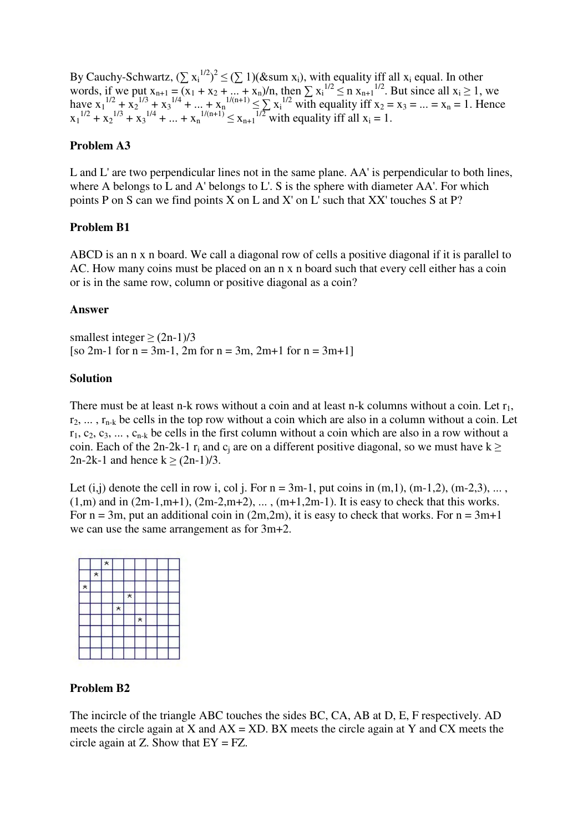By Cauchy-Schwartz,  $(\sum x_i^{1/2})^2 \leq (\sum 1)(\&\text{sum } x_i)$ , with equality iff all  $x_i$  equal. In other words, if we put  $x_{n+1} = (x_1 + x_2 + ... + x_n)/n$ , then  $\sum x_i^{1/2} \le n x_{n+1}^{1/2}$ . But since all  $x_i \ge 1$ , we have  $x_1^{1/2} + x_2^{1/3} + x_3^{1/4} + ... + x_n^{1/(n+1)} \le \sum x_i^{1/2}$  with equality iff  $x_2 = x_3 = ... = x_n = 1$ . Hence  $x_1^{1/2} + x_2^{1/3} + x_3^{1/4} + ... + x_n^{1/(n+1)} \le x_{n+1}^{1/2}$  with equality iff all  $x_i = 1$ .

### **Problem A3**

L and L' are two perpendicular lines not in the same plane. AA' is perpendicular to both lines, where A belongs to L and A' belongs to L'. S is the sphere with diameter AA'. For which points P on S can we find points X on L and X' on L' such that XX' touches S at P?

## **Problem B1**

ABCD is an n x n board. We call a diagonal row of cells a positive diagonal if it is parallel to AC. How many coins must be placed on an n x n board such that every cell either has a coin or is in the same row, column or positive diagonal as a coin?

### **Answer**

smallest integer  $\geq (2n-1)/3$ [so 2m-1 for  $n = 3m-1$ , 2m for  $n = 3m$ , 2m+1 for  $n = 3m+1$ ]

### **Solution**

There must be at least n-k rows without a coin and at least n-k columns without a coin. Let  $r_1$ ,  $r_2, \ldots, r_{n-k}$  be cells in the top row without a coin which are also in a column without a coin. Let  $r_1, c_2, c_3, \ldots, c_{n-k}$  be cells in the first column without a coin which are also in a row without a coin. Each of the 2n-2k-1  $r_i$  and  $c_i$  are on a different positive diagonal, so we must have  $k \ge$ 2n-2k-1 and hence  $k > (2n-1)/3$ .

Let  $(i,j)$  denote the cell in row i, col j. For  $n = 3m-1$ , put coins in  $(m,1)$ ,  $(m-1,2)$ ,  $(m-2,3)$ , ...  $(1,m)$  and in  $(2m-1,m+1)$ ,  $(2m-2,m+2)$ , ...,  $(m+1,2m-1)$ . It is easy to check that this works. For  $n = 3m$ , put an additional coin in  $(2m,2m)$ , it is easy to check that works. For  $n = 3m+1$ we can use the same arrangement as for 3m+2.



### **Problem B2**

The incircle of the triangle ABC touches the sides BC, CA, AB at D, E, F respectively. AD meets the circle again at X and  $AX = XD$ . BX meets the circle again at Y and CX meets the circle again at Z. Show that  $EY = FZ$ .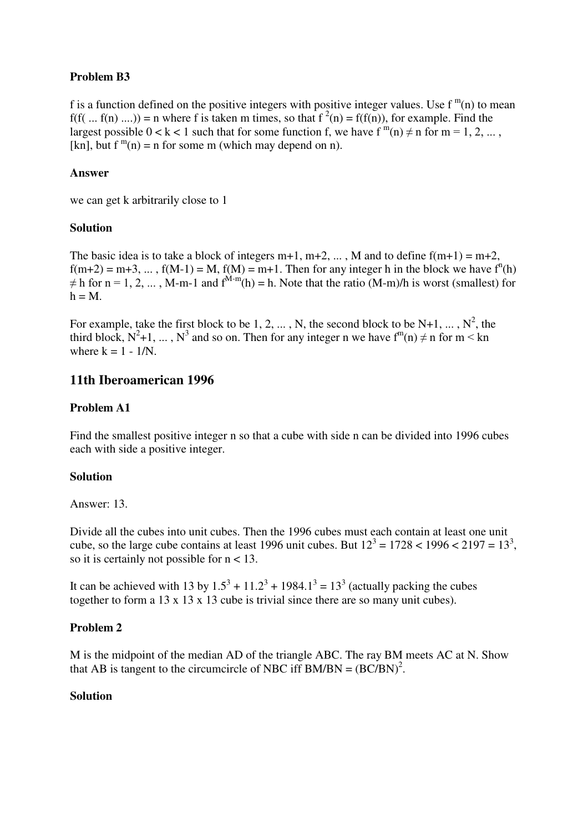# **Problem B3**

f is a function defined on the positive integers with positive integer values. Use  $f^{m}(n)$  to mean  $f(f(... f(n) ...)$  = n where f is taken m times, so that  $f^{2}(n) = f(f(n))$ , for example. Find the largest possible  $0 < k < 1$  such that for some function f, we have  $f^{m}(n) \neq n$  for  $m = 1, 2, ...$ , [kn], but  $f^{m}(n) = n$  for some m (which may depend on n).

# **Answer**

we can get k arbitrarily close to 1

# **Solution**

The basic idea is to take a block of integers  $m+1$ ,  $m+2$ , ..., M and to define  $f(m+1) = m+2$ ,  $f(m+2) = m+3, \dots, f(M-1) = M$ ,  $f(M) = m+1$ . Then for any integer h in the block we have  $f^{(n)}(h)$  $\neq$  h for n = 1, 2, ..., M-m-1 and f<sup>M-m</sup>(h) = h. Note that the ratio (M-m)/h is worst (smallest) for  $h = M$ .

For example, take the first block to be 1, 2, ..., N, the second block to be N+1, ...,  $N^2$ , the third block,  $N^2+1$ , ...,  $N^3$  and so on. Then for any integer n we have  $f^m(n) \neq n$  for  $m < kn$ where  $k = 1 - 1/N$ .

# **11th Iberoamerican 1996**

# **Problem A1**

Find the smallest positive integer n so that a cube with side n can be divided into 1996 cubes each with side a positive integer.

# **Solution**

Answer: 13.

Divide all the cubes into unit cubes. Then the 1996 cubes must each contain at least one unit cube, so the large cube contains at least 1996 unit cubes. But  $12^3 = 1728 < 1996 < 2197 = 13^3$ , so it is certainly not possible for  $n < 13$ .

It can be achieved with 13 by  $1.5^3 + 11.2^3 + 1984.1^3 = 13^3$  (actually packing the cubes together to form a 13 x 13 x 13 cube is trivial since there are so many unit cubes).

# **Problem 2**

M is the midpoint of the median AD of the triangle ABC. The ray BM meets AC at N. Show that AB is tangent to the circumcircle of NBC iff  $BM/BN = (BC/BN)^2$ .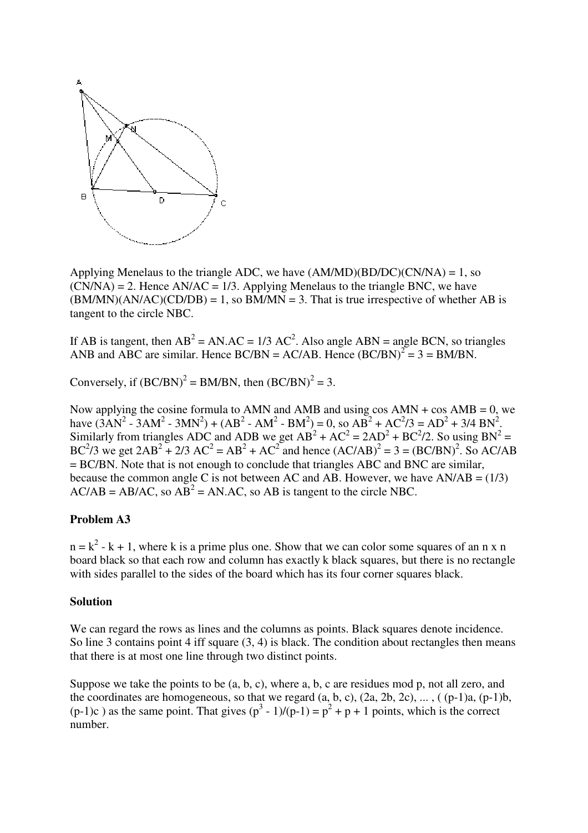

Applying Menelaus to the triangle ADC, we have  $(AM/MD)(BD/DC)(CN/NA) = 1$ , so  $(CN/NA) = 2$ . Hence AN/AC = 1/3. Applying Menelaus to the triangle BNC, we have  $(BM/MN)(AN/AC)(CD/DB) = 1$ , so  $BM/MN = 3$ . That is true irrespective of whether AB is tangent to the circle NBC.

If AB is tangent, then  $AB^2 = AN$ . AC = 1/3 AC<sup>2</sup>. Also angle ABN = angle BCN, so triangles ANB and ABC are similar. Hence  $BC/BN = AC/AB$ . Hence  $(BC/BN)^2 = 3 = BM/BN$ .

Conversely, if  $(BC/BN)^2 = BM/BN$ , then  $(BC/BN)^2 = 3$ .

Now applying the cosine formula to AMN and AMB and using  $\cos AMN + \cos AMB = 0$ , we have  $(3AN^2 - 3AM^2 - 3MN^2) + (AB^2 - AM^2 - BM^2) = 0$ , so  $AB^2 + AC^2/3 = AD^2 + 3/4 BN^2$ . Similarly from triangles ADC and ADB we get  $AB^2 + AC^2 = 2AD^2 + BC^2/2$ . So using  $BN^2 =$ BC<sup>2</sup>/3 we get  $2AB^2 + 2/3 AC^2 = AB^2 + AC^2$  and hence  $(AC/AB)^2 = 3 = (BC/BN)^2$ . So AC/AB = BC/BN. Note that is not enough to conclude that triangles ABC and BNC are similar, because the common angle C is not between AC and AB. However, we have  $AN/AB = (1/3)$  $AC/AB = AB/AC$ , so  $AB^2 = AN.AC$ , so  $AB$  is tangent to the circle NBC.

### **Problem A3**

 $n = k^2 - k + 1$ , where k is a prime plus one. Show that we can color some squares of an n x n board black so that each row and column has exactly k black squares, but there is no rectangle with sides parallel to the sides of the board which has its four corner squares black.

#### **Solution**

We can regard the rows as lines and the columns as points. Black squares denote incidence. So line 3 contains point 4 iff square  $(3, 4)$  is black. The condition about rectangles then means that there is at most one line through two distinct points.

Suppose we take the points to be  $(a, b, c)$ , where a, b, c are residues mod p, not all zero, and the coordinates are homogeneous, so that we regard  $(a, b, c)$ ,  $(2a, 2b, 2c)$ , ...,  $((p-1)a, (p-1)b,$  $(p-1)c$ ) as the same point. That gives  $(p^3 - 1)/(p-1) = p^2 + p + 1$  points, which is the correct number.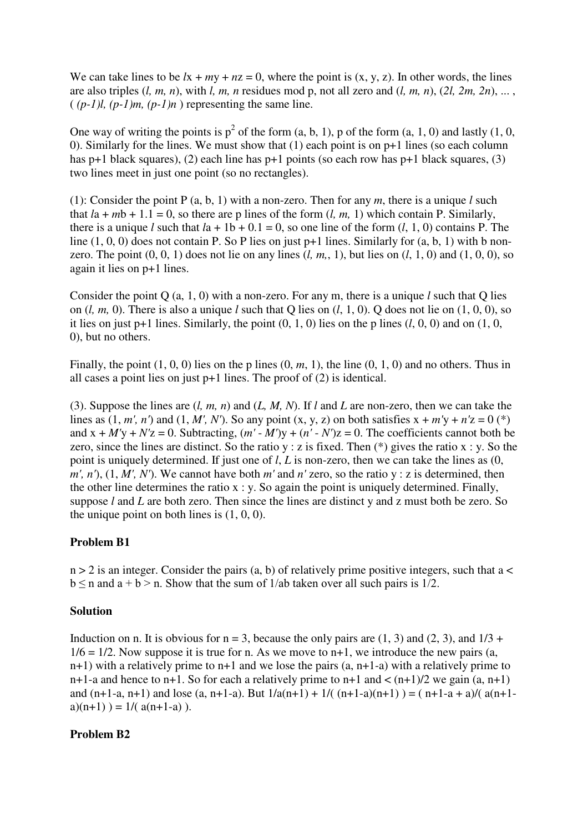We can take lines to be  $lx + my + nz = 0$ , where the point is  $(x, y, z)$ . In other words, the lines are also triples (*l, m, n*), with *l, m, n* residues mod p, not all zero and (*l, m, n*), (*2l, 2m, 2n*), ... ,  $((p-1)l, (p-1)m, (p-1)n)$  representing the same line.

One way of writing the points is  $p^2$  of the form  $(a, b, 1)$ , p of the form  $(a, 1, 0)$  and lastly  $(1, 0, 1)$ 0). Similarly for the lines. We must show that (1) each point is on p+1 lines (so each column has p+1 black squares), (2) each line has p+1 points (so each row has p+1 black squares, (3) two lines meet in just one point (so no rectangles).

(1): Consider the point P (a, b, 1) with a non-zero. Then for any *m*, there is a unique *l* such that  $l\text{a} + m\text{b} + 1.1 = 0$ , so there are p lines of the form  $(l, m, 1)$  which contain P. Similarly, there is a unique *l* such that  $l$ a + 1b + 0.1 = 0, so one line of the form  $(l, 1, 0)$  contains P. The line  $(1, 0, 0)$  does not contain P. So P lies on just p+1 lines. Similarly for  $(a, b, 1)$  with b nonzero. The point  $(0, 0, 1)$  does not lie on any lines  $(l, m, 1)$ , but lies on  $(l, 1, 0)$  and  $(1, 0, 0)$ , so again it lies on p+1 lines.

Consider the point Q (a, 1, 0) with a non-zero. For any m, there is a unique *l* such that Q lies on (*l, m,* 0). There is also a unique *l* such that Q lies on (*l*, 1, 0). Q does not lie on (1, 0, 0), so it lies on just  $p+1$  lines. Similarly, the point  $(0, 1, 0)$  lies on the p lines  $(l, 0, 0)$  and on  $(1, 0, 0)$ 0), but no others.

Finally, the point  $(1, 0, 0)$  lies on the p lines  $(0, m, 1)$ , the line  $(0, 1, 0)$  and no others. Thus in all cases a point lies on just p+1 lines. The proof of (2) is identical.

(3). Suppose the lines are (*l, m, n*) and (*L, M, N*). If *l* and *L* are non-zero, then we can take the lines as  $(1, m', n')$  and  $(1, M', N')$ . So any point  $(x, y, z)$  on both satisfies  $x + m'y + n'z = 0$  (\*) and  $x + M'y + N'z = 0$ . Subtracting,  $(m' - M')y + (n' - N')z = 0$ . The coefficients cannot both be zero, since the lines are distinct. So the ratio  $y : z$  is fixed. Then  $(*)$  gives the ratio  $x : y$ . So the point is uniquely determined. If just one of *l*, *L* is non-zero, then we can take the lines as (0,  $m'$ ,  $n'$ ,  $(1, M', N')$ . We cannot have both  $m'$  and  $n'$  zero, so the ratio  $y : z$  is determined, then the other line determines the ratio  $x : y$ . So again the point is uniquely determined. Finally, suppose *l* and *L* are both zero. Then since the lines are distinct y and z must both be zero. So the unique point on both lines is  $(1, 0, 0)$ .

### **Problem B1**

 $n > 2$  is an integer. Consider the pairs (a, b) of relatively prime positive integers, such that a  $\lt$  $b \le n$  and  $a + b > n$ . Show that the sum of 1/ab taken over all such pairs is 1/2.

### **Solution**

Induction on n. It is obvious for  $n = 3$ , because the only pairs are  $(1, 3)$  and  $(2, 3)$ , and  $1/3 +$  $1/6 = 1/2$ . Now suppose it is true for n. As we move to n+1, we introduce the new pairs (a, n+1) with a relatively prime to n+1 and we lose the pairs (a, n+1-a) with a relatively prime to n+1-a and hence to n+1. So for each a relatively prime to n+1 and  $\lt (n+1)/2$  we gain  $(a, n+1)$ and  $(n+1-a, n+1)$  and lose  $(a, n+1-a)$ . But  $1/a(n+1) + 1/((n+1-a)(n+1)) = (n+1-a+a)/(a(n+1-a))$ a)(n+1) ) =  $1/(\alpha(n+1-a))$ .

### **Problem B2**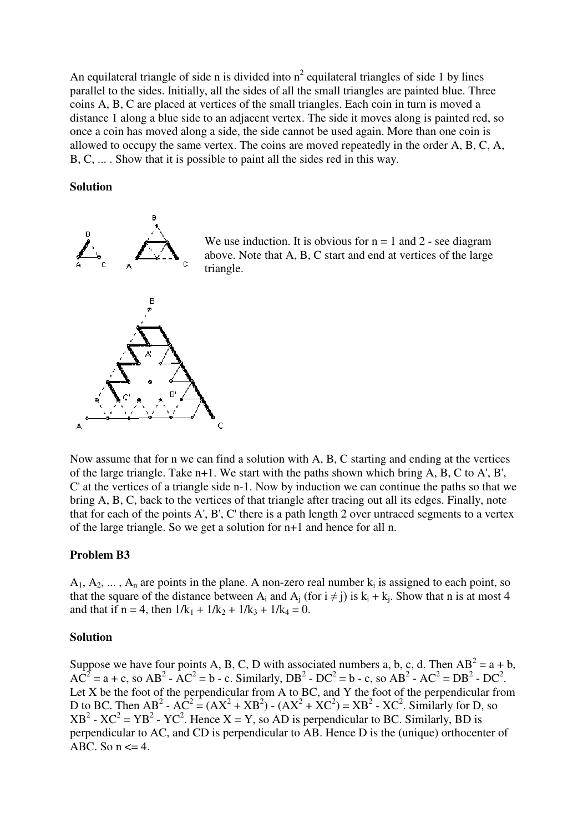An equilateral triangle of side n is divided into  $n^2$  equilateral triangles of side 1 by lines parallel to the sides. Initially, all the sides of all the small triangles are painted blue. Three coins A, B, C are placed at vertices of the small triangles. Each coin in turn is moved a distance 1 along a blue side to an adjacent vertex. The side it moves along is painted red, so once a coin has moved along a side, the side cannot be used again. More than one coin is allowed to occupy the same vertex. The coins are moved repeatedly in the order A, B, C, A, B, C, ... . Show that it is possible to paint all the sides red in this way.

#### **Solution**



We use induction. It is obvious for  $n = 1$  and  $2$  - see diagram above. Note that A, B, C start and end at vertices of the large triangle.

Now assume that for n we can find a solution with A, B, C starting and ending at the vertices of the large triangle. Take n+1. We start with the paths shown which bring A, B, C to A', B', C' at the vertices of a triangle side n-1. Now by induction we can continue the paths so that we bring A, B, C, back to the vertices of that triangle after tracing out all its edges. Finally, note that for each of the points A', B', C' there is a path length 2 over untraced segments to a vertex of the large triangle. So we get a solution for n+1 and hence for all n.

### **Problem B3**

 $A_1, A_2, \ldots, A_n$  are points in the plane. A non-zero real number  $k_i$  is assigned to each point, so that the square of the distance between  $A_i$  and  $A_j$  (for  $i \neq j$ ) is  $k_i + k_j$ . Show that n is at most 4 and that if n = 4, then  $1/k_1 + 1/k_2 + 1/k_3 + 1/k_4 = 0$ .

### **Solution**

Suppose we have four points A, B, C, D with associated numbers a, b, c, d. Then  $AB^2 = a + b$ ,  $AC^2 = a + c$ , so  $AB^2 - AC^2 = b - c$ . Similarly,  $DB^2 - DC^2 = b - c$ , so  $AB^2 - AC^2 = DB^2 - DC^2$ . Let  $X$  be the foot of the perpendicular from  $\overrightarrow{A}$  to  $\overrightarrow{BC}$ , and  $\overrightarrow{Y}$  the foot of the perpendicular from D to BC. Then AB<sup>2</sup> - AC<sup>2</sup> = (AX<sup>2</sup> + XB<sup>2</sup>) - (AX<sup>2</sup> + XC<sup>2</sup>) = XB<sup>2</sup> - XC<sup>2</sup>. Similarly for D, so  $XB^2$  -  $XC^2 = YB^2$  -  $YC^2$ . Hence  $X = Y$ , so AD is perpendicular to BC. Similarly, BD is perpendicular to AC, and CD is perpendicular to AB. Hence D is the (unique) orthocenter of ABC. So  $n \leq 4$ .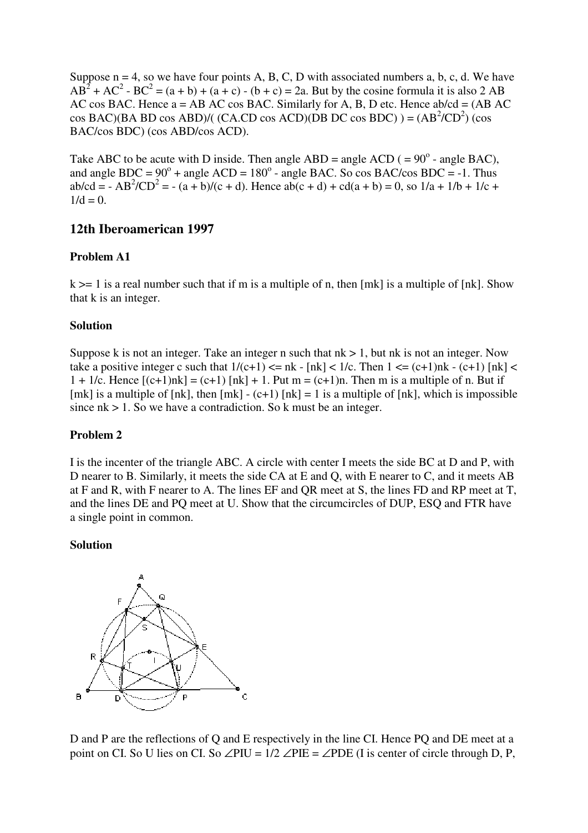Suppose  $n = 4$ , so we have four points A, B, C, D with associated numbers a, b, c, d. We have  $AB^{2} + AC^{2} - BC^{2} = (a + b) + (a + c) - (b + c) = 2a$ . But by the cosine formula it is also 2 AB AC cos BAC. Hence  $a = AB$  AC cos BAC. Similarly for A, B, D etc. Hence  $ab/cd = (AB AC)$  $\cos BAC$ )(BA BD  $\cos ABD$ )/( (CA.CD  $\cos ACD$ )(DB DC  $\cos BDC$ ) ) = (AB<sup>2</sup>/CD<sup>2</sup>) ( $\cos$ BAC/cos BDC) (cos ABD/cos ACD).

Take ABC to be acute with D inside. Then angle ABD = angle ACD ( =  $90^{\circ}$  - angle BAC), and angle BDC =  $90^{\circ}$  + angle ACD =  $180^{\circ}$  - angle BAC. So cos BAC/cos BDC = -1. Thus ab/cd = - AB<sup>2</sup>/CD<sup>2</sup> = - (a + b)/(c + d). Hence ab(c + d) + cd(a + b) = 0, so 1/a + 1/b + 1/c +  $1/d = 0$ .

# **12th Iberoamerican 1997**

## **Problem A1**

 $k \geq 1$  is a real number such that if m is a multiple of n, then [mk] is a multiple of [nk]. Show that k is an integer.

### **Solution**

Suppose k is not an integer. Take an integer n such that  $nk > 1$ , but nk is not an integer. Now take a positive integer c such that  $1/(c+1) \leq nk - \lfloor nk \rfloor < 1/c$ . Then  $1 \leq (c+1)nk - (c+1) \lfloor nk \rfloor <$  $1 + 1/c$ . Hence  $[(c+1)nk] = (c+1)$  [nk] + 1. Put m =  $(c+1)$ n. Then m is a multiple of n. But if [mk] is a multiple of [nk], then  $[mk] - (c+1)$  [nk] = 1 is a multiple of [nk], which is impossible since  $nk > 1$ . So we have a contradiction. So k must be an integer.

# **Problem 2**

I is the incenter of the triangle ABC. A circle with center I meets the side BC at D and P, with D nearer to B. Similarly, it meets the side CA at E and Q, with E nearer to C, and it meets AB at F and R, with F nearer to A. The lines EF and QR meet at S, the lines FD and RP meet at T, and the lines DE and PQ meet at U. Show that the circumcircles of DUP, ESQ and FTR have a single point in common.

### **Solution**



D and P are the reflections of Q and E respectively in the line CI. Hence PQ and DE meet at a point on CI. So U lies on CI. So  $\angle$ PIU = 1/2  $\angle$ PIE =  $\angle$ PDE (I is center of circle through D, P,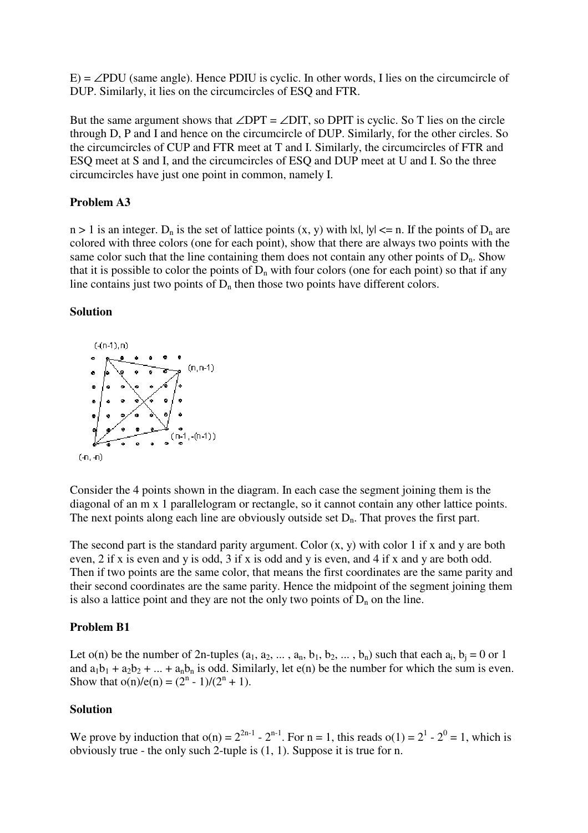$E$ ) = ∠PDU (same angle). Hence PDIU is cyclic. In other words, I lies on the circumcircle of DUP. Similarly, it lies on the circumcircles of ESQ and FTR.

But the same argument shows that  $\angle$ DPT =  $\angle$ DIT, so DPIT is cyclic. So T lies on the circle through D, P and I and hence on the circumcircle of DUP. Similarly, for the other circles. So the circumcircles of CUP and FTR meet at T and I. Similarly, the circumcircles of FTR and ESQ meet at S and I, and the circumcircles of ESQ and DUP meet at U and I. So the three circumcircles have just one point in common, namely I.

## **Problem A3**

 $n > 1$  is an integer.  $D_n$  is the set of lattice points  $(x, y)$  with  $|x|, |y| \le n$ . If the points of  $D_n$  are colored with three colors (one for each point), show that there are always two points with the same color such that the line containing them does not contain any other points of  $D_n$ . Show that it is possible to color the points of  $D_n$  with four colors (one for each point) so that if any line contains just two points of  $D_n$  then those two points have different colors.

### **Solution**



Consider the 4 points shown in the diagram. In each case the segment joining them is the diagonal of an m x 1 parallelogram or rectangle, so it cannot contain any other lattice points. The next points along each line are obviously outside set  $D_n$ . That proves the first part.

The second part is the standard parity argument. Color  $(x, y)$  with color 1 if x and y are both even, 2 if x is even and y is odd, 3 if x is odd and y is even, and 4 if x and y are both odd. Then if two points are the same color, that means the first coordinates are the same parity and their second coordinates are the same parity. Hence the midpoint of the segment joining them is also a lattice point and they are not the only two points of  $D_n$  on the line.

### **Problem B1**

Let  $o(n)$  be the number of 2n-tuples  $(a_1, a_2, ..., a_n, b_1, b_2, ..., b_n)$  such that each  $a_i, b_j = 0$  or 1 and  $a_1b_1 + a_2b_2 + ... + a_nb_n$  is odd. Similarly, let  $e(n)$  be the number for which the sum is even. Show that  $o(n)/e(n) = (2^n - 1)/(2^n + 1)$ .

# **Solution**

We prove by induction that  $o(n) = 2^{2n-1} - 2^{n-1}$ . For  $n = 1$ , this reads  $o(1) = 2^1 - 2^0 = 1$ , which is obviously true - the only such 2-tuple is (1, 1). Suppose it is true for n.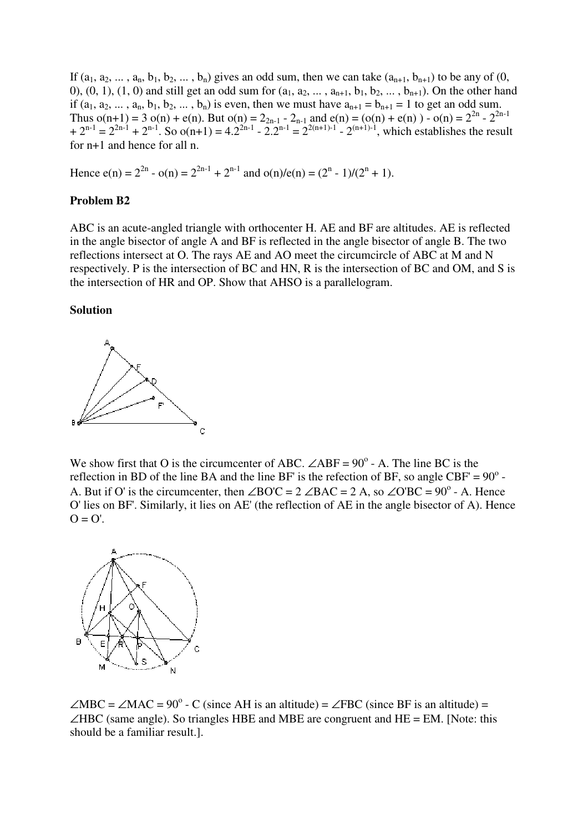If  $(a_1, a_2, \ldots, a_n, b_1, b_2, \ldots, b_n)$  gives an odd sum, then we can take  $(a_{n+1}, b_{n+1})$  to be any of  $(0, b_1, b_2, \ldots, b_n)$ 0), (0, 1), (1, 0) and still get an odd sum for  $(a_1, a_2, ..., a_{n+1}, b_1, b_2, ..., b_{n+1})$ . On the other hand if  $(a_1, a_2, ..., a_n, b_1, b_2, ..., b_n)$  is even, then we must have  $a_{n+1} = b_{n+1} = 1$  to get an odd sum. Thus  $o(n+1) = 3 o(n) + e(n)$ . But  $o(n) = 2_{2n-1} - 2_{n-1}$  and  $e(n) = (o(n) + e(n)) - o(n) = 2^{2n} - 2^{2n-1}$  $+ 2^{n-1} = 2^{2n-1} + 2^{n-1}$ . So  $o(n+1) = 4 \cdot 2^{2n-1} - 2 \cdot 2^{n-1} = 2^{2(n+1)-1} - 2^{(n+1)-1}$ , which establishes the result for n+1 and hence for all n.

Hence  $e(n) = 2^{2n} - o(n) = 2^{2n-1} + 2^{n-1}$  and  $o(n)/e(n) = (2^n - 1)/(2^n + 1)$ .

## **Problem B2**

ABC is an acute-angled triangle with orthocenter H. AE and BF are altitudes. AE is reflected in the angle bisector of angle A and BF is reflected in the angle bisector of angle B. The two reflections intersect at O. The rays AE and AO meet the circumcircle of ABC at M and N respectively. P is the intersection of BC and HN, R is the intersection of BC and OM, and S is the intersection of HR and OP. Show that AHSO is a parallelogram.

#### **Solution**



We show first that O is the circumcenter of ABC.  $\angle$ ABF = 90<sup>°</sup> - A. The line BC is the reflection in BD of the line BA and the line BF' is the refection of BF, so angle CBF' =  $90^{\circ}$ . A. But if O' is the circumcenter, then  $\angle BOC = 2 \angle BAC = 2 A$ , so  $\angle O'BC = 90^\circ$  - A. Hence O' lies on BF'. Similarly, it lies on AE' (the reflection of AE in the angle bisector of A). Hence  $O = O'$ .



 $\angle$ MBC =  $\angle$ MAC = 90<sup>o</sup> - C (since AH is an altitude) =  $\angle$ FBC (since BF is an altitude) =  $\angle$ HBC (same angle). So triangles HBE and MBE are congruent and HE = EM. [Note: this should be a familiar result.].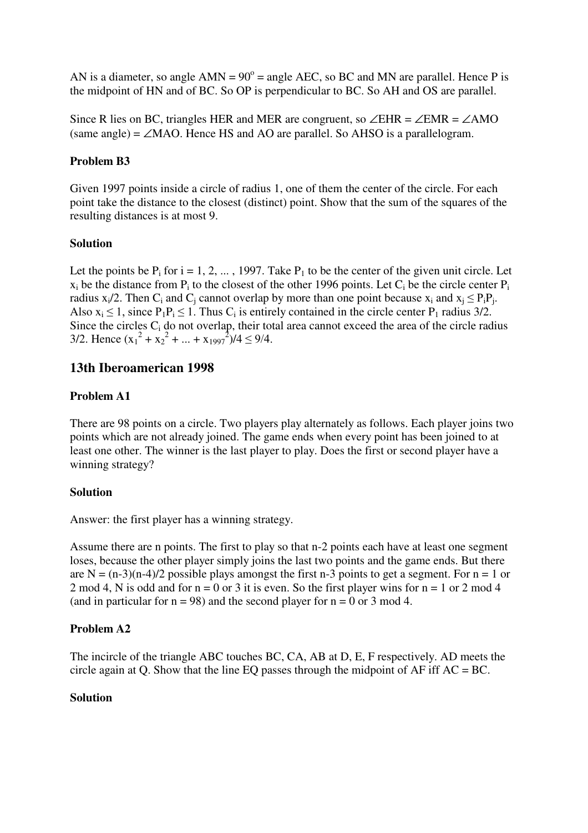AN is a diameter, so angle  $AMN = 90^\circ$  = angle AEC, so BC and MN are parallel. Hence P is the midpoint of HN and of BC. So OP is perpendicular to BC. So AH and OS are parallel.

Since R lies on BC, triangles HER and MER are congruent, so ∠EHR = ∠EMR = ∠AMO  $(same \ angle) = \angle MAO$ . Hence HS and AO are parallel. So AHSO is a parallelogram.

# **Problem B3**

Given 1997 points inside a circle of radius 1, one of them the center of the circle. For each point take the distance to the closest (distinct) point. Show that the sum of the squares of the resulting distances is at most 9.

# **Solution**

Let the points be  $P_i$  for  $i = 1, 2, ..., 1997$ . Take  $P_1$  to be the center of the given unit circle. Let  $x_i$  be the distance from  $P_i$  to the closest of the other 1996 points. Let  $C_i$  be the circle center  $P_i$ radius  $x_i/2$ . Then  $C_i$  and  $C_j$  cannot overlap by more than one point because  $x_i$  and  $x_j \leq P_iP_j$ . Also  $x_i \le 1$ , since  $P_1P_i \le 1$ . Thus  $C_i$  is entirely contained in the circle center  $P_1$  radius 3/2. Since the circles C<sub>i</sub> do not overlap, their total area cannot exceed the area of the circle radius 3/2. Hence  $(x_1^2 + x_2^2 + ... + x_{1997}^2)/4 \le 9/4$ .

# **13th Iberoamerican 1998**

# **Problem A1**

There are 98 points on a circle. Two players play alternately as follows. Each player joins two points which are not already joined. The game ends when every point has been joined to at least one other. The winner is the last player to play. Does the first or second player have a winning strategy?

# **Solution**

Answer: the first player has a winning strategy.

Assume there are n points. The first to play so that n-2 points each have at least one segment loses, because the other player simply joins the last two points and the game ends. But there are N =  $(n-3)(n-4)/2$  possible plays amongst the first n-3 points to get a segment. For n = 1 or 2 mod 4, N is odd and for  $n = 0$  or 3 it is even. So the first player wins for  $n = 1$  or 2 mod 4 (and in particular for  $n = 98$ ) and the second player for  $n = 0$  or 3 mod 4.

# **Problem A2**

The incircle of the triangle ABC touches BC, CA, AB at D, E, F respectively. AD meets the circle again at Q. Show that the line EQ passes through the midpoint of  $AF$  iff  $AC = BC$ .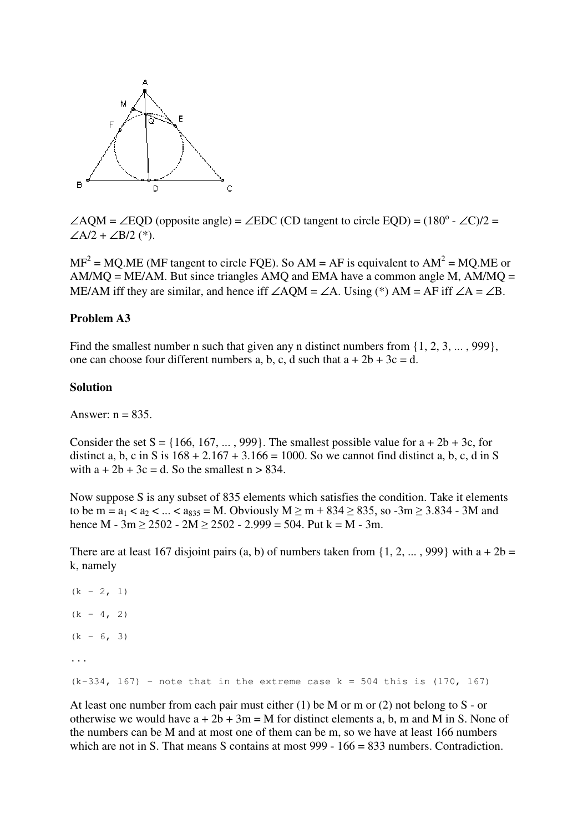

 $\angle AQM = \angle EQD$  (opposite angle) =  $\angle EDC$  (CD tangent to circle EQD) = (180<sup>o</sup> -  $\angle C$ )/2 =  $∠A/2 + ∠B/2$  (\*).

 $MF^2 = MQ.ME$  (MF tangent to circle FQE). So AM = AF is equivalent to AM<sup>2</sup> = MQ.ME or  $AM/MO = ME/AM$ . But since triangles AMO and EMA have a common angle M,  $AM/MO =$ ME/AM iff they are similar, and hence iff  $\angle AQM = \angle A$ . Using (\*) AM = AF iff  $\angle A = \angle B$ .

#### **Problem A3**

Find the smallest number n such that given any n distinct numbers from  $\{1, 2, 3, \ldots, 999\}$ , one can choose four different numbers a, b, c, d such that  $a + 2b + 3c = d$ .

#### **Solution**

Answer:  $n = 835$ .

Consider the set  $S = \{166, 167, \ldots, 999\}$ . The smallest possible value for  $a + 2b + 3c$ , for distinct a, b, c in S is  $168 + 2.167 + 3.166 = 1000$ . So we cannot find distinct a, b, c, d in S with  $a + 2b + 3c = d$ . So the smallest  $n > 834$ .

Now suppose S is any subset of 835 elements which satisfies the condition. Take it elements to be m =  $a_1 < a_2 < ... < a_{835} = M$ . Obviously M > m + 834 > 835, so -3m > 3.834 - 3M and hence M -  $3m \ge 2502$  -  $2M \ge 2502$  -  $2.999 = 504$ . Put k = M -  $3m$ .

There are at least 167 disjoint pairs (a, b) of numbers taken from  $\{1, 2, ..., 999\}$  with a + 2b = k, namely

```
(k - 2, 1)(k - 4, 2)(k - 6, 3)...
(k-334, 167) - note that in the extreme case k = 504 this is (170, 167)
```
At least one number from each pair must either (1) be M or m or (2) not belong to S - or otherwise we would have  $a + 2b + 3m = M$  for distinct elements a, b, m and M in S. None of the numbers can be M and at most one of them can be m, so we have at least 166 numbers which are not in S. That means S contains at most 999 - 166 = 833 numbers. Contradiction.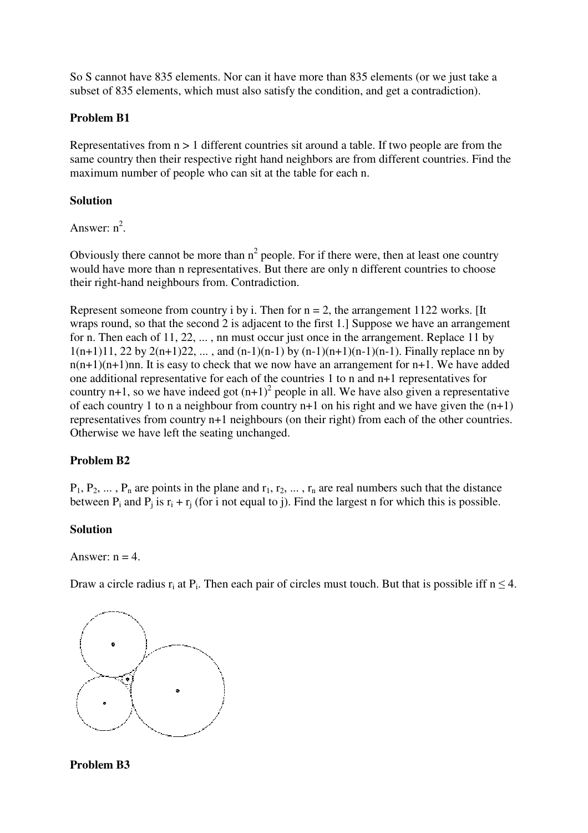So S cannot have 835 elements. Nor can it have more than 835 elements (or we just take a subset of 835 elements, which must also satisfy the condition, and get a contradiction).

## **Problem B1**

Representatives from n > 1 different countries sit around a table. If two people are from the same country then their respective right hand neighbors are from different countries. Find the maximum number of people who can sit at the table for each n.

# **Solution**

Answer:  $n^2$ .

Obviously there cannot be more than  $n^2$  people. For if there were, then at least one country would have more than n representatives. But there are only n different countries to choose their right-hand neighbours from. Contradiction.

Represent someone from country i by i. Then for  $n = 2$ , the arrangement 1122 works. [It] wraps round, so that the second 2 is adjacent to the first 1.] Suppose we have an arrangement for n. Then each of 11, 22, ... , nn must occur just once in the arrangement. Replace 11 by  $1(n+1)11$ , 22 by  $2(n+1)22$ , ..., and  $(n-1)(n-1)$  by  $(n-1)(n+1)(n-1)$ . Finally replace nn by  $n(n+1)(n+1)$ nn. It is easy to check that we now have an arrangement for n+1. We have added one additional representative for each of the countries 1 to n and n+1 representatives for country n+1, so we have indeed got  $(n+1)^2$  people in all. We have also given a representative of each country 1 to n a neighbour from country  $n+1$  on his right and we have given the  $(n+1)$ representatives from country n+1 neighbours (on their right) from each of the other countries. Otherwise we have left the seating unchanged.

# **Problem B2**

 $P_1, P_2, \ldots, P_n$  are points in the plane and  $r_1, r_2, \ldots, r_n$  are real numbers such that the distance between  $P_i$  and  $P_j$  is  $r_i + r_j$  (for i not equal to j). Find the largest n for which this is possible.

### **Solution**

Answer:  $n = 4$ .

Draw a circle radius  $r_i$  at  $P_i$ . Then each pair of circles must touch. But that is possible iff  $n \leq 4$ .



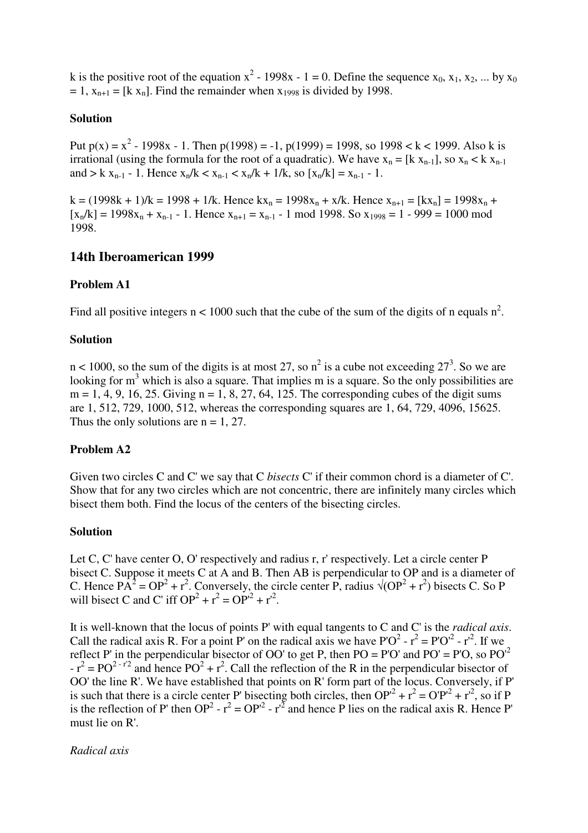k is the positive root of the equation  $x^2 - 1998x - 1 = 0$ . Define the sequence  $x_0, x_1, x_2, ...$  by  $x_0$  $= 1$ ,  $x_{n+1} = [k x_n]$ . Find the remainder when  $x_{1998}$  is divided by 1998.

### **Solution**

Put  $p(x) = x^2 - 1998x - 1$ . Then  $p(1998) = -1$ ,  $p(1999) = 1998$ , so  $1998 < k < 1999$ . Also k is irrational (using the formula for the root of a quadratic). We have  $x_n = [k x_{n-1}]$ , so  $x_n < k x_{n-1}$ and > k x<sub>n-1</sub> - 1. Hence  $x_n/k < x_{n-1} < x_n/k + 1/k$ , so  $[x_n/k] = x_{n-1} - 1$ .

 $k = (1998k + 1)/k = 1998 + 1/k$ . Hence  $kx_n = 1998x_n + x/k$ . Hence  $x_{n+1} = [kx_n] = 1998x_n +$  $[x_n/k] = 1998x_n + x_{n-1} - 1$ . Hence  $x_{n+1} = x_{n-1} - 1$  mod 1998. So  $x_{1998} = 1 - 999 = 1000$  mod 1998.

# **14th Iberoamerican 1999**

## **Problem A1**

Find all positive integers  $n < 1000$  such that the cube of the sum of the digits of n equals  $n^2$ .

## **Solution**

 $n < 1000$ , so the sum of the digits is at most 27, so  $n^2$  is a cube not exceeding 27<sup>3</sup>. So we are looking for  $m<sup>3</sup>$  which is also a square. That implies m is a square. So the only possibilities are  $m = 1, 4, 9, 16, 25$ . Giving  $n = 1, 8, 27, 64, 125$ . The corresponding cubes of the digit sums are 1, 512, 729, 1000, 512, whereas the corresponding squares are 1, 64, 729, 4096, 15625. Thus the only solutions are  $n = 1, 27$ .

### **Problem A2**

Given two circles C and C' we say that C *bisects* C' if their common chord is a diameter of C'. Show that for any two circles which are not concentric, there are infinitely many circles which bisect them both. Find the locus of the centers of the bisecting circles.

### **Solution**

Let C, C' have center O, O' respectively and radius r, r' respectively. Let a circle center P bisect C. Suppose it meets C at A and B. Then AB is perpendicular to OP and is a diameter of C. Hence  $PA^2 = OP^2 + r^2$ . Conversely, the circle center P, radius  $\sqrt{(OP^2 + r^2)}$  bisects C. So P will bisect C and C' iff  $OP^2 + r^2 = OP'^2 + r'^2$ .

It is well-known that the locus of points P' with equal tangents to C and C' is the *radical axis*. Call the radical axis R. For a point P' on the radical axis we have  $P'O^2 - r^2 = P'O'^2 - r'^2$ . If we reflect P' in the perpendicular bisector of OO' to get P, then  $PO = PO'$  and  $PO' = PO$ , so  $PO'^2$  $-r^2 = PO^{2-r^2}$  and hence  $PO^2 + r^2$ . Call the reflection of the R in the perpendicular bisector of OO' the line R'. We have established that points on R' form part of the locus. Conversely, if P' is such that there is a circle center P' bisecting both circles, then  $OP^{2} + r^{2} = OP^{2} + r^{2}$ , so if P is the reflection of P' then OP<sup>2</sup> -  $r^2 = OP^2 - r^2$  and hence P lies on the radical axis R. Hence P' must lie on R'.

*Radical axis*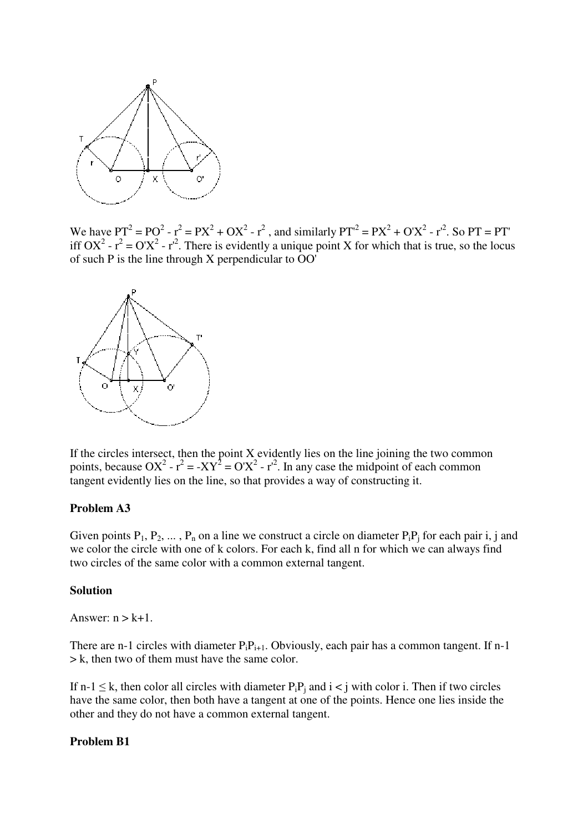

We have PT<sup>2</sup> = PO<sup>2</sup> - r<sup>2</sup> = PX<sup>2</sup> + OX<sup>2</sup> - r<sup>2</sup>, and similarly PT<sup>2</sup> = PX<sup>2</sup> + O'X<sup>2</sup> - r<sup>2</sup>. So PT = PT' iff OX<sup>2</sup> -  $r^2 = O'X^2 - r'^2$ . There is evidently a unique point X for which that is true, so the locus of such P is the line through X perpendicular to OO'



If the circles intersect, then the point  $X$  evidently lies on the line joining the two common points, because OX<sup>2</sup> -  $r^2 = -XY^2 = O'X^2 - r^2$ . In any case the midpoint of each common tangent evidently lies on the line, so that provides a way of constructing it.

#### **Problem A3**

Given points  $P_1, P_2, \ldots, P_n$  on a line we construct a circle on diameter  $P_iP_i$  for each pair i, j and we color the circle with one of k colors. For each k, find all n for which we can always find two circles of the same color with a common external tangent.

### **Solution**

Answer:  $n > k+1$ .

There are n-1 circles with diameter  $P_iP_{i+1}$ . Obviously, each pair has a common tangent. If n-1 > k, then two of them must have the same color.

If n-1  $\leq$  k, then color all circles with diameter  $P_iP_i$  and  $i < j$  with color i. Then if two circles have the same color, then both have a tangent at one of the points. Hence one lies inside the other and they do not have a common external tangent.

#### **Problem B1**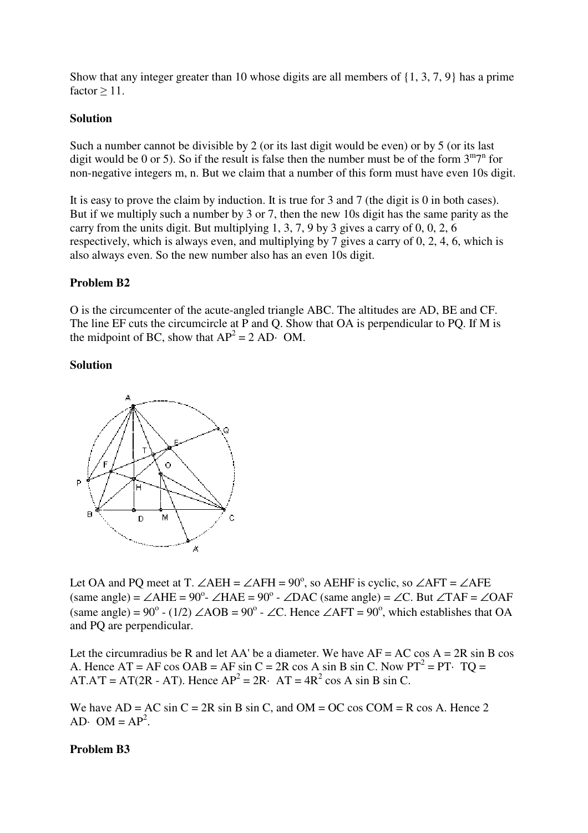Show that any integer greater than 10 whose digits are all members of {1, 3, 7, 9} has a prime factor  $> 11$ .

### **Solution**

Such a number cannot be divisible by 2 (or its last digit would be even) or by 5 (or its last digit would be 0 or 5). So if the result is false then the number must be of the form  $3<sup>m</sup>7<sup>n</sup>$  for non-negative integers m, n. But we claim that a number of this form must have even 10s digit.

It is easy to prove the claim by induction. It is true for 3 and 7 (the digit is 0 in both cases). But if we multiply such a number by 3 or 7, then the new 10s digit has the same parity as the carry from the units digit. But multiplying 1, 3, 7, 9 by 3 gives a carry of 0, 0, 2,  $\overline{6}$ respectively, which is always even, and multiplying by 7 gives a carry of 0, 2, 4, 6, which is also always even. So the new number also has an even 10s digit.

### **Problem B2**

O is the circumcenter of the acute-angled triangle ABC. The altitudes are AD, BE and CF. The line EF cuts the circumcircle at P and Q. Show that OA is perpendicular to PQ. If M is the midpoint of BC, show that  $AP^2 = 2 AD \cdot OM$ .

#### **Solution**



Let OA and PQ meet at T.  $\angle$ AEH =  $\angle$ AFH = 90<sup>°</sup>, so AEHF is cyclic, so  $\angle$ AFT =  $\angle$ AFE  $(same angle) = \angle AHE = 90^\circ$ - $\angle HAE = 90^\circ$ - $\angle DAC$  (same angle) =  $\angle C$ . But  $\angle TAF = \angle OAF$ (same angle) =  $90^{\circ}$  - (1/2)  $\angle$ AOB =  $90^{\circ}$  -  $\angle$ C. Hence  $\angle$ AFT =  $90^{\circ}$ , which establishes that OA and PQ are perpendicular.

Let the circumradius be R and let AA' be a diameter. We have  $AF = AC \cos A = 2R \sin B \cos A$ A. Hence  $AT = AF \cos OAB = AF \sin C = 2R \cos A \sin B \sin C$ . Now  $PT^2 = PT$  TQ = AT.A'T = AT(2R - AT). Hence  $AP^2 = 2R$  · AT =  $4R^2 \cos A \sin B \sin C$ .

We have  $AD = AC \sin C = 2R \sin B \sin C$ , and  $OM = OC \cos COM = R \cos A$ . Hence 2 AD $\cdot$  OM = AP<sup>2</sup>.

#### **Problem B3**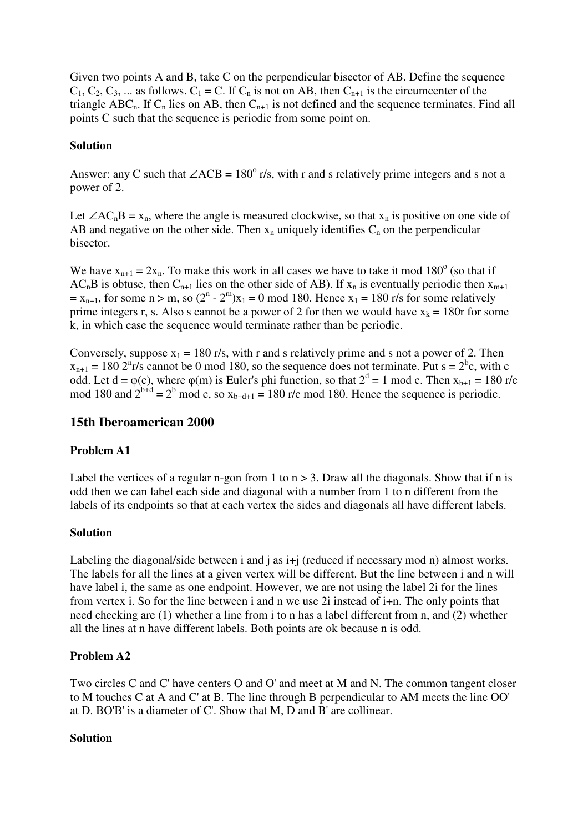Given two points A and B, take C on the perpendicular bisector of AB. Define the sequence  $C_1, C_2, C_3, ...$  as follows.  $C_1 = C$ . If  $C_n$  is not on AB, then  $C_{n+1}$  is the circumcenter of the triangle ABC<sub>n</sub>. If C<sub>n</sub> lies on AB, then C<sub>n+1</sub> is not defined and the sequence terminates. Find all points C such that the sequence is periodic from some point on.

## **Solution**

Answer: any C such that  $\angle ACB = 180^\circ$  r/s, with r and s relatively prime integers and s not a power of 2.

Let ∠AC<sub>n</sub>B = x<sub>n</sub>, where the angle is measured clockwise, so that x<sub>n</sub> is positive on one side of AB and negative on the other side. Then  $x_n$  uniquely identifies  $C_n$  on the perpendicular bisector.

We have  $x_{n+1} = 2x_n$ . To make this work in all cases we have to take it mod 180<sup>o</sup> (so that if  $AC<sub>n</sub>B$  is obtuse, then  $C<sub>n+1</sub>$  lies on the other side of AB). If  $x<sub>n</sub>$  is eventually periodic then  $x<sub>m+1</sub>$  $x_0 = x_{n+1}$ , for some  $n > m$ , so  $(2^n - 2^m)x_1 = 0 \text{ mod } 180$ . Hence  $x_1 = 180$  r/s for some relatively prime integers r, s. Also s cannot be a power of 2 for then we would have  $x_k = 180r$  for some k, in which case the sequence would terminate rather than be periodic.

Conversely, suppose  $x_1 = 180$  r/s, with r and s relatively prime and s not a power of 2. Then  $x_{n+1} = 180$  2<sup>n</sup> t/s cannot be 0 mod 180, so the sequence does not terminate. Put s = 2<sup>b</sup>c, with c odd. Let  $d = \varphi(c)$ , where  $\varphi(m)$  is Euler's phi function, so that  $2^d = 1$  mod c. Then  $x_{b+1} = 180$  r/c mod 180 and  $2^{b+d} = 2^b \mod c$ , so  $x_{b+d+1} = 180$  r/c mod 180. Hence the sequence is periodic.

# **15th Iberoamerican 2000**

# **Problem A1**

Label the vertices of a regular n-gon from 1 to  $n > 3$ . Draw all the diagonals. Show that if n is odd then we can label each side and diagonal with a number from 1 to n different from the labels of its endpoints so that at each vertex the sides and diagonals all have different labels.

### **Solution**

Labeling the diagonal/side between i and j as  $i+j$  (reduced if necessary mod n) almost works. The labels for all the lines at a given vertex will be different. But the line between i and n will have label i, the same as one endpoint. However, we are not using the label 2i for the lines from vertex i. So for the line between i and n we use 2i instead of i+n. The only points that need checking are (1) whether a line from i to n has a label different from n, and (2) whether all the lines at n have different labels. Both points are ok because n is odd.

# **Problem A2**

Two circles C and C' have centers O and O' and meet at M and N. The common tangent closer to M touches C at A and C' at B. The line through B perpendicular to AM meets the line OO' at D. BO'B' is a diameter of C'. Show that M, D and B' are collinear.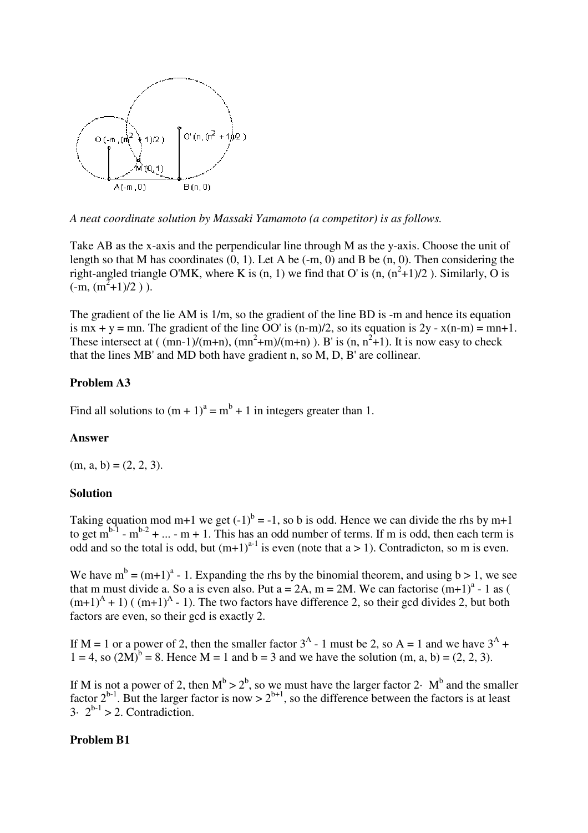

*A neat coordinate solution by Massaki Yamamoto (a competitor) is as follows.*

Take AB as the x-axis and the perpendicular line through M as the y-axis. Choose the unit of length so that M has coordinates  $(0, 1)$ . Let A be  $(-m, 0)$  and B be  $(n, 0)$ . Then considering the right-angled triangle O'MK, where K is  $(n, 1)$  we find that O' is  $(n, (n^2+1)/2)$ . Similarly, O is  $(-m, (m^2+1)/2)$ ).

The gradient of the lie AM is 1/m, so the gradient of the line BD is -m and hence its equation is  $mx + y = mn$ . The gradient of the line OO' is  $(n-m)/2$ , so its equation is  $2y - x(n-m) = mn+1$ . These intersect at ( $(mn-1)/(m+n)$ ,  $(mn^2+m)/(m+n)$ ). B' is  $(n, n^2+1)$ . It is now easy to check that the lines MB' and MD both have gradient n, so M, D, B' are collinear.

# **Problem A3**

Find all solutions to  $(m + 1)^a = m^b + 1$  in integers greater than 1.

### **Answer**

 $(m, a, b) = (2, 2, 3).$ 

### **Solution**

Taking equation mod m+1 we get  $(-1)^b = -1$ , so b is odd. Hence we can divide the rhs by m+1 to get  $m^{b-1}$  -  $m^{b-2}$  + ... - m + 1. This has an odd number of terms. If m is odd, then each term is odd and so the total is odd, but  $(m+1)^{a-1}$  is even (note that a > 1). Contradicton, so m is even.

We have  $m^b = (m+1)^a - 1$ . Expanding the rhs by the binomial theorem, and using  $b > 1$ , we see that m must divide a. So a is even also. Put  $a = 2A$ ,  $m = 2M$ . We can factorise  $(m+1)^{a}$  - 1 as (  $(m+1)^{A} + 1$ ) ( $(m+1)^{A} - 1$ ). The two factors have difference 2, so their gcd divides 2, but both factors are even, so their gcd is exactly 2.

If M = 1 or a power of 2, then the smaller factor  $3^A$  - 1 must be 2, so A = 1 and we have  $3^A$  +  $1 = 4$ , so  $(2M)^{b} = 8$ . Hence M = 1 and b = 3 and we have the solution (m, a, b) = (2, 2, 3).

If M is not a power of 2, then  $M^b > 2^b$ , so we must have the larger factor 2 $\cdot$  M<sup>b</sup> and the smaller factor  $2^{b-1}$ . But the larger factor is now  $> 2^{b+1}$ , so the difference between the factors is at least  $3\cdot 2^{b-1} > 2$ . Contradiction.

### **Problem B1**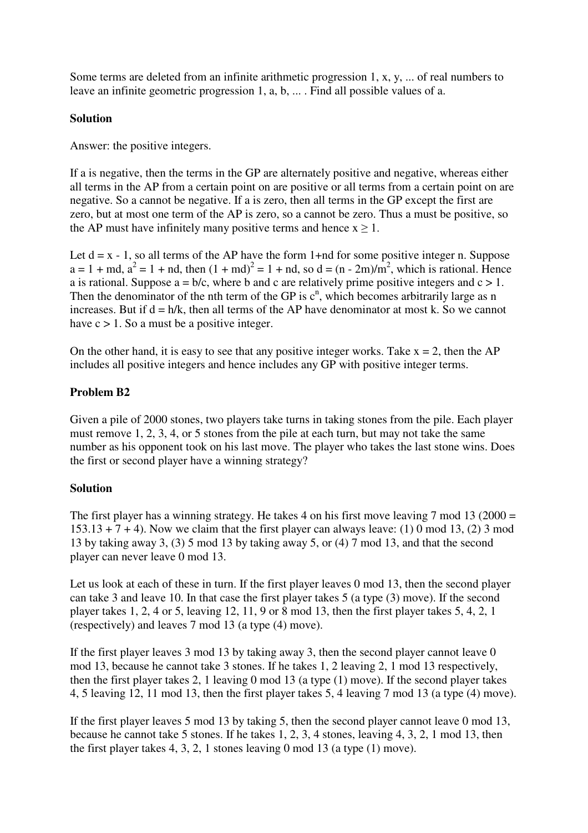Some terms are deleted from an infinite arithmetic progression 1, x, y, ... of real numbers to leave an infinite geometric progression 1, a, b, ... . Find all possible values of a.

# **Solution**

Answer: the positive integers.

If a is negative, then the terms in the GP are alternately positive and negative, whereas either all terms in the AP from a certain point on are positive or all terms from a certain point on are negative. So a cannot be negative. If a is zero, then all terms in the GP except the first are zero, but at most one term of the AP is zero, so a cannot be zero. Thus a must be positive, so the AP must have infinitely many positive terms and hence  $x \ge 1$ .

Let  $d = x - 1$ , so all terms of the AP have the form 1+nd for some positive integer n. Suppose  $a = 1 + md$ ,  $a^2 = 1 + nd$ , then  $(1 + md)^2 = 1 + nd$ , so  $d = (n - 2m)/m^2$ , which is rational. Hence a is rational. Suppose  $a = b/c$ , where b and c are relatively prime positive integers and  $c > 1$ . Then the denominator of the nth term of the GP is  $c<sup>n</sup>$ , which becomes arbitrarily large as n increases. But if  $d = h/k$ , then all terms of the AP have denominator at most k. So we cannot have  $c > 1$ . So a must be a positive integer.

On the other hand, it is easy to see that any positive integer works. Take  $x = 2$ , then the AP includes all positive integers and hence includes any GP with positive integer terms.

# **Problem B2**

Given a pile of 2000 stones, two players take turns in taking stones from the pile. Each player must remove 1, 2, 3, 4, or 5 stones from the pile at each turn, but may not take the same number as his opponent took on his last move. The player who takes the last stone wins. Does the first or second player have a winning strategy?

### **Solution**

The first player has a winning strategy. He takes 4 on his first move leaving 7 mod 13 (2000 =  $153.13 + 7 + 4$ ). Now we claim that the first player can always leave: (1) 0 mod 13, (2) 3 mod 13 by taking away 3, (3) 5 mod 13 by taking away 5, or (4) 7 mod 13, and that the second player can never leave 0 mod 13.

Let us look at each of these in turn. If the first player leaves 0 mod 13, then the second player can take 3 and leave 10. In that case the first player takes 5 (a type (3) move). If the second player takes 1, 2, 4 or 5, leaving 12, 11, 9 or 8 mod 13, then the first player takes 5, 4, 2, 1 (respectively) and leaves 7 mod 13 (a type (4) move).

If the first player leaves 3 mod 13 by taking away 3, then the second player cannot leave 0 mod 13, because he cannot take 3 stones. If he takes 1, 2 leaving 2, 1 mod 13 respectively, then the first player takes 2, 1 leaving 0 mod 13 (a type (1) move). If the second player takes 4, 5 leaving 12, 11 mod 13, then the first player takes 5, 4 leaving 7 mod 13 (a type (4) move).

If the first player leaves 5 mod 13 by taking 5, then the second player cannot leave 0 mod 13, because he cannot take 5 stones. If he takes 1, 2, 3, 4 stones, leaving 4, 3, 2, 1 mod 13, then the first player takes 4, 3, 2, 1 stones leaving 0 mod 13 (a type (1) move).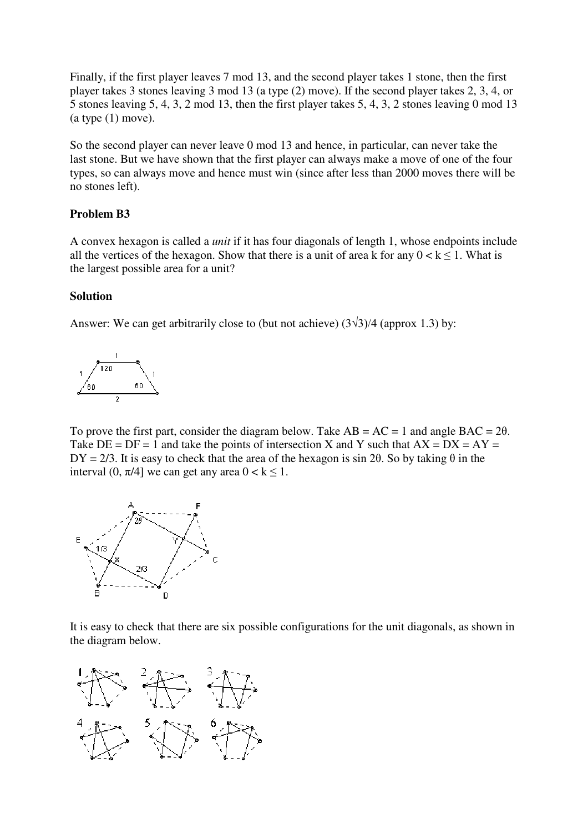Finally, if the first player leaves 7 mod 13, and the second player takes 1 stone, then the first player takes 3 stones leaving 3 mod 13 (a type (2) move). If the second player takes 2, 3, 4, or 5 stones leaving 5, 4, 3, 2 mod 13, then the first player takes 5, 4, 3, 2 stones leaving 0 mod 13  $(a type (1) move).$ 

So the second player can never leave 0 mod 13 and hence, in particular, can never take the last stone. But we have shown that the first player can always make a move of one of the four types, so can always move and hence must win (since after less than 2000 moves there will be no stones left).

## **Problem B3**

A convex hexagon is called a *unit* if it has four diagonals of length 1, whose endpoints include all the vertices of the hexagon. Show that there is a unit of area k for any  $0 < k < 1$ . What is the largest possible area for a unit?

### **Solution**

Answer: We can get arbitrarily close to (but not achieve)  $(3\sqrt{3})/4$  (approx 1.3) by:



To prove the first part, consider the diagram below. Take  $AB = AC = 1$  and angle  $BAC = 2\theta$ . Take  $DE = DF = 1$  and take the points of intersection X and Y such that  $AX = DX = AY =$  $DY = 2/3$ . It is easy to check that the area of the hexagon is sin 2 $\theta$ . So by taking  $\theta$  in the interval (0,  $\pi/4$ ] we can get any area  $0 < k \le 1$ .



It is easy to check that there are six possible configurations for the unit diagonals, as shown in the diagram below.

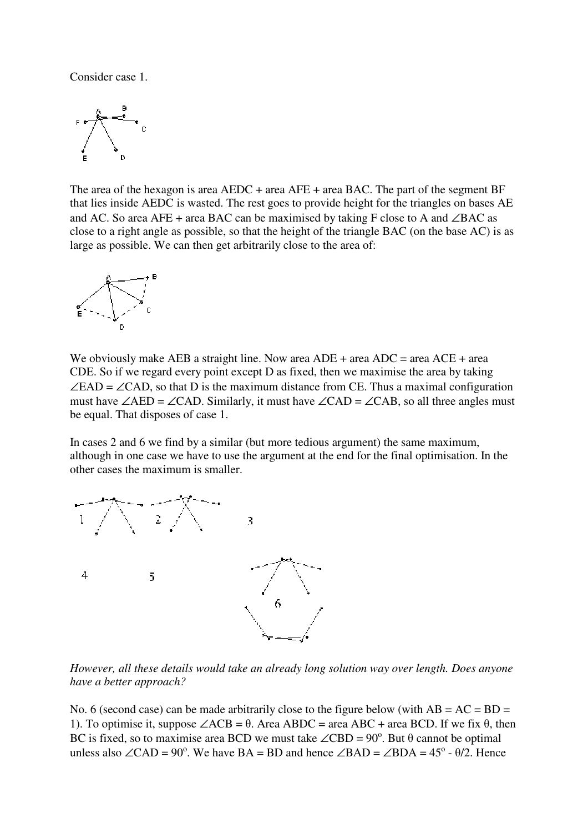Consider case 1.



The area of the hexagon is area AEDC + area AFE + area BAC. The part of the segment BF that lies inside AEDC is wasted. The rest goes to provide height for the triangles on bases AE and AC. So area AFE + area BAC can be maximised by taking F close to A and ∠BAC as close to a right angle as possible, so that the height of the triangle BAC (on the base AC) is as large as possible. We can then get arbitrarily close to the area of:



We obviously make AEB a straight line. Now area  $ADE + area$  ADC = area ACE + area CDE. So if we regard every point except D as fixed, then we maximise the area by taking  $\angle$ EAD =  $\angle$ CAD, so that D is the maximum distance from CE. Thus a maximal configuration must have ∠AED = ∠CAD. Similarly, it must have ∠CAD = ∠CAB, so all three angles must be equal. That disposes of case 1.

In cases 2 and 6 we find by a similar (but more tedious argument) the same maximum, although in one case we have to use the argument at the end for the final optimisation. In the other cases the maximum is smaller.



*However, all these details would take an already long solution way over length. Does anyone have a better approach?*

No. 6 (second case) can be made arbitrarily close to the figure below (with  $AB = AC = BD =$ 1). To optimise it, suppose  $\angle ACB = \theta$ . Area ABDC = area ABC + area BCD. If we fix  $\theta$ , then BC is fixed, so to maximise area BCD we must take  $\angle$ CBD = 90<sup>°</sup>. But  $\theta$  cannot be optimal unless also ∠CAD = 90<sup>o</sup>. We have BA = BD and hence ∠BAD = ∠BDA = 45<sup>o</sup> -  $\theta$ /2. Hence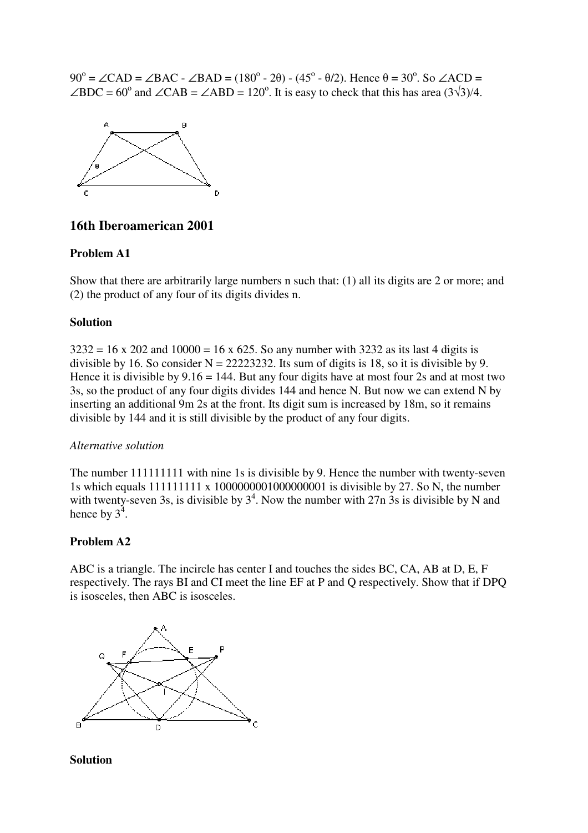$90^\circ = \angle$ CAD =  $\angle$ BAC -  $\angle$ BAD = (180<sup>o</sup> - 2 $\theta$ ) - (45<sup>o</sup> -  $\theta$ /2). Hence  $\theta = 30^\circ$ . So  $\angle$ ACD =  $\angle BDC = 60^{\circ}$  and  $\angle CAB = \angle ABD = 120^{\circ}$ . It is easy to check that this has area (3 $\sqrt{3}$ )/4.



# **16th Iberoamerican 2001**

### **Problem A1**

Show that there are arbitrarily large numbers n such that: (1) all its digits are 2 or more; and (2) the product of any four of its digits divides n.

#### **Solution**

 $3232 = 16 \times 202$  and  $10000 = 16 \times 625$ . So any number with 3232 as its last 4 digits is divisible by 16. So consider  $N = 22223232$ . Its sum of digits is 18, so it is divisible by 9. Hence it is divisible by  $9.16 = 144$ . But any four digits have at most four 2s and at most two 3s, so the product of any four digits divides 144 and hence N. But now we can extend N by inserting an additional 9m 2s at the front. Its digit sum is increased by 18m, so it remains divisible by 144 and it is still divisible by the product of any four digits.

### *Alternative solution*

The number 111111111 with nine 1s is divisible by 9. Hence the number with twenty-seven 1s which equals 111111111 x 1000000001000000001 is divisible by 27. So N, the number with twenty-seven 3s, is divisible by  $3^4$ . Now the number with 27n 3s is divisible by N and hence by  $3^4$ .

### **Problem A2**

ABC is a triangle. The incircle has center I and touches the sides BC, CA, AB at D, E, F respectively. The rays BI and CI meet the line EF at P and Q respectively. Show that if DPQ is isosceles, then ABC is isosceles.

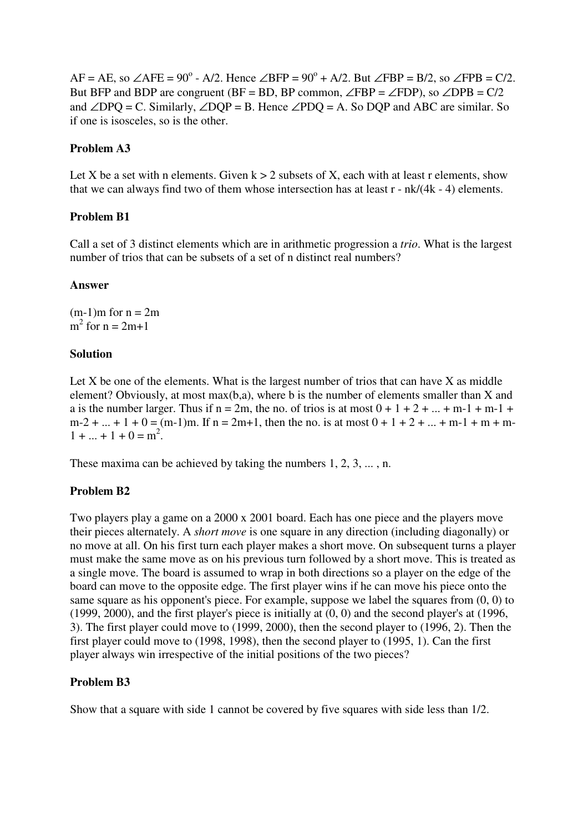$AF = AE$ , so  $\angle AFE = 90^\circ - A/2$ . Hence  $\angle BFP = 90^\circ + A/2$ . But  $\angle FBP = B/2$ , so  $\angle FPB = C/2$ . But BFP and BDP are congruent (BF = BD, BP common,  $\angle$ FBP =  $\angle$ FDP), so  $\angle$ DPB = C/2 and ∠DPO = C. Similarly, ∠DOP = B. Hence ∠PDO = A. So DOP and ABC are similar. So if one is isosceles, so is the other.

### **Problem A3**

Let X be a set with n elements. Given  $k > 2$  subsets of X, each with at least r elements, show that we can always find two of them whose intersection has at least r - nk/(4k - 4) elements.

## **Problem B1**

Call a set of 3 distinct elements which are in arithmetic progression a *trio*. What is the largest number of trios that can be subsets of a set of n distinct real numbers?

## **Answer**

 $(m-1)m$  for  $n = 2m$  $m^2$  for  $n = 2m+1$ 

## **Solution**

Let  $X$  be one of the elements. What is the largest number of trios that can have  $X$  as middle element? Obviously, at most max(b,a), where b is the number of elements smaller than X and a is the number larger. Thus if  $n = 2m$ , the no. of trios is at most  $0 + 1 + 2 + ... + m-1 + m-1 +$  $m-2 + ... + 1 + 0 = (m-1)m$ . If  $n = 2m+1$ , then the no. is at most  $0 + 1 + 2 + ... + m-1 + m + m$  $1 + ... + 1 + 0 = m^2$ .

These maxima can be achieved by taking the numbers 1, 2, 3, ... , n.

# **Problem B2**

Two players play a game on a 2000 x 2001 board. Each has one piece and the players move their pieces alternately. A *short move* is one square in any direction (including diagonally) or no move at all. On his first turn each player makes a short move. On subsequent turns a player must make the same move as on his previous turn followed by a short move. This is treated as a single move. The board is assumed to wrap in both directions so a player on the edge of the board can move to the opposite edge. The first player wins if he can move his piece onto the same square as his opponent's piece. For example, suppose we label the squares from (0, 0) to (1999, 2000), and the first player's piece is initially at (0, 0) and the second player's at (1996, 3). The first player could move to (1999, 2000), then the second player to (1996, 2). Then the first player could move to (1998, 1998), then the second player to (1995, 1). Can the first player always win irrespective of the initial positions of the two pieces?

# **Problem B3**

Show that a square with side 1 cannot be covered by five squares with side less than 1/2.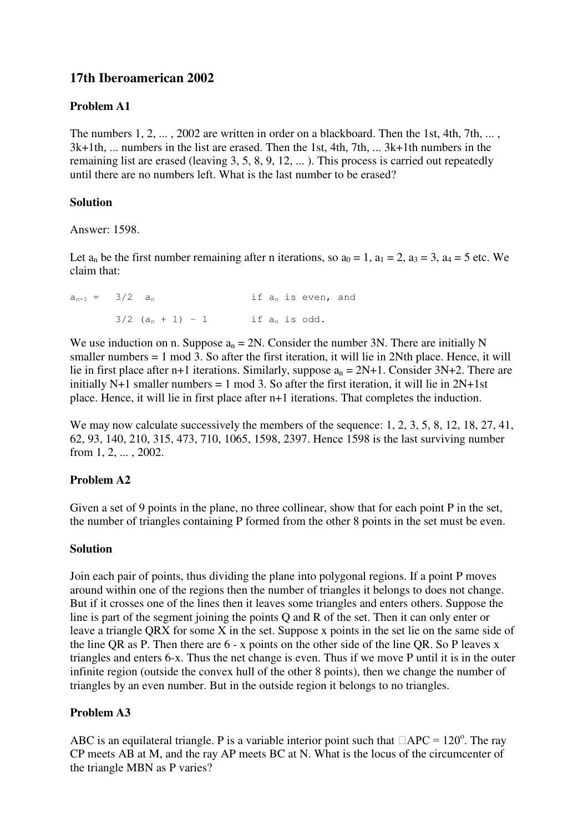# **17th Iberoamerican 2002**

# **Problem A1**

The numbers 1, 2, ..., 2002 are written in order on a blackboard. Then the 1st, 4th, 7th, ..., 3k+1th, ... numbers in the list are erased. Then the 1st, 4th, 7th, ... 3k+1th numbers in the remaining list are erased (leaving 3, 5, 8, 9, 12, ... ). This process is carried out repeatedly until there are no numbers left. What is the last number to be erased?

## **Solution**

Answer: 1598.

Let  $a_n$  be the first number remaining after n iterations, so  $a_0 = 1$ ,  $a_1 = 2$ ,  $a_3 = 3$ ,  $a_4 = 5$  etc. We claim that:

 $a_{n+1} = 3/2$   $a_n$  if  $a_n$  is even, and  $3/2$   $(a_n + 1) - 1$  if  $a_n$  is odd.

We use induction on n. Suppose  $a_n = 2N$ . Consider the number 3N. There are initially N smaller numbers = 1 mod 3. So after the first iteration, it will lie in 2Nth place. Hence, it will lie in first place after n+1 iterations. Similarly, suppose  $a_n = 2N+1$ . Consider  $3N+2$ . There are initially N+1 smaller numbers = 1 mod 3. So after the first iteration, it will lie in  $2N+1st$ place. Hence, it will lie in first place after n+1 iterations. That completes the induction.

We may now calculate successively the members of the sequence: 1, 2, 3, 5, 8, 12, 18, 27, 41, 62, 93, 140, 210, 315, 473, 710, 1065, 1598, 2397. Hence 1598 is the last surviving number from 1, 2, ... , 2002.

# **Problem A2**

Given a set of 9 points in the plane, no three collinear, show that for each point P in the set, the number of triangles containing P formed from the other 8 points in the set must be even.

### **Solution**

Join each pair of points, thus dividing the plane into polygonal regions. If a point P moves around within one of the regions then the number of triangles it belongs to does not change. But if it crosses one of the lines then it leaves some triangles and enters others. Suppose the line is part of the segment joining the points Q and R of the set. Then it can only enter or leave a triangle QRX for some X in the set. Suppose x points in the set lie on the same side of the line QR as P. Then there are 6 - x points on the other side of the line QR. So P leaves x triangles and enters 6-x. Thus the net change is even. Thus if we move P until it is in the outer infinite region (outside the convex hull of the other 8 points), then we change the number of triangles by an even number. But in the outside region it belongs to no triangles.

# **Problem A3**

ABC is an equilateral triangle. P is a variable interior point such that  $\Box$ APC = 120<sup>o</sup>. The ray CP meets AB at M, and the ray AP meets BC at N. What is the locus of the circumcenter of the triangle MBN as P varies?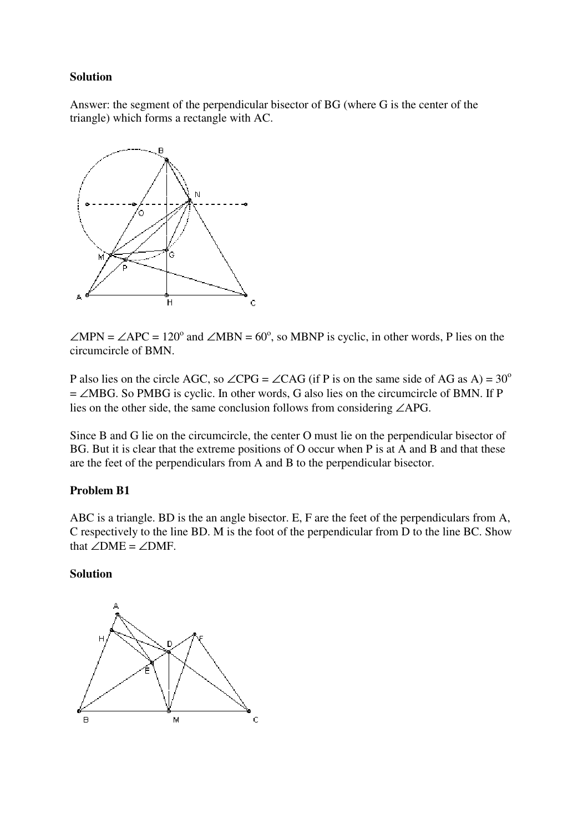## **Solution**

Answer: the segment of the perpendicular bisector of BG (where G is the center of the triangle) which forms a rectangle with AC.



 $\angle MPN = \angle APC = 120^{\circ}$  and  $\angle MBN = 60^{\circ}$ , so MBNP is cyclic, in other words, P lies on the circumcircle of BMN.

P also lies on the circle AGC, so ∠CPG = ∠CAG (if P is on the same side of AG as A) =  $30^{\circ}$ = ∠MBG. So PMBG is cyclic. In other words, G also lies on the circumcircle of BMN. If P lies on the other side, the same conclusion follows from considering ∠APG.

Since B and G lie on the circumcircle, the center O must lie on the perpendicular bisector of BG. But it is clear that the extreme positions of O occur when P is at A and B and that these are the feet of the perpendiculars from A and B to the perpendicular bisector.

### **Problem B1**

ABC is a triangle. BD is the an angle bisector. E, F are the feet of the perpendiculars from A, C respectively to the line BD. M is the foot of the perpendicular from D to the line BC. Show that  $∠DME = ∠DMF$ .

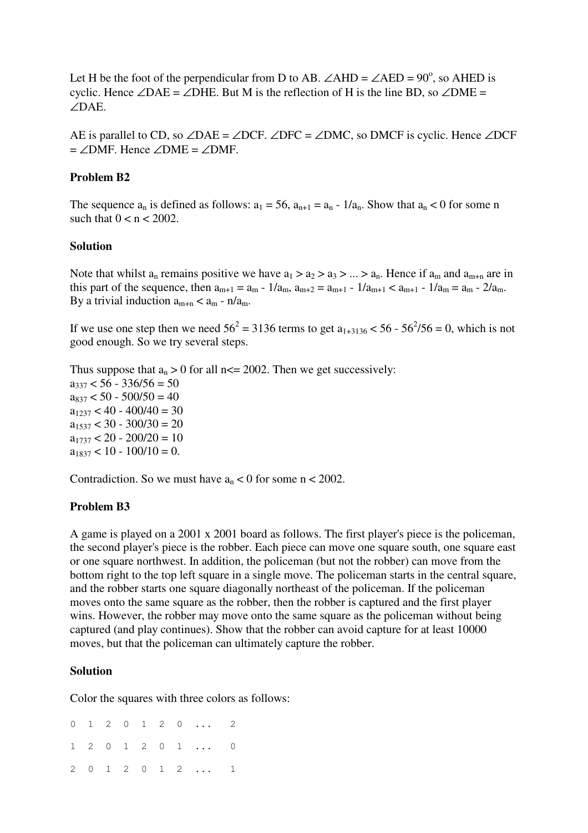Let H be the foot of the perpendicular from D to AB.  $\angle AHD = \angle AED = 90^\circ$ , so AHED is cyclic. Hence ∠DAE = ∠DHE. But M is the reflection of H is the line BD, so ∠DME = ∠DAE.

AE is parallel to CD, so  $\angle$ DAE =  $\angle$ DCF.  $\angle$ DFC =  $\angle$ DMC, so DMCF is cyclic. Hence  $\angle$ DCF  $=$  ∠DMF. Hence ∠DME = ∠DMF.

#### **Problem B2**

The sequence  $a_n$  is defined as follows:  $a_1 = 56$ ,  $a_{n+1} = a_n - 1/a_n$ . Show that  $a_n < 0$  for some n such that  $0 < n < 2002$ .

#### **Solution**

Note that whilst  $a_n$  remains positive we have  $a_1 > a_2 > a_3 > ... > a_n$ . Hence if  $a_m$  and  $a_{m+n}$  are in this part of the sequence, then  $a_{m+1} = a_m - 1/a_m$ ,  $a_{m+2} = a_{m+1} - 1/a_{m+1} < a_{m+1} - 1/a_m = a_m - 2/a_m$ . By a trivial induction  $a_{m+n} < a_m - n/a_m$ .

If we use one step then we need  $56^2 = 3136$  terms to get  $a_{1+3136} < 56 - 56^2/56 = 0$ , which is not good enough. So we try several steps.

Thus suppose that  $a_n > 0$  for all n $\leq 2002$ . Then we get successively:  $a_{337}$  < 56 - 336/56 = 50  $a_{837}$  < 50 - 500/50 = 40  $a_{1237} < 40 - 400/40 = 30$  $a_{1537}$  < 30 - 300/30 = 20  $a_{1737}$  < 20 - 200/20 = 10  $a_{1837}$  < 10 - 100/10 = 0.

Contradiction. So we must have  $a_n < 0$  for some  $n < 2002$ .

### **Problem B3**

A game is played on a 2001 x 2001 board as follows. The first player's piece is the policeman, the second player's piece is the robber. Each piece can move one square south, one square east or one square northwest. In addition, the policeman (but not the robber) can move from the bottom right to the top left square in a single move. The policeman starts in the central square, and the robber starts one square diagonally northeast of the policeman. If the policeman moves onto the same square as the robber, then the robber is captured and the first player wins. However, the robber may move onto the same square as the policeman without being captured (and play continues). Show that the robber can avoid capture for at least 10000 moves, but that the policeman can ultimately capture the robber.

#### **Solution**

Color the squares with three colors as follows:

0 1 2 0 1 2 0 ... 2 1 2 0 1 2 0 1 ... 0 2 0 1 2 0 1 2 ... 1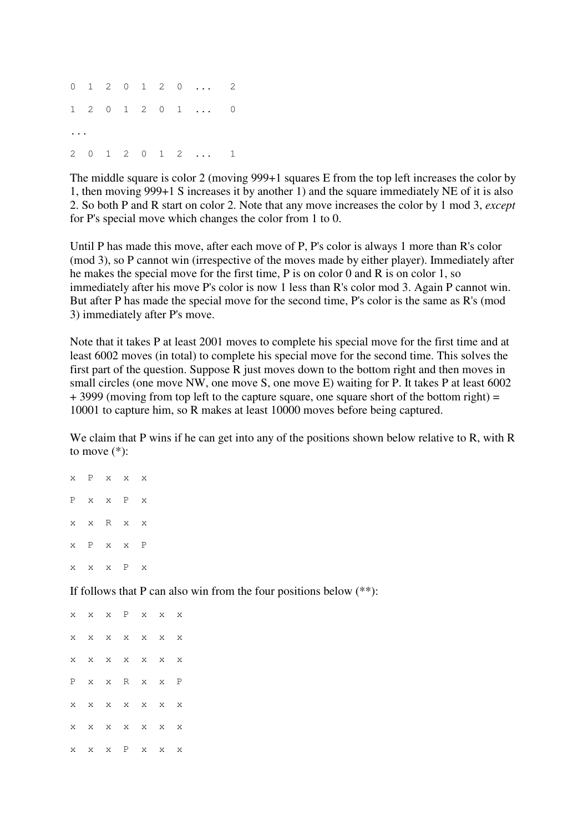0 1 2 0 1 2 0 ... 2 1 2 0 1 2 0 1 ... 0 ... 2 0 1 2 0 1 2 ... 1

The middle square is color 2 (moving 999+1 squares E from the top left increases the color by 1, then moving 999+1 S increases it by another 1) and the square immediately NE of it is also 2. So both P and R start on color 2. Note that any move increases the color by 1 mod 3, *except* for P's special move which changes the color from 1 to 0.

Until P has made this move, after each move of P, P's color is always 1 more than R's color (mod 3), so P cannot win (irrespective of the moves made by either player). Immediately after he makes the special move for the first time, P is on color 0 and R is on color 1, so immediately after his move P's color is now 1 less than R's color mod 3. Again P cannot win. But after P has made the special move for the second time, P's color is the same as R's (mod 3) immediately after P's move.

Note that it takes P at least 2001 moves to complete his special move for the first time and at least 6002 moves (in total) to complete his special move for the second time. This solves the first part of the question. Suppose R just moves down to the bottom right and then moves in small circles (one move NW, one move S, one move E) waiting for P. It takes P at least 6002  $+$  3999 (moving from top left to the capture square, one square short of the bottom right) = 10001 to capture him, so R makes at least 10000 moves before being captured.

We claim that P wins if he can get into any of the positions shown below relative to R, with R to move  $(*)$ :

x P x x x P x x P x x x R x x x P x x P x x x P x

If follows that P can also win from the four positions below  $(**)$ :

x x x P x x x x x x x x x x x x x x x x x P x x R x x P x x x x x x x x x x x x x x x x x P x x x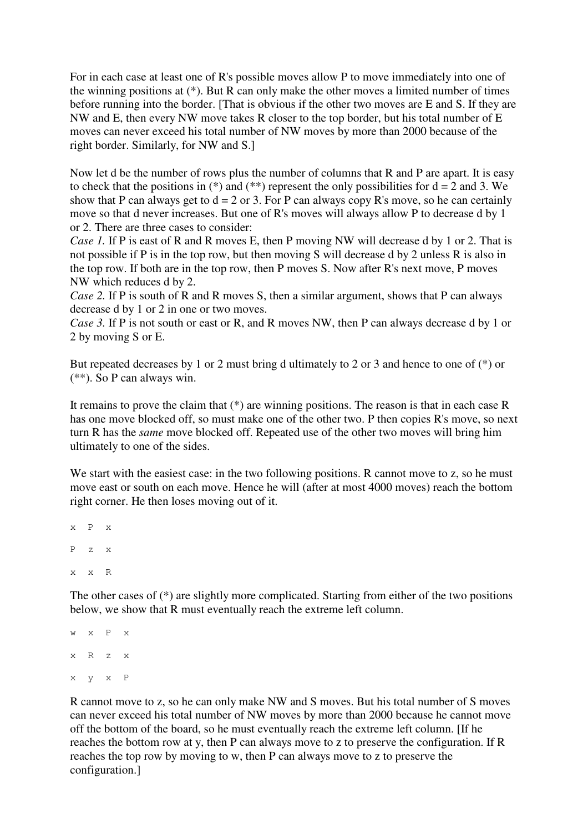For in each case at least one of R's possible moves allow P to move immediately into one of the winning positions at (\*). But R can only make the other moves a limited number of times before running into the border. [That is obvious if the other two moves are E and S. If they are NW and E, then every NW move takes R closer to the top border, but his total number of E moves can never exceed his total number of NW moves by more than 2000 because of the right border. Similarly, for NW and S.]

Now let d be the number of rows plus the number of columns that R and P are apart. It is easy to check that the positions in (\*) and (\*\*) represent the only possibilities for  $d = 2$  and 3. We show that P can always get to  $d = 2$  or 3. For P can always copy R's move, so he can certainly move so that d never increases. But one of R's moves will always allow P to decrease d by 1 or 2. There are three cases to consider:

*Case 1.* If P is east of R and R moves E, then P moving NW will decrease d by 1 or 2. That is not possible if P is in the top row, but then moving S will decrease d by 2 unless R is also in the top row. If both are in the top row, then P moves S. Now after R's next move, P moves NW which reduces d by 2.

*Case 2.* If P is south of R and R moves S, then a similar argument, shows that P can always decrease d by 1 or 2 in one or two moves.

*Case 3.* If P is not south or east or R, and R moves NW, then P can always decrease d by 1 or 2 by moving S or E.

But repeated decreases by 1 or 2 must bring d ultimately to 2 or 3 and hence to one of (\*) or (\*\*). So P can always win.

It remains to prove the claim that (\*) are winning positions. The reason is that in each case R has one move blocked off, so must make one of the other two. P then copies R's move, so next turn R has the *same* move blocked off. Repeated use of the other two moves will bring him ultimately to one of the sides.

We start with the easiest case: in the two following positions. R cannot move to z, so he must move east or south on each move. Hence he will (after at most 4000 moves) reach the bottom right corner. He then loses moving out of it.

```
x P x
P z x
x x R
```
The other cases of (\*) are slightly more complicated. Starting from either of the two positions below, we show that R must eventually reach the extreme left column.

```
w x P x
x R z x
x y x P
```
R cannot move to z, so he can only make NW and S moves. But his total number of S moves can never exceed his total number of NW moves by more than 2000 because he cannot move off the bottom of the board, so he must eventually reach the extreme left column. [If he reaches the bottom row at y, then P can always move to z to preserve the configuration. If R reaches the top row by moving to w, then P can always move to z to preserve the configuration.]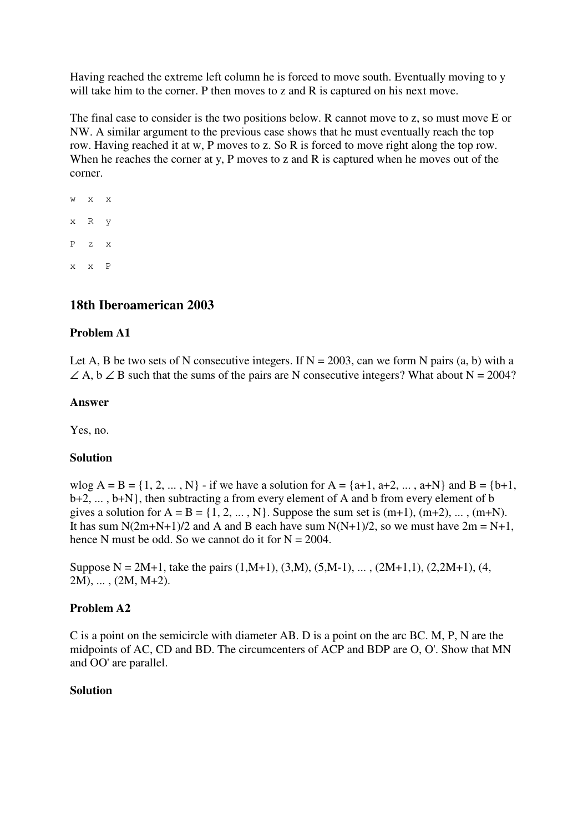Having reached the extreme left column he is forced to move south. Eventually moving to y will take him to the corner. P then moves to z and R is captured on his next move.

The final case to consider is the two positions below. R cannot move to z, so must move E or NW. A similar argument to the previous case shows that he must eventually reach the top row. Having reached it at w, P moves to z. So R is forced to move right along the top row. When he reaches the corner at y, P moves to z and R is captured when he moves out of the corner.

w x x x R y P z x x x P

# **18th Iberoamerican 2003**

# **Problem A1**

Let A, B be two sets of N consecutive integers. If  $N = 2003$ , can we form N pairs (a, b) with a  $\angle A$ ,  $\angle B$  such that the sums of the pairs are N consecutive integers? What about N = 2004?

### **Answer**

Yes, no.

### **Solution**

wlog  $A = B = \{1, 2, ..., N\}$  - if we have a solution for  $A = \{a+1, a+2, ..., a+N\}$  and  $B = \{b+1, ...$ b+2, ... , b+N}, then subtracting a from every element of A and b from every element of b gives a solution for  $A = B = \{1, 2, ..., N\}$ . Suppose the sum set is  $(m+1)$ ,  $(m+2)$ , ...,  $(m+N)$ . It has sum N(2m+N+1)/2 and A and B each have sum N(N+1)/2, so we must have  $2m = N+1$ , hence N must be odd. So we cannot do it for  $N = 2004$ .

Suppose N = 2M+1, take the pairs  $(1,M+1)$ ,  $(3,M)$ ,  $(5,M-1)$ , ...,  $(2M+1,1)$ ,  $(2,2M+1)$ ,  $(4,$ 2M), ... , (2M, M+2).

### **Problem A2**

C is a point on the semicircle with diameter AB. D is a point on the arc BC. M, P, N are the midpoints of AC, CD and BD. The circumcenters of ACP and BDP are O, O'. Show that MN and OO' are parallel.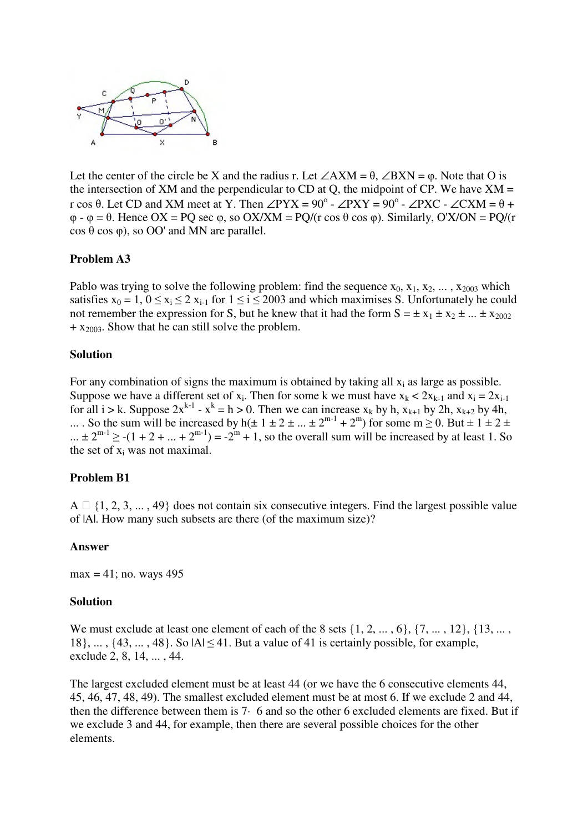

Let the center of the circle be X and the radius r. Let ∠AXM =  $\theta$ , ∠BXN =  $\varphi$ . Note that O is the intersection of XM and the perpendicular to CD at Q, the midpoint of CP. We have  $XM =$ r cos  $\theta$ . Let CD and XM meet at Y. Then ∠PYX = 90<sup>o</sup> - ∠PXY = 90<sup>o</sup> - ∠PXC - ∠CXM =  $\theta$  +  $\varphi$  -  $\varphi$  =  $\theta$ . Hence OX = PQ sec  $\varphi$ , so OX/XM = PQ/(r cos  $\theta$  cos  $\varphi$ ). Similarly, O'X/ON = PQ/(r  $\cos \theta \cos \varphi$ , so OO' and MN are parallel.

#### **Problem A3**

Pablo was trying to solve the following problem: find the sequence  $x_0, x_1, x_2, \ldots, x_{2003}$  which satisfies  $x_0 = 1$ ,  $0 \le x_i \le 2$   $x_{i-1}$  for  $1 \le i \le 2003$  and which maximises S. Unfortunately he could not remember the expression for S, but he knew that it had the form  $S = \pm x_1 \pm x_2 \pm ... \pm x_{2002}$  $+ x_{2003}$ . Show that he can still solve the problem.

#### **Solution**

For any combination of signs the maximum is obtained by taking all  $x_i$  as large as possible. Suppose we have a different set of  $x_i$ . Then for some k we must have  $x_k < 2x_{k-1}$  and  $x_i = 2x_{i-1}$ for all  $i > k$ . Suppose  $2x^{k-1} - x^k = h > 0$ . Then we can increase  $x_k$  by h,  $x_{k+1}$  by 2h,  $x_{k+2}$  by 4h, ... So the sum will be increased by h( $\pm 1 \pm 2 \pm ... \pm 2^{m-1} + 2^m$ ) for some m  $\geq 0$ . But  $\pm 1 \pm 2 \pm 2^m$ ...  $\pm 2^{m-1} \ge -(1 + 2 + ... + 2^{m-1}) = -2^m + 1$ , so the overall sum will be increased by at least 1. So the set of x<sup>i</sup> was not maximal.

### **Problem B1**

 $A \square \{1, 2, 3, \ldots, 49\}$  does not contain six consecutive integers. Find the largest possible value of |A|. How many such subsets are there (of the maximum size)?

#### **Answer**

 $max = 41$ ; no. ways 495

#### **Solution**

We must exclude at least one element of each of the 8 sets  $\{1, 2, \ldots, 6\}$ ,  $\{7, \ldots, 12\}$ ,  $\{13, \ldots,$  $18$ , ...,  $\{43, \ldots, 48\}$ . So  $|A| \leq 41$ . But a value of 41 is certainly possible, for example, exclude 2, 8, 14, ... , 44.

The largest excluded element must be at least 44 (or we have the 6 consecutive elements 44, 45, 46, 47, 48, 49). The smallest excluded element must be at most 6. If we exclude 2 and 44, then the difference between them is 7· 6 and so the other 6 excluded elements are fixed. But if we exclude 3 and 44, for example, then there are several possible choices for the other elements.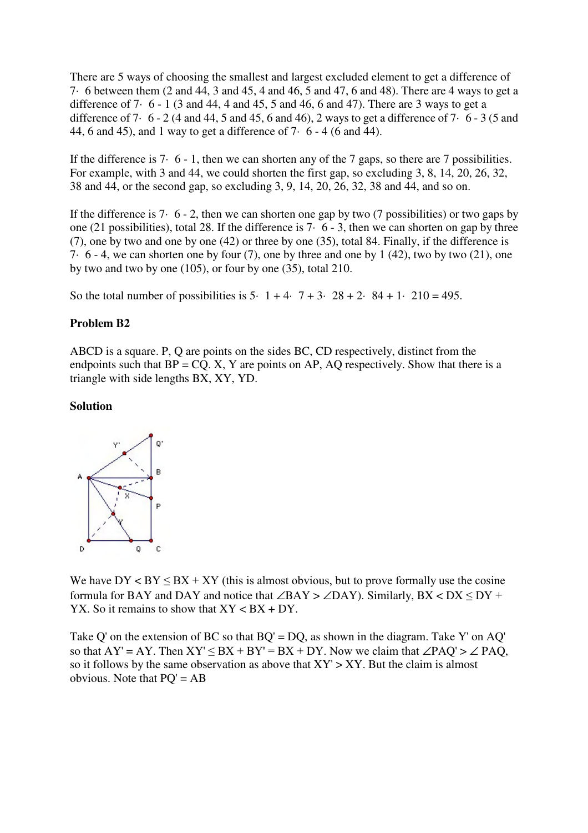There are 5 ways of choosing the smallest and largest excluded element to get a difference of 7· 6 between them (2 and 44, 3 and 45, 4 and 46, 5 and 47, 6 and 48). There are 4 ways to get a difference of  $7 \cdot 6 - 1$  (3 and 44, 4 and 45, 5 and 46, 6 and 47). There are 3 ways to get a difference of 7 $\cdot$  6 - 2 (4 and 44, 5 and 45, 6 and 46), 2 ways to get a difference of 7 $\cdot$  6 - 3 (5 and 44, 6 and 45), and 1 way to get a difference of  $7· 6 - 4$  (6 and 44).

If the difference is 7· 6 - 1, then we can shorten any of the 7 gaps, so there are 7 possibilities. For example, with 3 and 44, we could shorten the first gap, so excluding 3, 8, 14, 20, 26, 32, 38 and 44, or the second gap, so excluding 3, 9, 14, 20, 26, 32, 38 and 44, and so on.

If the difference is 7 $\cdot$  6 - 2, then we can shorten one gap by two (7 possibilities) or two gaps by one (21 possibilities), total 28. If the difference is 7· 6 - 3, then we can shorten on gap by three (7), one by two and one by one (42) or three by one (35), total 84. Finally, if the difference is 7 $\cdot$  6 - 4, we can shorten one by four (7), one by three and one by 1 (42), two by two (21), one by two and two by one (105), or four by one (35), total 210.

So the total number of possibilities is  $5 \cdot 1 + 4 \cdot 7 + 3 \cdot 28 + 2 \cdot 84 + 1 \cdot 210 = 495$ .

#### **Problem B2**

ABCD is a square. P, Q are points on the sides BC, CD respectively, distinct from the endpoints such that  $BP = CO$ . X, Y are points on AP, AO respectively. Show that there is a triangle with side lengths BX, XY, YD.

#### **Solution**



We have  $DY < BY \leq BX + XY$  (this is almost obvious, but to prove formally use the cosine formula for BAY and DAY and notice that ∠BAY > ∠DAY). Similarly,  $BX < DX \le DY$  + YX. So it remains to show that  $XY < BX + DY$ .

Take Q' on the extension of BC so that  $BQ' = DQ$ , as shown in the diagram. Take Y' on AQ' so that  $AY' = AY$ . Then  $XY' \leq BX + BY' = BX + DY$ . Now we claim that  $\angle PAQ' > \angle PAQ$ , so it follows by the same observation as above that  $XY' > XY$ . But the claim is almost obvious. Note that  $PQ' = AB$